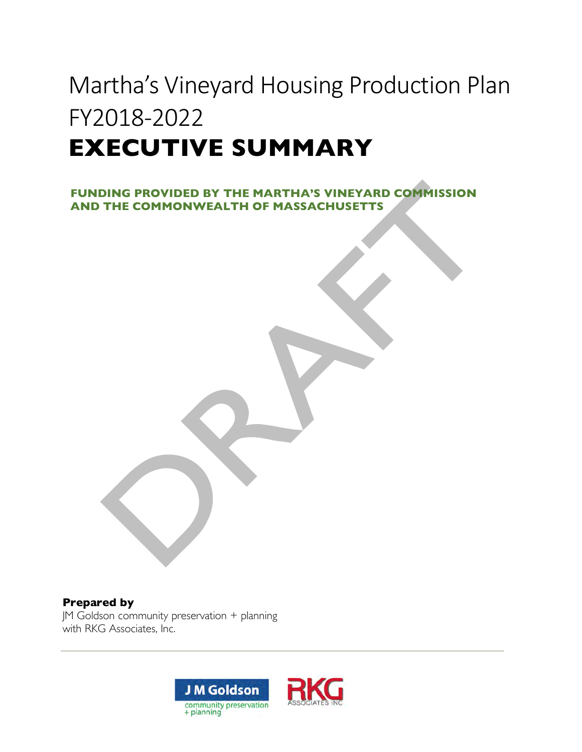# Martha's Vineyard Housing Production Plan FY2018-2022 **EXECUTIVE SUMMARY**

**FUNDING PROVIDED BY THE MARTHA'S VINEYARD COMMISSION AND THE COMMONWEALTH OF MASSACHUSETTS**

#### **Prepared by**

JM Goldson community preservation + planning with RKG Associates, Inc.

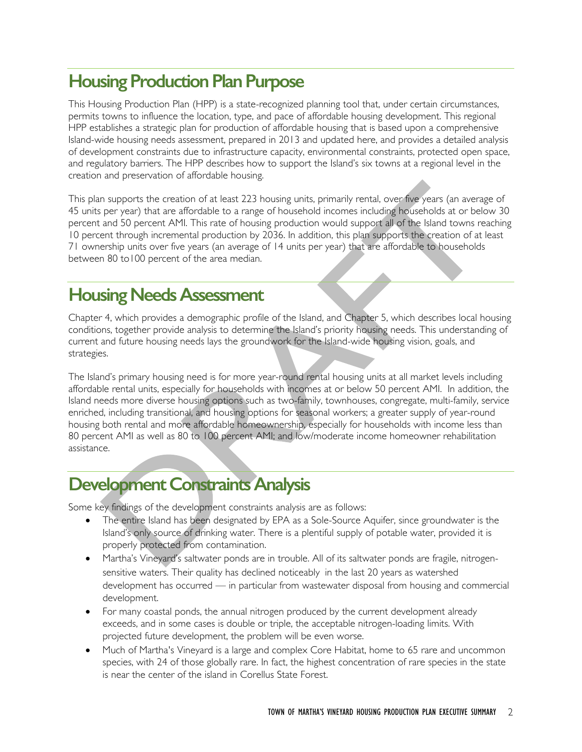# **Housing Production Plan Purpose**

This Housing Production Plan (HPP) is a state-recognized planning tool that, under certain circumstances, permits towns to influence the location, type, and pace of affordable housing development. This regional HPP establishes a strategic plan for production of affordable housing that is based upon a comprehensive Island-wide housing needs assessment, prepared in 2013 and updated here, and provides a detailed analysis of development constraints due to infrastructure capacity, environmental constraints, protected open space, and regulatory barriers. The HPP describes how to support the Island's six towns at a regional level in the creation and preservation of affordable housing.

This plan supports the creation of at least 223 housing units, primarily rental, over five years (an average of 45 units per year) that are affordable to a range of household incomes including households at or below 30 percent and 50 percent AMI. This rate of housing production would support all of the Island towns reaching 10 percent through incremental production by 2036. In addition, this plan supports the creation of at least 71 ownership units over five years (an average of 14 units per year) that are affordable to households between 80 to100 percent of the area median.

# **Housing Needs Assessment**

Chapter 4, which provides a demographic profile of the Island, and Chapter 5, which describes local housing conditions, together provide analysis to determine the Island's priority housing needs. This understanding of current and future housing needs lays the groundwork for the Island-wide housing vision, goals, and strategies.

The Island's primary housing need is for more year-round rental housing units at all market levels including affordable rental units, especially for households with incomes at or below 50 percent AMI. In addition, the Island needs more diverse housing options such as two-family, townhouses, congregate, multi-family, service enriched, including transitional, and housing options for seasonal workers; a greater supply of year-round housing both rental and more affordable homeownership, especially for households with income less than 80 percent AMI as well as 80 to 100 percent AMI; and low/moderate income homeowner rehabilitation assistance.

# **Development Constraints Analysis**

Some key findings of the development constraints analysis are as follows:

- The entire Island has been designated by EPA as a Sole-Source Aquifer, since groundwater is the Island's only source of drinking water. There is a plentiful supply of potable water, provided it is properly protected from contamination.
- Martha's Vineyard's saltwater ponds are in trouble. All of its saltwater ponds are fragile, nitrogensensitive waters. Their quality has declined noticeably in the last 20 years as watershed development has occurred — in particular from wastewater disposal from housing and commercial development.
- For many coastal ponds, the annual nitrogen produced by the current development already exceeds, and in some cases is double or triple, the acceptable nitrogen-loading limits. With projected future development, the problem will be even worse.
- Much of Martha's Vineyard is a large and complex Core Habitat, home to 65 rare and uncommon species, with 24 of those globally rare. In fact, the highest concentration of rare species in the state is near the center of the island in Corellus State Forest.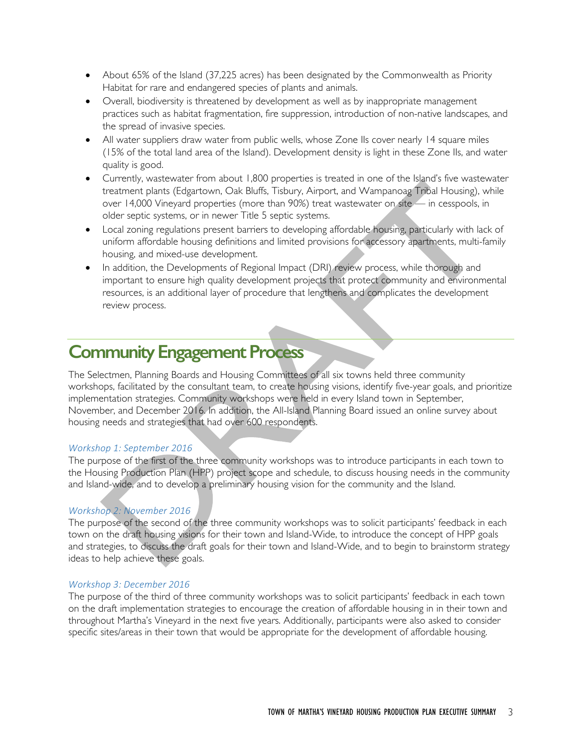- About 65% of the Island (37,225 acres) has been designated by the Commonwealth as Priority Habitat for rare and endangered species of plants and animals.
- Overall, biodiversity is threatened by development as well as by inappropriate management practices such as habitat fragmentation, fire suppression, introduction of non-native landscapes, and the spread of invasive species.
- All water suppliers draw water from public wells, whose Zone IIs cover nearly 14 square miles (15% of the total land area of the Island). Development density is light in these Zone IIs, and water quality is good.
- Currently, wastewater from about 1,800 properties is treated in one of the Island's five wastewater treatment plants (Edgartown, Oak Bluffs, Tisbury, Airport, and Wampanoag Tribal Housing), while over 14,000 Vineyard properties (more than 90%) treat wastewater on site — in cesspools, in older septic systems, or in newer Title 5 septic systems.
- Local zoning regulations present barriers to developing affordable housing, particularly with lack of uniform affordable housing definitions and limited provisions for accessory apartments, multi-family housing, and mixed-use development.
- In addition, the Developments of Regional Impact (DRI) review process, while thorough and important to ensure high quality development projects that protect community and environmental resources, is an additional layer of procedure that lengthens and complicates the development review process.

# **Community Engagement Process**

The Selectmen, Planning Boards and Housing Committees of all six towns held three community workshops, facilitated by the consultant team, to create housing visions, identify five-year goals, and prioritize implementation strategies. Community workshops were held in every Island town in September, November, and December 2016. In addition, the All-Island Planning Board issued an online survey about housing needs and strategies that had over 600 respondents.

#### *Workshop 1: September 2016*

The purpose of the first of the three community workshops was to introduce participants in each town to the Housing Production Plan (HPP) project scope and schedule, to discuss housing needs in the community and Island-wide, and to develop a preliminary housing vision for the community and the Island.

#### *Workshop 2: November 2016*

The purpose of the second of the three community workshops was to solicit participants' feedback in each town on the draft housing visions for their town and Island-Wide, to introduce the concept of HPP goals and strategies, to discuss the draft goals for their town and Island-Wide, and to begin to brainstorm strategy ideas to help achieve these goals.

#### *Workshop 3: December 2016*

The purpose of the third of three community workshops was to solicit participants' feedback in each town on the draft implementation strategies to encourage the creation of affordable housing in in their town and throughout Martha's Vineyard in the next five years. Additionally, participants were also asked to consider specific sites/areas in their town that would be appropriate for the development of affordable housing.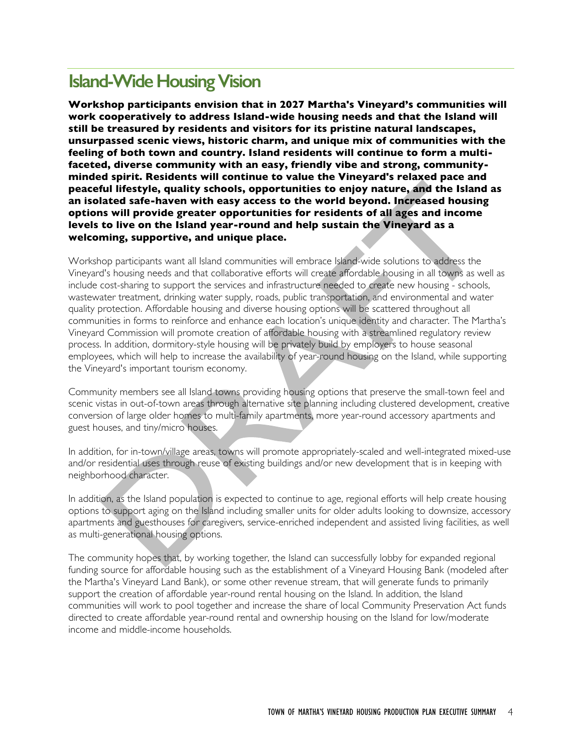# **Island-Wide Housing Vision**

**Workshop participants envision that in 2027 Martha's Vineyard's communities will work cooperatively to address Island-wide housing needs and that the Island will still be treasured by residents and visitors for its pristine natural landscapes, unsurpassed scenic views, historic charm, and unique mix of communities with the feeling of both town and country. Island residents will continue to form a multifaceted, diverse community with an easy, friendly vibe and strong, communityminded spirit. Residents will continue to value the Vineyard's relaxed pace and peaceful lifestyle, quality schools, opportunities to enjoy nature, and the Island as an isolated safe-haven with easy access to the world beyond. Increased housing options will provide greater opportunities for residents of all ages and income levels to live on the Island year-round and help sustain the Vineyard as a welcoming, supportive, and unique place.**

Workshop participants want all Island communities will embrace Island-wide solutions to address the Vineyard's housing needs and that collaborative efforts will create affordable housing in all towns as well as include cost-sharing to support the services and infrastructure needed to create new housing - schools, wastewater treatment, drinking water supply, roads, public transportation, and environmental and water quality protection. Affordable housing and diverse housing options will be scattered throughout all communities in forms to reinforce and enhance each location's unique identity and character. The Martha's Vineyard Commission will promote creation of affordable housing with a streamlined regulatory review process. In addition, dormitory-style housing will be privately build by employers to house seasonal employees, which will help to increase the availability of year-round housing on the Island, while supporting the Vineyard's important tourism economy.

Community members see all Island towns providing housing options that preserve the small-town feel and scenic vistas in out-of-town areas through alternative site planning including clustered development, creative conversion of large older homes to multi-family apartments, more year-round accessory apartments and guest houses, and tiny/micro houses.

In addition, for in-town/village areas, towns will promote appropriately-scaled and well-integrated mixed-use and/or residential uses through reuse of existing buildings and/or new development that is in keeping with neighborhood character.

In addition, as the Island population is expected to continue to age, regional efforts will help create housing options to support aging on the Island including smaller units for older adults looking to downsize, accessory apartments and guesthouses for caregivers, service-enriched independent and assisted living facilities, as well as multi-generational housing options.

The community hopes that, by working together, the Island can successfully lobby for expanded regional funding source for affordable housing such as the establishment of a Vineyard Housing Bank (modeled after the Martha's Vineyard Land Bank), or some other revenue stream, that will generate funds to primarily support the creation of affordable year-round rental housing on the Island. In addition, the Island communities will work to pool together and increase the share of local Community Preservation Act funds directed to create affordable year-round rental and ownership housing on the Island for low/moderate income and middle-income households.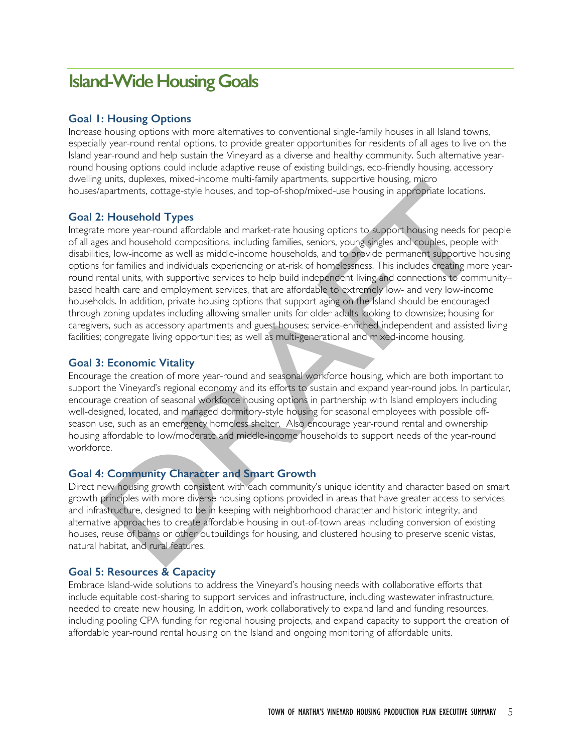# **Island-Wide Housing Goals**

#### **Goal 1: Housing Options**

Increase housing options with more alternatives to conventional single-family houses in all Island towns, especially year-round rental options, to provide greater opportunities for residents of all ages to live on the Island year-round and help sustain the Vineyard as a diverse and healthy community. Such alternative yearround housing options could include adaptive reuse of existing buildings, eco-friendly housing, accessory dwelling units, duplexes, mixed-income multi-family apartments, supportive housing, micro houses/apartments, cottage-style houses, and top-of-shop/mixed-use housing in appropriate locations.

#### **Goal 2: Household Types**

Integrate more year-round affordable and market-rate housing options to support housing needs for people of all ages and household compositions, including families, seniors, young singles and couples, people with disabilities, low-income as well as middle-income households, and to provide permanent supportive housing options for families and individuals experiencing or at-risk of homelessness. This includes creating more yearround rental units, with supportive services to help build independent living and connections to community– based health care and employment services, that are affordable to extremely low- and very low-income households. In addition, private housing options that support aging on the Island should be encouraged through zoning updates including allowing smaller units for older adults looking to downsize; housing for caregivers, such as accessory apartments and guest houses; service-enriched independent and assisted living facilities; congregate living opportunities; as well as multi-generational and mixed-income housing.

#### **Goal 3: Economic Vitality**

Encourage the creation of more year-round and seasonal workforce housing, which are both important to support the Vineyard's regional economy and its efforts to sustain and expand year-round jobs. In particular, encourage creation of seasonal workforce housing options in partnership with Island employers including well-designed, located, and managed dormitory-style housing for seasonal employees with possible offseason use, such as an emergency homeless shelter. Also encourage year-round rental and ownership housing affordable to low/moderate and middle-income households to support needs of the year-round workforce.

#### **Goal 4: Community Character and Smart Growth**

Direct new housing growth consistent with each community's unique identity and character based on smart growth principles with more diverse housing options provided in areas that have greater access to services and infrastructure, designed to be in keeping with neighborhood character and historic integrity, and alternative approaches to create affordable housing in out-of-town areas including conversion of existing houses, reuse of barns or other outbuildings for housing, and clustered housing to preserve scenic vistas, natural habitat, and rural features.

#### **Goal 5: Resources & Capacity**

Embrace Island-wide solutions to address the Vineyard's housing needs with collaborative efforts that include equitable cost-sharing to support services and infrastructure, including wastewater infrastructure, needed to create new housing. In addition, work collaboratively to expand land and funding resources, including pooling CPA funding for regional housing projects, and expand capacity to support the creation of affordable year-round rental housing on the Island and ongoing monitoring of affordable units.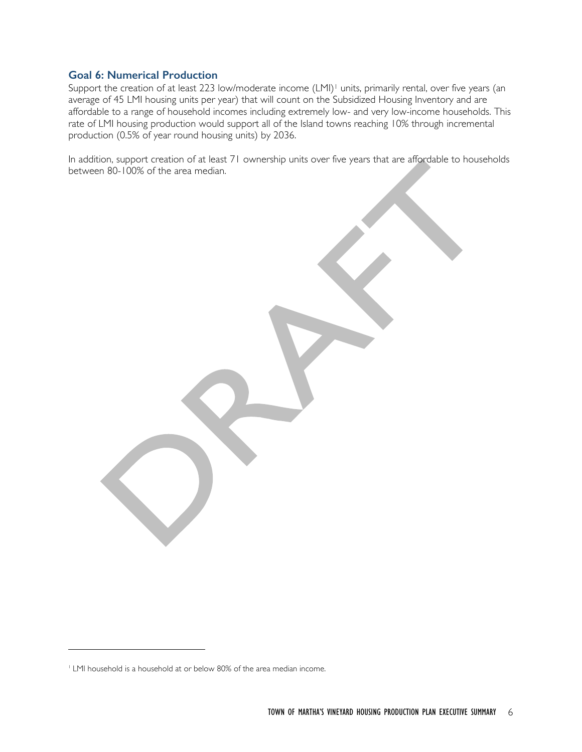#### **Goal 6: Numerical Production**

Support the creation of at least 223 low/moderate income (LMI)<sup>1</sup> units, primarily rental, over five years (an average of 45 LMI housing units per year) that will count on the Subsidized Housing Inventory and are affordable to a range of household incomes including extremely low- and very low-income households. This rate of LMI housing production would support all of the Island towns reaching 10% through incremental production (0.5% of year round housing units) by 2036.

In addition, support creation of at least 71 ownership units over five years that are affordable to households between 80-100% of the area median.

 $\overline{a}$ 

<sup>&</sup>lt;sup>1</sup> LMI household is a household at or below 80% of the area median income.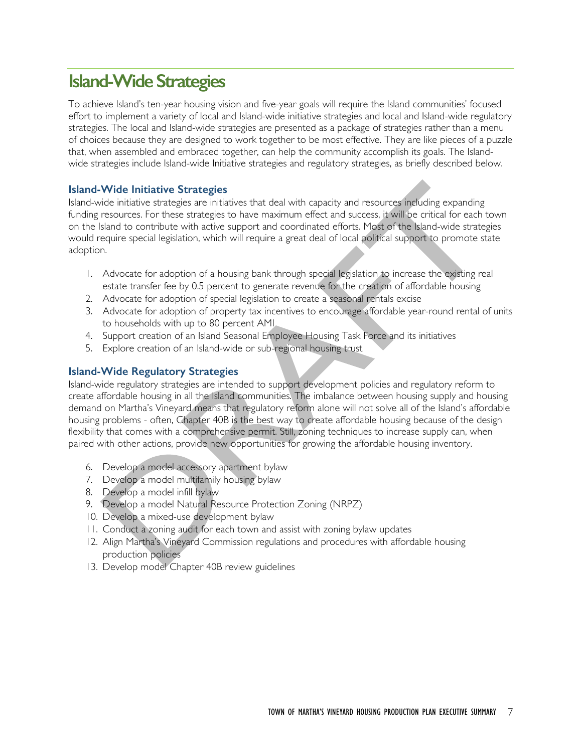# **Island-Wide Strategies**

To achieve Island's ten-year housing vision and five-year goals will require the Island communities' focused effort to implement a variety of local and Island-wide initiative strategies and local and Island-wide regulatory strategies. The local and Island-wide strategies are presented as a package of strategies rather than a menu of choices because they are designed to work together to be most effective. They are like pieces of a puzzle that, when assembled and embraced together, can help the community accomplish its goals. The Islandwide strategies include Island-wide Initiative strategies and regulatory strategies, as briefly described below.

#### **Island-Wide Initiative Strategies**

Island-wide initiative strategies are initiatives that deal with capacity and resources including expanding funding resources. For these strategies to have maximum effect and success, it will be critical for each town on the Island to contribute with active support and coordinated efforts. Most of the Island-wide strategies would require special legislation, which will require a great deal of local political support to promote state adoption.

- 1. Advocate for adoption of a housing bank through special legislation to increase the existing real estate transfer fee by 0.5 percent to generate revenue for the creation of affordable housing
- 2. Advocate for adoption of special legislation to create a seasonal rentals excise
- 3. Advocate for adoption of property tax incentives to encourage affordable year-round rental of units to households with up to 80 percent AMI
- 4. Support creation of an Island Seasonal Employee Housing Task Force and its initiatives
- 5. Explore creation of an Island-wide or sub-regional housing trust

#### **Island-Wide Regulatory Strategies**

Island-wide regulatory strategies are intended to support development policies and regulatory reform to create affordable housing in all the Island communities. The imbalance between housing supply and housing demand on Martha's Vineyard means that regulatory reform alone will not solve all of the Island's affordable housing problems - often, Chapter 40B is the best way to create affordable housing because of the design flexibility that comes with a comprehensive permit. Still, zoning techniques to increase supply can, when paired with other actions, provide new opportunities for growing the affordable housing inventory.

- 6. Develop a model accessory apartment bylaw
- 7. Develop a model multifamily housing bylaw
- 8. Develop a model infill bylaw
- 9. Develop a model Natural Resource Protection Zoning (NRPZ)
- 10. Develop a mixed-use development bylaw
- 11. Conduct a zoning audit for each town and assist with zoning bylaw updates
- 12. Align Martha's Vineyard Commission regulations and procedures with affordable housing production policies
- 13. Develop model Chapter 40B review guidelines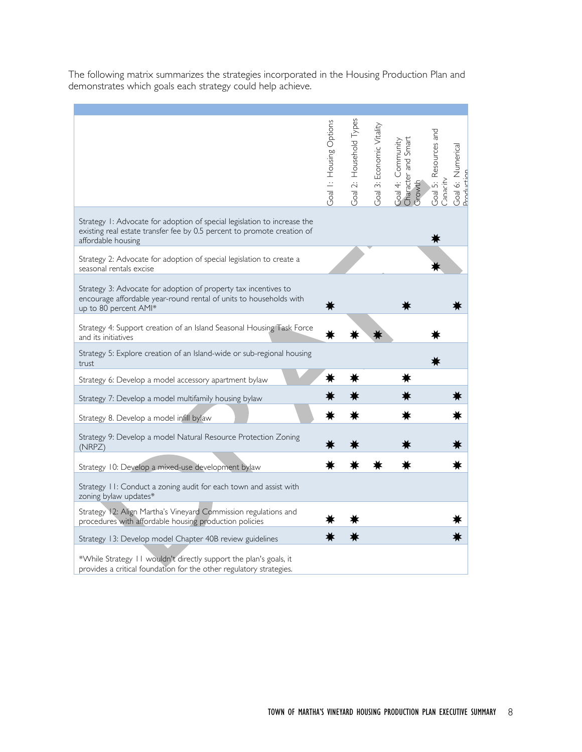The following matrix summarizes the strategies incorporated in the Housing Production Plan and demonstrates which goals each strategy could help achieve.

|                                                                                                                                                                           | Goal I: Housing Options | Goal 2: Household Types | Goal 3: Economic Vitality |                                                    | Goal 5: Resources and |                                 |
|---------------------------------------------------------------------------------------------------------------------------------------------------------------------------|-------------------------|-------------------------|---------------------------|----------------------------------------------------|-----------------------|---------------------------------|
|                                                                                                                                                                           |                         |                         |                           | Goal 4: Community<br>Character and Smart<br>Growth | <b>Alpeur</b>         | Goal 6: Numerical<br>Production |
| Strategy 1: Advocate for adoption of special legislation to increase the<br>existing real estate transfer fee by 0.5 percent to promote creation of<br>affordable housing |                         |                         |                           |                                                    |                       |                                 |
| Strategy 2: Advocate for adoption of special legislation to create a<br>seasonal rentals excise                                                                           |                         |                         |                           |                                                    |                       |                                 |
| Strategy 3: Advocate for adoption of property tax incentives to<br>encourage affordable year-round rental of units to households with<br>up to 80 percent AMI*            |                         |                         |                           |                                                    |                       |                                 |
| Strategy 4: Support creation of an Island Seasonal Housing Task Force<br>and its initiatives                                                                              |                         |                         |                           |                                                    |                       |                                 |
| Strategy 5: Explore creation of an Island-wide or sub-regional housing<br>trust                                                                                           |                         |                         |                           |                                                    |                       |                                 |
| Strategy 6: Develop a model accessory apartment bylaw                                                                                                                     | ∗                       | Ж                       |                           |                                                    |                       |                                 |
| Strategy 7: Develop a model multifamily housing bylaw                                                                                                                     |                         |                         |                           |                                                    |                       |                                 |
| Strategy 8. Develop a model infill bylaw                                                                                                                                  | ∗                       | ∗                       |                           |                                                    |                       | ∗                               |
| Strategy 9: Develop a model Natural Resource Protection Zoning<br>(NRPZ)                                                                                                  |                         |                         |                           |                                                    |                       |                                 |
| Strategy 10: Develop a mixed-use development bylaw                                                                                                                        |                         |                         |                           |                                                    |                       |                                 |
| Strategy 11: Conduct a zoning audit for each town and assist with<br>zoning bylaw updates*                                                                                |                         |                         |                           |                                                    |                       |                                 |
| Strategy 12: Align Martha's Vineyard Commission regulations and<br>procedures with affordable housing production policies                                                 |                         |                         |                           |                                                    |                       |                                 |
| Strategy 13: Develop model Chapter 40B review guidelines                                                                                                                  |                         |                         |                           |                                                    |                       |                                 |
| *While Strategy 11 wouldn't directly support the plan's goals, it<br>provides a critical foundation for the other regulatory strategies.                                  |                         |                         |                           |                                                    |                       |                                 |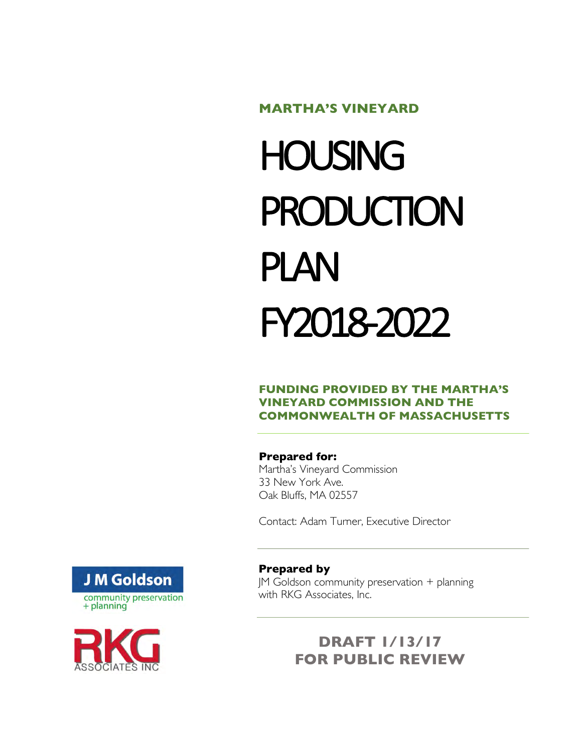#### **MARTHA'S VINEYARD**

# **HOUSING PRODUCTION** PLAN FY2018-2022

#### **FUNDING PROVIDED BY THE MARTHA'S VINEYARD COMMISSION AND THE COMMONWEALTH OF MASSACHUSETTS**

#### **Prepared for:**

Martha's Vineyard Commission 33 New York Ave. Oak Bluffs, MA 02557

Contact: Adam Turner, Executive Director





#### **Prepared by**

JM Goldson community preservation + planning with RKG Associates, Inc.

## **DRAFT 1/13/17 FOR PUBLIC REVIEW**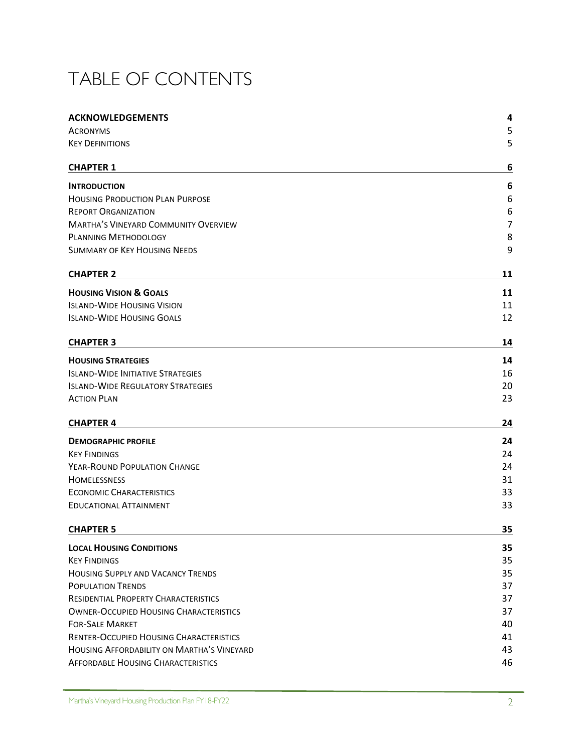# TABLE OF CONTENTS

| <b>ACKNOWLEDGEMENTS</b>                        | 4  |
|------------------------------------------------|----|
| <b>ACRONYMS</b>                                | 5  |
| <b>KEY DEFINITIONS</b>                         | 5  |
|                                                |    |
| <b>CHAPTER 1</b>                               | 6  |
| <b>INTRODUCTION</b>                            | 6  |
| <b>HOUSING PRODUCTION PLAN PURPOSE</b>         | 6  |
| <b>REPORT ORGANIZATION</b>                     | 6  |
| <b>MARTHA'S VINEYARD COMMUNITY OVERVIEW</b>    | 7  |
| <b>PLANNING METHODOLOGY</b>                    | 8  |
| <b>SUMMARY OF KEY HOUSING NEEDS</b>            | 9  |
| <b>CHAPTER 2</b>                               | 11 |
| <b>HOUSING VISION &amp; GOALS</b>              | 11 |
| <b>ISLAND-WIDE HOUSING VISION</b>              | 11 |
| <b>ISLAND-WIDE HOUSING GOALS</b>               | 12 |
| <b>CHAPTER 3</b>                               | 14 |
| <b>HOUSING STRATEGIES</b>                      | 14 |
| <b>ISLAND-WIDE INITIATIVE STRATEGIES</b>       | 16 |
| <b>ISLAND-WIDE REGULATORY STRATEGIES</b>       | 20 |
| <b>ACTION PLAN</b>                             | 23 |
| <b>CHAPTER 4</b>                               | 24 |
| <b>DEMOGRAPHIC PROFILE</b>                     | 24 |
| <b>KEY FINDINGS</b>                            | 24 |
| YEAR-ROUND POPULATION CHANGE                   | 24 |
| <b>HOMELESSNESS</b>                            | 31 |
| <b>ECONOMIC CHARACTERISTICS</b>                | 33 |
| <b>EDUCATIONAL ATTAINMENT</b>                  | 33 |
| <b>CHAPTER 5</b>                               | 35 |
| <b>LOCAL HOUSING CONDITIONS</b>                | 35 |
| <b>KEY FINDINGS</b>                            | 35 |
| <b>HOUSING SUPPLY AND VACANCY TRENDS</b>       | 35 |
| <b>POPULATION TRENDS</b>                       | 37 |
| <b>RESIDENTIAL PROPERTY CHARACTERISTICS</b>    | 37 |
| <b>OWNER-OCCUPIED HOUSING CHARACTERISTICS</b>  | 37 |
| <b>FOR-SALE MARKET</b>                         | 40 |
| <b>RENTER-OCCUPIED HOUSING CHARACTERISTICS</b> | 41 |
| HOUSING AFFORDABILITY ON MARTHA'S VINEYARD     | 43 |
| <b>AFFORDABLE HOUSING CHARACTERISTICS</b>      | 46 |
|                                                |    |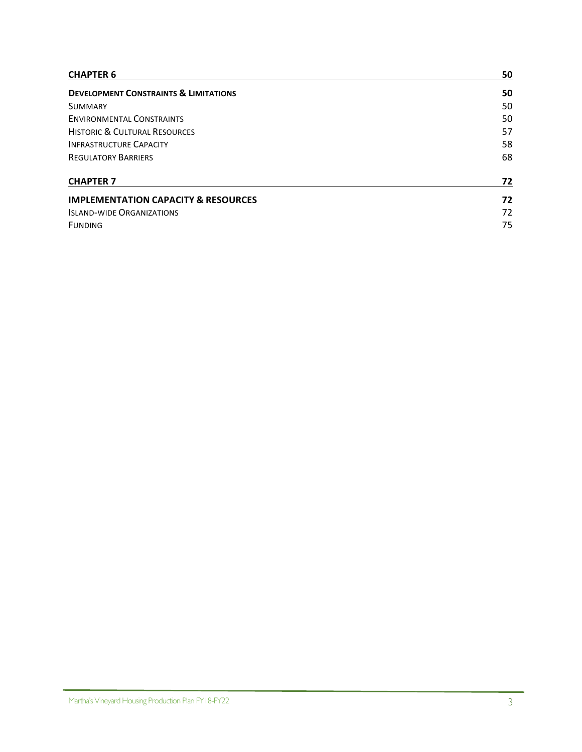| <b>CHAPTER 6</b>                                 | 50 |
|--------------------------------------------------|----|
| <b>DEVELOPMENT CONSTRAINTS &amp; LIMITATIONS</b> | 50 |
| <b>SUMMARY</b>                                   | 50 |
| <b>ENVIRONMENTAL CONSTRAINTS</b>                 | 50 |
| <b>HISTORIC &amp; CULTURAL RESOURCES</b>         | 57 |
| <b>INFRASTRUCTURE CAPACITY</b>                   | 58 |
| <b>REGULATORY BARRIERS</b>                       | 68 |
| <b>CHAPTER 7</b>                                 | 72 |
| <b>IMPLEMENTATION CAPACITY &amp; RESOURCES</b>   | 72 |
| <b>ISLAND-WIDE ORGANIZATIONS</b>                 | 72 |
| <b>FUNDING</b>                                   | 75 |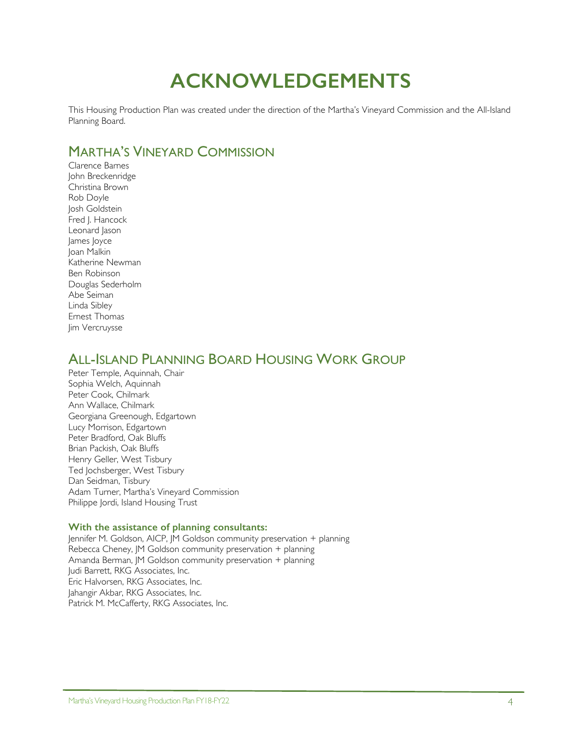# **ACKNOWLEDGEMENTS**

This Housing Production Plan was created under the direction of the Martha's Vineyard Commission and the All-Island Planning Board.

## MARTHA'S VINEYARD COMMISSION

Clarence Barnes John Breckenridge Christina Brown Rob Doyle Josh Goldstein Fred J. Hancock Leonard Jason James Joyce Joan Malkin Katherine Newman Ben Robinson Douglas Sederholm Abe Seiman Linda Sibley Ernest Thomas Jim Vercruysse

## ALL-ISLAND PLANNING BOARD HOUSING WORK GROUP

Peter Temple, Aquinnah, Chair Sophia Welch, Aquinnah Peter Cook, Chilmark Ann Wallace, Chilmark Georgiana Greenough, Edgartown Lucy Morrison, Edgartown Peter Bradford, Oak Bluffs Brian Packish, Oak Bluffs Henry Geller, West Tisbury Ted Jochsberger, West Tisbury Dan Seidman, Tisbury Adam Turner, Martha's Vineyard Commission Philippe Jordi, Island Housing Trust

#### **With the assistance of planning consultants:**

Jennifer M. Goldson, AICP, JM Goldson community preservation + planning Rebecca Cheney, JM Goldson community preservation + planning Amanda Berman, JM Goldson community preservation + planning Judi Barrett, RKG Associates, Inc. Eric Halvorsen, RKG Associates, Inc. Jahangir Akbar, RKG Associates, Inc. Patrick M. McCafferty, RKG Associates, Inc.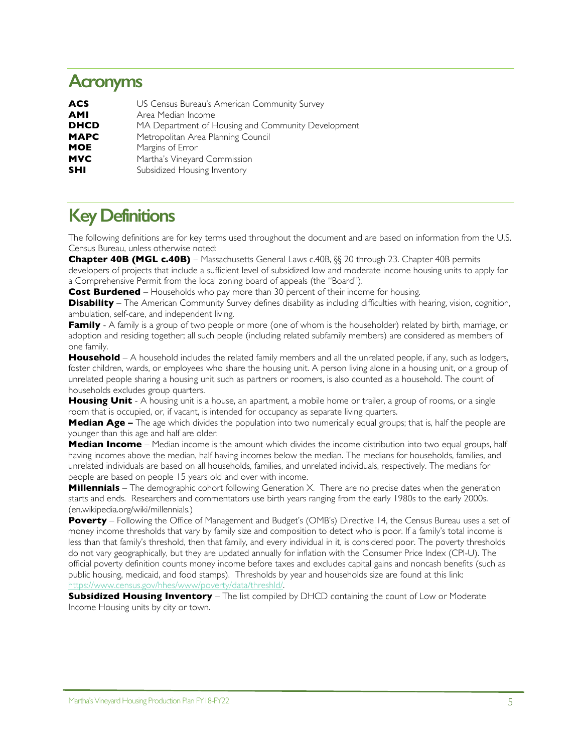# **Acronyms**

| <b>ACS</b>  | US Census Bureau's American Community Survey       |
|-------------|----------------------------------------------------|
| <b>AMI</b>  | Area Median Income                                 |
| <b>DHCD</b> | MA Department of Housing and Community Development |
| <b>MAPC</b> | Metropolitan Area Planning Council                 |
| <b>MOE</b>  | Margins of Error                                   |
| <b>MVC</b>  | Martha's Vineyard Commission                       |
| <b>SHI</b>  | Subsidized Housing Inventory                       |

# **Key Definitions**

The following definitions are for key terms used throughout the document and are based on information from the U.S. Census Bureau, unless otherwise noted:

**Chapter 40B (MGL c.40B)** – Massachusetts General Laws c.40B, §§ 20 through 23. Chapter 40B permits developers of projects that include a sufficient level of subsidized low and moderate income housing units to apply for a Comprehensive Permit from the local zoning board of appeals (the "Board").

**Cost Burdened** – Households who pay more than 30 percent of their income for housing.

**Disability** – The American Community Survey defines disability as including difficulties with hearing, vision, cognition, ambulation, self-care, and independent living.

**Family** - A family is a group of two people or more (one of whom is the householder) related by birth, marriage, or adoption and residing together; all such people (including related subfamily members) are considered as members of one family.

**Household** – A household includes the related family members and all the unrelated people, if any, such as lodgers, foster children, wards, or employees who share the housing unit. A person living alone in a housing unit, or a group of unrelated people sharing a housing unit such as partners or roomers, is also counted as a household. The count of households excludes group quarters.

**Housing Unit** - A housing unit is a house, an apartment, a mobile home or trailer, a group of rooms, or a single room that is occupied, or, if vacant, is intended for occupancy as separate living quarters.

**Median Age –** The age which divides the population into two numerically equal groups; that is, half the people are younger than this age and half are older.

**Median Income** – Median income is the amount which divides the income distribution into two equal groups, half having incomes above the median, half having incomes below the median. The medians for households, families, and unrelated individuals are based on all households, families, and unrelated individuals, respectively. The medians for people are based on people 15 years old and over with income.

**Millennials** – The demographic cohort following Generation X. There are no precise dates when the generation starts and ends. Researchers and commentators use birth years ranging from the early 1980s to the early 2000s. (en.wikipedia.org/wiki/millennials.)

**Poverty** – Following the Office of Management and Budget's (OMB's) Directive 14, the Census Bureau uses a set of money income thresholds that vary by family size and composition to detect who is poor. If a family's total income is less than that family's threshold, then that family, and every individual in it, is considered poor. The poverty thresholds do not vary geographically, but they are updated annually for inflation with the Consumer Price Index (CPI-U). The official poverty definition counts money income before taxes and excludes capital gains and noncash benefits (such as public housing, medicaid, and food stamps). Thresholds by year and households size are found at this link: https://www.census.gov/hhes/www/poverty/data/threshld/.

**Subsidized Housing Inventory** – The list compiled by DHCD containing the count of Low or Moderate Income Housing units by city or town.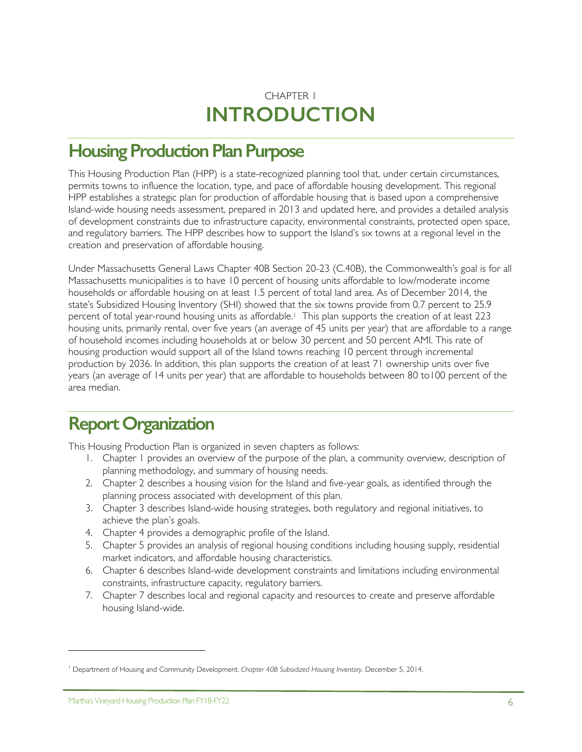# CHAPTER 1 **INTRODUCTION**

# **Housing Production Plan Purpose**

This Housing Production Plan (HPP) is a state-recognized planning tool that, under certain circumstances, permits towns to influence the location, type, and pace of affordable housing development. This regional HPP establishes a strategic plan for production of affordable housing that is based upon a comprehensive Island-wide housing needs assessment, prepared in 2013 and updated here, and provides a detailed analysis of development constraints due to infrastructure capacity, environmental constraints, protected open space, and regulatory barriers. The HPP describes how to support the Island's six towns at a regional level in the creation and preservation of affordable housing.

Under Massachusetts General Laws Chapter 40B Section 20-23 (C.40B), the Commonwealth's goal is for all Massachusetts municipalities is to have 10 percent of housing units affordable to low/moderate income households or affordable housing on at least 1.5 percent of total land area. As of December 2014, the state's Subsidized Housing Inventory (SHI) showed that the six towns provide from 0.7 percent to 25.9 percent of total year-round housing units as affordable.<sup>1</sup> This plan supports the creation of at least 223 housing units, primarily rental, over five years (an average of 45 units per year) that are affordable to a range of household incomes including households at or below 30 percent and 50 percent AMI. This rate of housing production would support all of the Island towns reaching 10 percent through incremental production by 2036. In addition, this plan supports the creation of at least 71 ownership units over five years (an average of 14 units per year) that are affordable to households between 80 to100 percent of the area median.

# **Report Organization**

This Housing Production Plan is organized in seven chapters as follows:

- 1. Chapter 1 provides an overview of the purpose of the plan, a community overview, description of planning methodology, and summary of housing needs.
- 2. Chapter 2 describes a housing vision for the Island and five-year goals, as identified through the planning process associated with development of this plan.
- 3. Chapter 3 describes Island-wide housing strategies, both regulatory and regional initiatives, to achieve the plan's goals.
- 4. Chapter 4 provides a demographic profile of the Island.
- 5. Chapter 5 provides an analysis of regional housing conditions including housing supply, residential market indicators, and affordable housing characteristics.
- 6. Chapter 6 describes Island-wide development constraints and limitations including environmental constraints, infrastructure capacity, regulatory barriers.
- 7. Chapter 7 describes local and regional capacity and resources to create and preserve affordable housing Island-wide.

 $\overline{a}$ 

<sup>1</sup> Department of Housing and Community Development. *Chapter 40B Subsidized Housing Inventory.* December 5, 2014.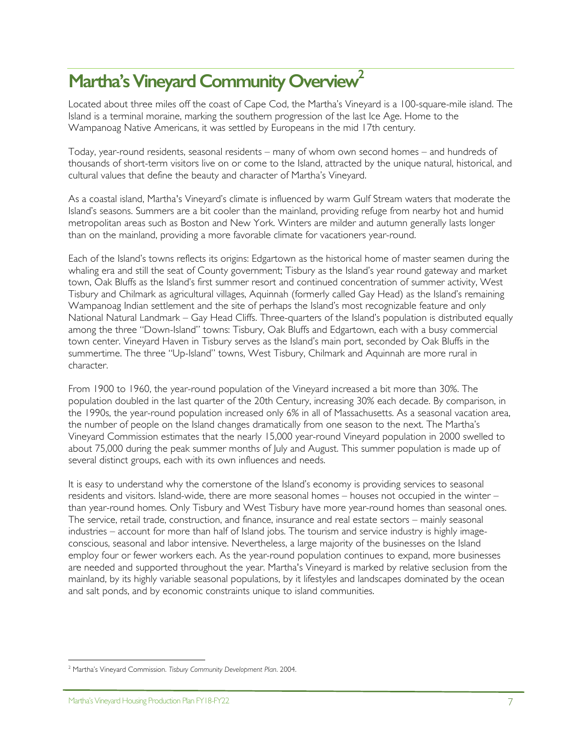# Martha's Vineyard Community Overview<sup>2</sup>

Located about three miles off the coast of Cape Cod, the Martha's Vineyard is a 100-square-mile island. The Island is a terminal moraine, marking the southern progression of the last Ice Age. Home to the Wampanoag Native Americans, it was settled by Europeans in the mid 17th century.

Today, year-round residents, seasonal residents – many of whom own second homes – and hundreds of thousands of short-term visitors live on or come to the Island, attracted by the unique natural, historical, and cultural values that define the beauty and character of Martha's Vineyard.

As a coastal island, Martha's Vineyard's climate is influenced by warm Gulf Stream waters that moderate the Island's seasons. Summers are a bit cooler than the mainland, providing refuge from nearby hot and humid metropolitan areas such as Boston and New York. Winters are milder and autumn generally lasts longer than on the mainland, providing a more favorable climate for vacationers year-round.

Each of the Island's towns reflects its origins: Edgartown as the historical home of master seamen during the whaling era and still the seat of County government; Tisbury as the Island's year round gateway and market town, Oak Bluffs as the Island's first summer resort and continued concentration of summer activity, West Tisbury and Chilmark as agricultural villages, Aquinnah (formerly called Gay Head) as the Island's remaining Wampanoag Indian settlement and the site of perhaps the Island's most recognizable feature and only National Natural Landmark – Gay Head Cliffs. Three-quarters of the Island's population is distributed equally among the three "Down-Island" towns: Tisbury, Oak Bluffs and Edgartown, each with a busy commercial town center. Vineyard Haven in Tisbury serves as the Island's main port, seconded by Oak Bluffs in the summertime. The three "Up-Island" towns, West Tisbury, Chilmark and Aquinnah are more rural in character.

From 1900 to 1960, the year-round population of the Vineyard increased a bit more than 30%. The population doubled in the last quarter of the 20th Century, increasing 30% each decade. By comparison, in the 1990s, the year-round population increased only 6% in all of Massachusetts. As a seasonal vacation area, the number of people on the Island changes dramatically from one season to the next. The Martha's Vineyard Commission estimates that the nearly 15,000 year-round Vineyard population in 2000 swelled to about 75,000 during the peak summer months of July and August. This summer population is made up of several distinct groups, each with its own influences and needs.

It is easy to understand why the cornerstone of the Island's economy is providing services to seasonal residents and visitors. Island-wide, there are more seasonal homes – houses not occupied in the winter – than year-round homes. Only Tisbury and West Tisbury have more year-round homes than seasonal ones. The service, retail trade, construction, and finance, insurance and real estate sectors – mainly seasonal industries – account for more than half of Island jobs. The tourism and service industry is highly imageconscious, seasonal and labor intensive. Nevertheless, a large majority of the businesses on the Island employ four or fewer workers each. As the year-round population continues to expand, more businesses are needed and supported throughout the year. Martha's Vineyard is marked by relative seclusion from the mainland, by its highly variable seasonal populations, by it lifestyles and landscapes dominated by the ocean and salt ponds, and by economic constraints unique to island communities.

<sup>-</sup><sup>2</sup> Martha's Vineyard Commission. *Tisbury Community Development Plan*. 2004.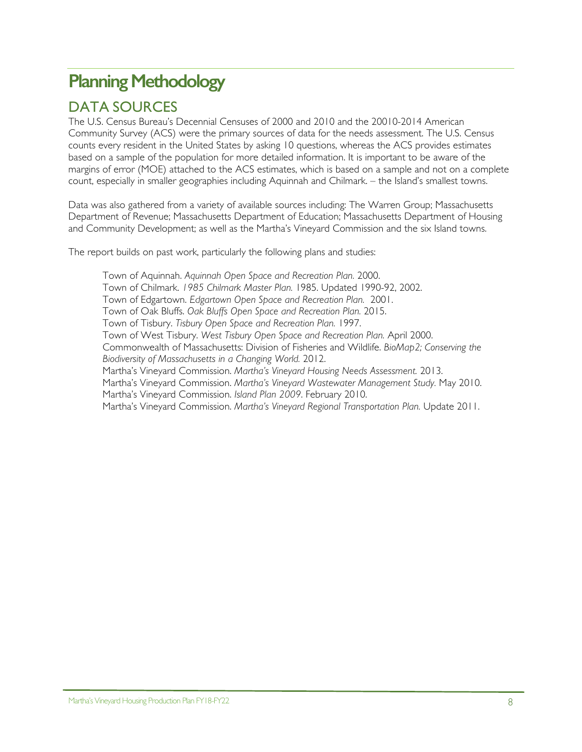# **Planning Methodology**

## DATA SOURCES

The U.S. Census Bureau's Decennial Censuses of 2000 and 2010 and the 20010-2014 American Community Survey (ACS) were the primary sources of data for the needs assessment. The U.S. Census counts every resident in the United States by asking 10 questions, whereas the ACS provides estimates based on a sample of the population for more detailed information. It is important to be aware of the margins of error (MOE) attached to the ACS estimates, which is based on a sample and not on a complete count, especially in smaller geographies including Aquinnah and Chilmark. – the Island's smallest towns.

Data was also gathered from a variety of available sources including: The Warren Group; Massachusetts Department of Revenue; Massachusetts Department of Education; Massachusetts Department of Housing and Community Development; as well as the Martha's Vineyard Commission and the six Island towns.

The report builds on past work, particularly the following plans and studies:

Town of Aquinnah. *Aquinnah Open Space and Recreation Plan.* 2000. Town of Chilmark. *1985 Chilmark Master Plan.* 1985. Updated 1990-92, 2002. Town of Edgartown. *Edgartown Open Space and Recreation Plan.* 2001. Town of Oak Bluffs. *Oak Bluffs Open Space and Recreation Plan.* 2015. Town of Tisbury. *Tisbury Open Space and Recreation Plan.* 1997. Town of West Tisbury. *West Tisbury Open Space and Recreation Plan.* April 2000. Commonwealth of Massachusetts: Division of Fisheries and Wildlife. *BioMap2; Conserving the Biodiversity of Massachusetts in a Changing World.* 2012. Martha's Vineyard Commission. *Martha's Vineyard Housing Needs Assessment.* 2013. Martha's Vineyard Commission. *Martha's Vineyard Wastewater Management Study.* May 2010. Martha's Vineyard Commission. *Island Plan 2009*. February 2010. Martha's Vineyard Commission. *Martha's Vineyard Regional Transportation Plan.* Update 2011.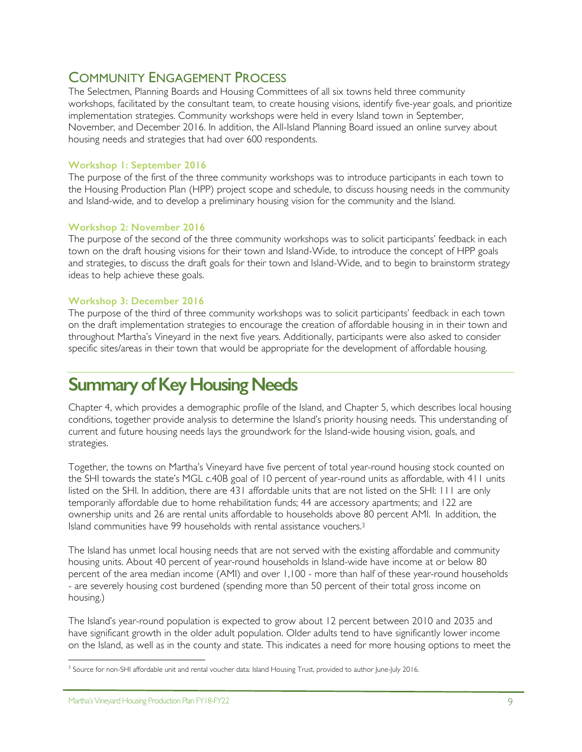## COMMUNITY ENGAGEMENT PROCESS

The Selectmen, Planning Boards and Housing Committees of all six towns held three community workshops, facilitated by the consultant team, to create housing visions, identify five-year goals, and prioritize implementation strategies. Community workshops were held in every Island town in September, November, and December 2016. In addition, the All-Island Planning Board issued an online survey about housing needs and strategies that had over 600 respondents.

#### **Workshop 1: September 2016**

The purpose of the first of the three community workshops was to introduce participants in each town to the Housing Production Plan (HPP) project scope and schedule, to discuss housing needs in the community and Island-wide, and to develop a preliminary housing vision for the community and the Island.

#### **Workshop 2: November 2016**

The purpose of the second of the three community workshops was to solicit participants' feedback in each town on the draft housing visions for their town and Island-Wide, to introduce the concept of HPP goals and strategies, to discuss the draft goals for their town and Island-Wide, and to begin to brainstorm strategy ideas to help achieve these goals.

#### **Workshop 3: December 2016**

The purpose of the third of three community workshops was to solicit participants' feedback in each town on the draft implementation strategies to encourage the creation of affordable housing in in their town and throughout Martha's Vineyard in the next five years. Additionally, participants were also asked to consider specific sites/areas in their town that would be appropriate for the development of affordable housing.

# **Summary of Key Housing Needs**

Chapter 4, which provides a demographic profile of the Island, and Chapter 5, which describes local housing conditions, together provide analysis to determine the Island's priority housing needs. This understanding of current and future housing needs lays the groundwork for the Island-wide housing vision, goals, and strategies.

Together, the towns on Martha's Vineyard have five percent of total year-round housing stock counted on the SHI towards the state's MGL c.40B goal of 10 percent of year-round units as affordable, with 411 units listed on the SHI. In addition, there are 431 affordable units that are not listed on the SHI: 111 are only temporarily affordable due to home rehabilitation funds; 44 are accessory apartments; and 122 are ownership units and 26 are rental units affordable to households above 80 percent AMI. In addition, the Island communities have 99 households with rental assistance vouchers.3

The Island has unmet local housing needs that are not served with the existing affordable and community housing units. About 40 percent of year-round households in Island-wide have income at or below 80 percent of the area median income (AMI) and over 1,100 - more than half of these year-round households - are severely housing cost burdened (spending more than 50 percent of their total gross income on housing.)

The Island's year-round population is expected to grow about 12 percent between 2010 and 2035 and have significant growth in the older adult population. Older adults tend to have significantly lower income on the Island, as well as in the county and state. This indicates a need for more housing options to meet the

 $\overline{a}$ <sup>3</sup> Source for non-SHI affordable unit and rental voucher data: Island Housing Trust, provided to author June-July 2016.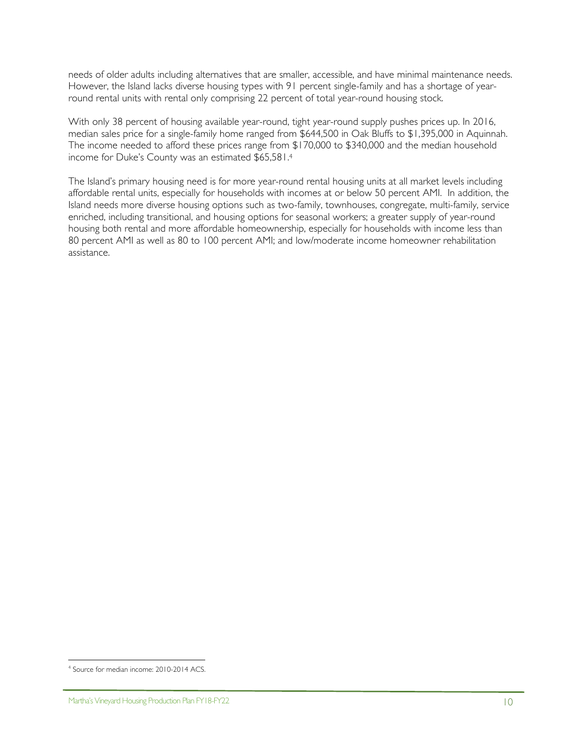needs of older adults including alternatives that are smaller, accessible, and have minimal maintenance needs. However, the Island lacks diverse housing types with 91 percent single-family and has a shortage of yearround rental units with rental only comprising 22 percent of total year-round housing stock.

With only 38 percent of housing available year-round, tight year-round supply pushes prices up. In 2016, median sales price for a single-family home ranged from \$644,500 in Oak Bluffs to \$1,395,000 in Aquinnah. The income needed to afford these prices range from \$170,000 to \$340,000 and the median household income for Duke's County was an estimated \$65,581.4

The Island's primary housing need is for more year-round rental housing units at all market levels including affordable rental units, especially for households with incomes at or below 50 percent AMI. In addition, the Island needs more diverse housing options such as two-family, townhouses, congregate, multi-family, service enriched, including transitional, and housing options for seasonal workers; a greater supply of year-round housing both rental and more affordable homeownership, especially for households with income less than 80 percent AMI as well as 80 to 100 percent AMI; and low/moderate income homeowner rehabilitation assistance.

<sup>&</sup>lt;u>.</u> <sup>4</sup> Source for median income: 2010-2014 ACS.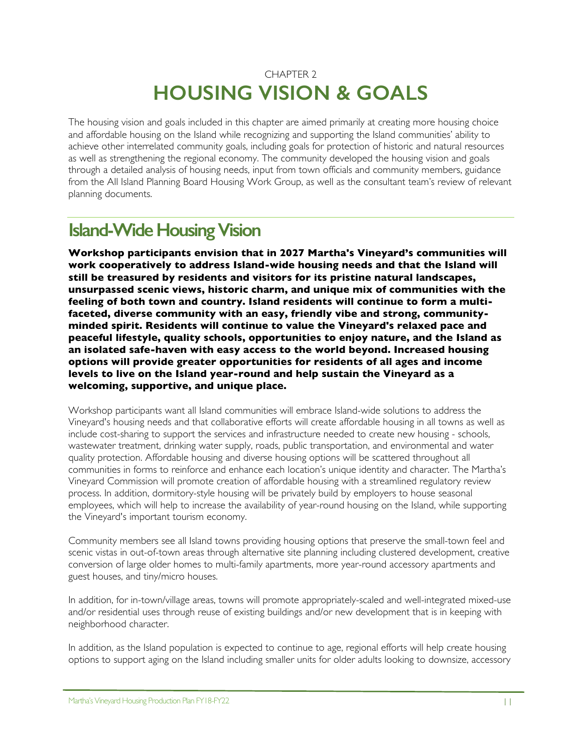## CHAPTER 2 **HOUSING VISION & GOALS**

The housing vision and goals included in this chapter are aimed primarily at creating more housing choice and affordable housing on the Island while recognizing and supporting the Island communities' ability to achieve other interrelated community goals, including goals for protection of historic and natural resources as well as strengthening the regional economy. The community developed the housing vision and goals through a detailed analysis of housing needs, input from town officials and community members, guidance from the All Island Planning Board Housing Work Group, as well as the consultant team's review of relevant planning documents.

# **Island-Wide Housing Vision**

**Workshop participants envision that in 2027 Martha's Vineyard's communities will work cooperatively to address Island-wide housing needs and that the Island will still be treasured by residents and visitors for its pristine natural landscapes, unsurpassed scenic views, historic charm, and unique mix of communities with the feeling of both town and country. Island residents will continue to form a multifaceted, diverse community with an easy, friendly vibe and strong, communityminded spirit. Residents will continue to value the Vineyard's relaxed pace and peaceful lifestyle, quality schools, opportunities to enjoy nature, and the Island as an isolated safe-haven with easy access to the world beyond. Increased housing options will provide greater opportunities for residents of all ages and income levels to live on the Island year-round and help sustain the Vineyard as a welcoming, supportive, and unique place.**

Workshop participants want all Island communities will embrace Island-wide solutions to address the Vineyard's housing needs and that collaborative efforts will create affordable housing in all towns as well as include cost-sharing to support the services and infrastructure needed to create new housing - schools, wastewater treatment, drinking water supply, roads, public transportation, and environmental and water quality protection. Affordable housing and diverse housing options will be scattered throughout all communities in forms to reinforce and enhance each location's unique identity and character. The Martha's Vineyard Commission will promote creation of affordable housing with a streamlined regulatory review process. In addition, dormitory-style housing will be privately build by employers to house seasonal employees, which will help to increase the availability of year-round housing on the Island, while supporting the Vineyard's important tourism economy.

Community members see all Island towns providing housing options that preserve the small-town feel and scenic vistas in out-of-town areas through alternative site planning including clustered development, creative conversion of large older homes to multi-family apartments, more year-round accessory apartments and guest houses, and tiny/micro houses.

In addition, for in-town/village areas, towns will promote appropriately-scaled and well-integrated mixed-use and/or residential uses through reuse of existing buildings and/or new development that is in keeping with neighborhood character.

In addition, as the Island population is expected to continue to age, regional efforts will help create housing options to support aging on the Island including smaller units for older adults looking to downsize, accessory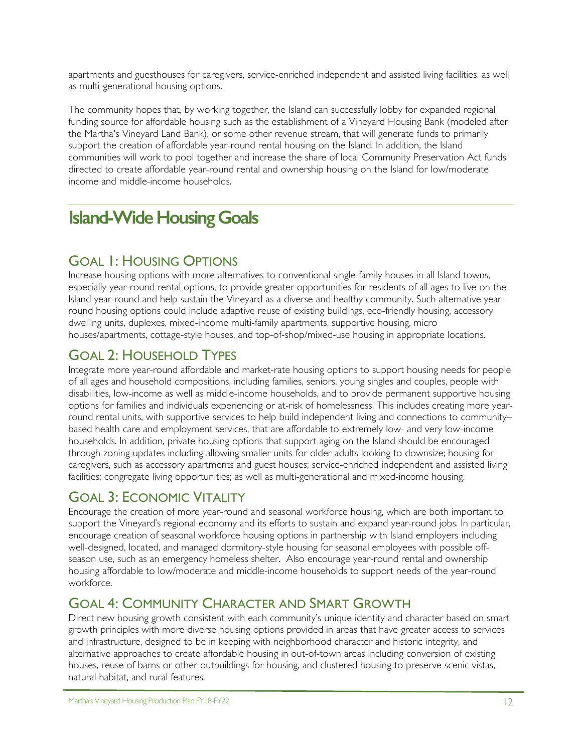apartments and guesthouses for caregivers, service-enriched independent and assisted living facilities, as well as multi-generational housing options.

The community hopes that, by working together, the Island can successfully lobby for expanded regional funding source for affordable housing such as the establishment of a Vineyard Housing Bank (modeled after the Martha's Vineyard Land Bank), or some other revenue stream, that will generate funds to primarily support the creation of affordable year-round rental housing on the Island. In addition, the Island communities will work to pool together and increase the share of local Community Preservation Act funds directed to create affordable year-round rental and ownership housing on the Island for low/moderate income and middle-income households.

# **Island-Wide Housing Goals**

## GOAL 1: HOUSING OPTIONS

Increase housing options with more alternatives to conventional single-family houses in all Island towns, especially year-round rental options, to provide greater opportunities for residents of all ages to live on the Island year-round and help sustain the Vineyard as a diverse and healthy community. Such alternative yearround housing options could include adaptive reuse of existing buildings, eco-friendly housing, accessory dwelling units, duplexes, mixed-income multi-family apartments, supportive housing, micro houses/apartments, cottage-style houses, and top-of-shop/mixed-use housing in appropriate locations.

## GOAL 2: HOUSEHOLD TYPES

Integrate more year-round affordable and market-rate housing options to support housing needs for people of all ages and household compositions, including families, seniors, young singles and couples, people with disabilities, low-income as well as middle-income households, and to provide permanent supportive housing options for families and individuals experiencing or at-risk of homelessness. This includes creating more yearround rental units, with supportive services to help build independent living and connections to community– based health care and employment services, that are affordable to extremely low- and very low-income households. In addition, private housing options that support aging on the Island should be encouraged through zoning updates including allowing smaller units for older adults looking to downsize; housing for caregivers, such as accessory apartments and guest houses; service-enriched independent and assisted living facilities; congregate living opportunities; as well as multi-generational and mixed-income housing.

## GOAL 3: ECONOMIC VITALITY

Encourage the creation of more year-round and seasonal workforce housing, which are both important to support the Vineyard's regional economy and its efforts to sustain and expand year-round jobs. In particular, encourage creation of seasonal workforce housing options in partnership with Island employers including well-designed, located, and managed dormitory-style housing for seasonal employees with possible offseason use, such as an emergency homeless shelter. Also encourage year-round rental and ownership housing affordable to low/moderate and middle-income households to support needs of the year-round workforce.

## GOAL 4: COMMUNITY CHARACTER AND SMART GROWTH

Direct new housing growth consistent with each community's unique identity and character based on smart growth principles with more diverse housing options provided in areas that have greater access to services and infrastructure, designed to be in keeping with neighborhood character and historic integrity, and alternative approaches to create affordable housing in out-of-town areas including conversion of existing houses, reuse of barns or other outbuildings for housing, and clustered housing to preserve scenic vistas, natural habitat, and rural features.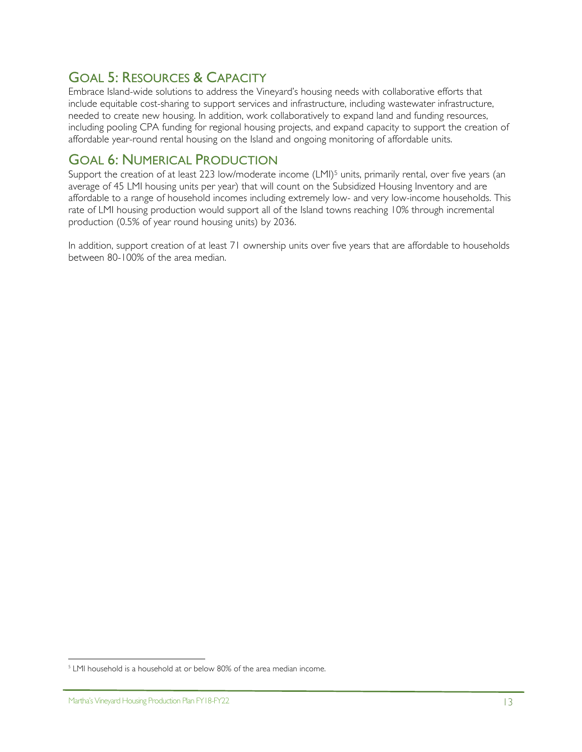## GOAL 5: RESOURCES & CAPACITY

Embrace Island-wide solutions to address the Vineyard's housing needs with collaborative efforts that include equitable cost-sharing to support services and infrastructure, including wastewater infrastructure, needed to create new housing. In addition, work collaboratively to expand land and funding resources, including pooling CPA funding for regional housing projects, and expand capacity to support the creation of affordable year-round rental housing on the Island and ongoing monitoring of affordable units.

## GOAL 6: NUMERICAL PRODUCTION

Support the creation of at least 223 low/moderate income (LMI)<sup>5</sup> units, primarily rental, over five years (an average of 45 LMI housing units per year) that will count on the Subsidized Housing Inventory and are affordable to a range of household incomes including extremely low- and very low-income households. This rate of LMI housing production would support all of the Island towns reaching 10% through incremental production (0.5% of year round housing units) by 2036.

In addition, support creation of at least 71 ownership units over five years that are affordable to households between 80-100% of the area median.

 $\overline{a}$ 

<sup>&</sup>lt;sup>5</sup> LMI household is a household at or below 80% of the area median income.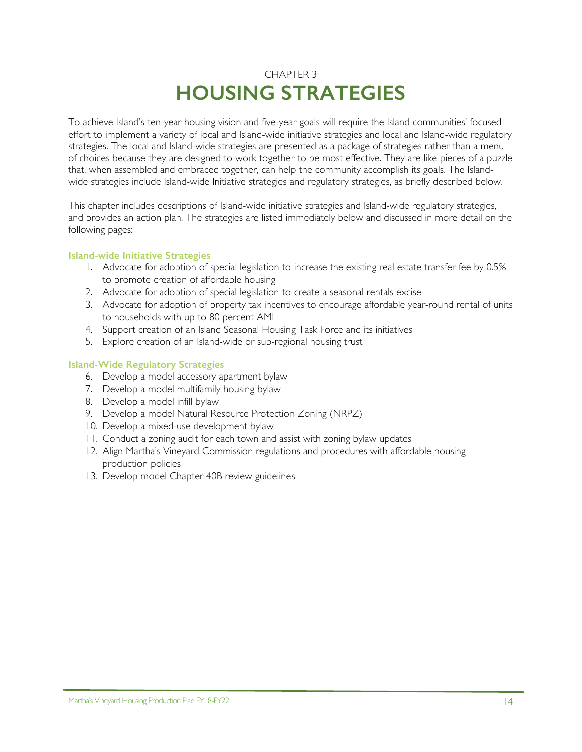## CHAPTER 3 **HOUSING STRATEGIES**

To achieve Island's ten-year housing vision and five-year goals will require the Island communities' focused effort to implement a variety of local and Island-wide initiative strategies and local and Island-wide regulatory strategies. The local and Island-wide strategies are presented as a package of strategies rather than a menu of choices because they are designed to work together to be most effective. They are like pieces of a puzzle that, when assembled and embraced together, can help the community accomplish its goals. The Islandwide strategies include Island-wide Initiative strategies and regulatory strategies, as briefly described below.

This chapter includes descriptions of Island-wide initiative strategies and Island-wide regulatory strategies, and provides an action plan. The strategies are listed immediately below and discussed in more detail on the following pages:

#### **Island-wide Initiative Strategies**

- 1. Advocate for adoption of special legislation to increase the existing real estate transfer fee by 0.5% to promote creation of affordable housing
- 2. Advocate for adoption of special legislation to create a seasonal rentals excise
- 3. Advocate for adoption of property tax incentives to encourage affordable year-round rental of units to households with up to 80 percent AMI
- 4. Support creation of an Island Seasonal Housing Task Force and its initiatives
- 5. Explore creation of an Island-wide or sub-regional housing trust

#### **Island-Wide Regulatory Strategies**

- 6. Develop a model accessory apartment bylaw
- 7. Develop a model multifamily housing bylaw
- 8. Develop a model infill bylaw
- 9. Develop a model Natural Resource Protection Zoning (NRPZ)
- 10. Develop a mixed-use development bylaw
- 11. Conduct a zoning audit for each town and assist with zoning bylaw updates
- 12. Align Martha's Vineyard Commission regulations and procedures with affordable housing production policies
- 13. Develop model Chapter 40B review guidelines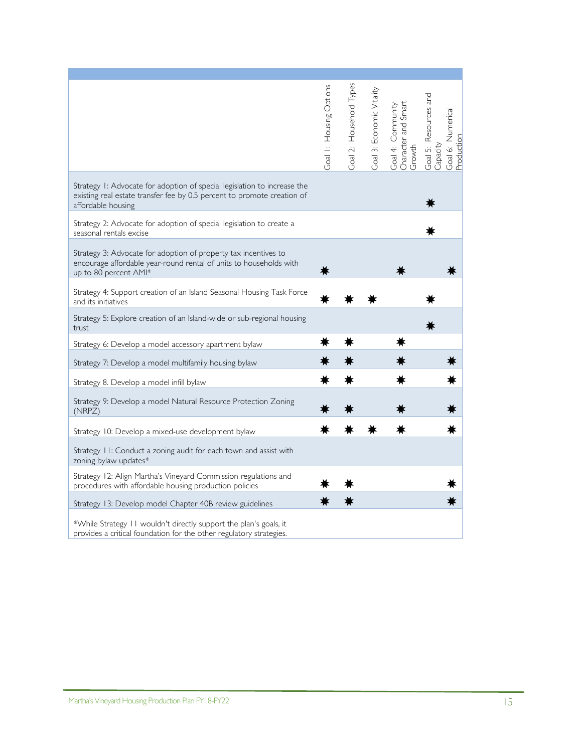|                                                                                                                                                                           | Goal I: Housing Options | Goal 2: Household Types | Goal 3: Economic Vitality | and Smart<br>Goal 4: Community<br>Character<br>Growth | Goal 5: Resources and<br>Capacity | Goal 6: Numerical<br>Production |
|---------------------------------------------------------------------------------------------------------------------------------------------------------------------------|-------------------------|-------------------------|---------------------------|-------------------------------------------------------|-----------------------------------|---------------------------------|
| Strategy 1: Advocate for adoption of special legislation to increase the<br>existing real estate transfer fee by 0.5 percent to promote creation of<br>affordable housing |                         |                         |                           |                                                       |                                   |                                 |
| Strategy 2: Advocate for adoption of special legislation to create a<br>seasonal rentals excise                                                                           |                         |                         |                           |                                                       |                                   |                                 |
| Strategy 3: Advocate for adoption of property tax incentives to<br>encourage affordable year-round rental of units to households with<br>up to 80 percent AMI*            |                         |                         |                           |                                                       |                                   |                                 |
| Strategy 4: Support creation of an Island Seasonal Housing Task Force<br>and its initiatives                                                                              |                         |                         |                           |                                                       |                                   |                                 |
| Strategy 5: Explore creation of an Island-wide or sub-regional housing<br>trust                                                                                           |                         |                         |                           |                                                       |                                   |                                 |
| Strategy 6: Develop a model accessory apartment bylaw                                                                                                                     |                         |                         |                           |                                                       |                                   |                                 |
| Strategy 7: Develop a model multifamily housing bylaw                                                                                                                     |                         |                         |                           |                                                       |                                   |                                 |
| Strategy 8. Develop a model infill bylaw                                                                                                                                  |                         |                         |                           |                                                       |                                   |                                 |
| Strategy 9: Develop a model Natural Resource Protection Zoning<br>(NRPZ)                                                                                                  |                         |                         |                           |                                                       |                                   |                                 |
| Strategy 10: Develop a mixed-use development bylaw                                                                                                                        |                         |                         |                           |                                                       |                                   |                                 |
| Strategy 11: Conduct a zoning audit for each town and assist with<br>zoning bylaw updates*                                                                                |                         |                         |                           |                                                       |                                   |                                 |
| Strategy 12: Align Martha's Vineyard Commission regulations and<br>procedures with affordable housing production policies                                                 |                         |                         |                           |                                                       |                                   |                                 |
| Strategy 13: Develop model Chapter 40B review guidelines                                                                                                                  |                         |                         |                           |                                                       |                                   |                                 |
| *While Strategy 11 wouldn't directly support the plan's goals, it<br>provides a critical foundation for the other regulatory strategies.                                  |                         |                         |                           |                                                       |                                   |                                 |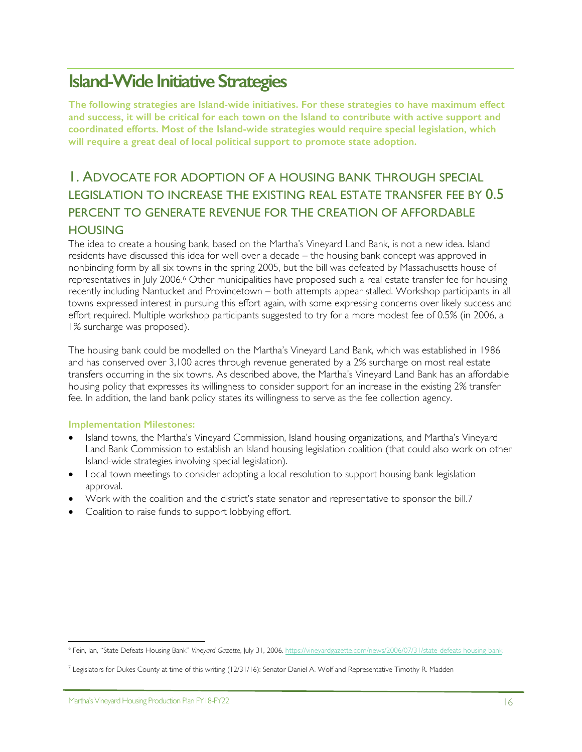# **Island-Wide Initiative Strategies**

**The following strategies are Island-wide initiatives. For these strategies to have maximum effect and success, it will be critical for each town on the Island to contribute with active support and coordinated efforts. Most of the Island-wide strategies would require special legislation, which will require a great deal of local political support to promote state adoption.**

## 1. ADVOCATE FOR ADOPTION OF A HOUSING BANK THROUGH SPECIAL LEGISLATION TO INCREASE THE EXISTING REAL ESTATE TRANSFER FEE BY 0.5 PERCENT TO GENERATE REVENUE FOR THE CREATION OF AFFORDABLE **HOUSING**

The idea to create a housing bank, based on the Martha's Vineyard Land Bank, is not a new idea. Island residents have discussed this idea for well over a decade – the housing bank concept was approved in nonbinding form by all six towns in the spring 2005, but the bill was defeated by Massachusetts house of representatives in July 2006.6 Other municipalities have proposed such a real estate transfer fee for housing recently including Nantucket and Provincetown – both attempts appear stalled. Workshop participants in all towns expressed interest in pursuing this effort again, with some expressing concerns over likely success and effort required. Multiple workshop participants suggested to try for a more modest fee of 0.5% (in 2006, a 1% surcharge was proposed).

The housing bank could be modelled on the Martha's Vineyard Land Bank, which was established in 1986 and has conserved over 3,100 acres through revenue generated by a 2% surcharge on most real estate transfers occurring in the six towns. As described above, the Martha's Vineyard Land Bank has an affordable housing policy that expresses its willingness to consider support for an increase in the existing 2% transfer fee. In addition, the land bank policy states its willingness to serve as the fee collection agency.

#### **Implementation Milestones:**

- Island towns, the Martha's Vineyard Commission, Island housing organizations, and Martha's Vineyard Land Bank Commission to establish an Island housing legislation coalition (that could also work on other Island-wide strategies involving special legislation).
- Local town meetings to consider adopting a local resolution to support housing bank legislation approval.
- Work with the coalition and the district's state senator and representative to sponsor the bill.7
- Coalition to raise funds to support lobbying effort.

 <sup>6</sup> Fein, Ian, "State Defeats Housing Bank" *Vineyard Gazette*, July 31, 2006. https://vineyardgazette.com/news/2006/07/31/state-defeats-housing-bank

 $^7$  Legislators for Dukes County at time of this writing (12/31/16): Senator Daniel A. Wolf and Representative Timothy R. Madden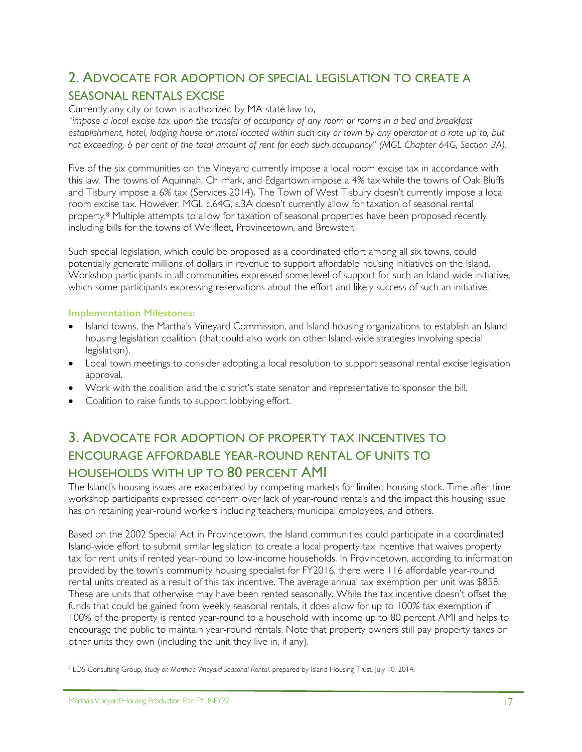## 2. ADVOCATE FOR ADOPTION OF SPECIAL LEGISLATION TO CREATE A SEASONAL RENTALS EXCISE

Currently any city or town is authorized by MA state law to,

*"impose a local excise tax upon the transfer of occupancy of any room or rooms in a bed and breakfast establishment, hotel, lodging house or motel located within such city or town by any operator at a rate up to, but*  not exceeding, 6 per cent of the total amount of rent for each such occupancy" (MGL Chapter 64G, Section 3A).

Five of the six communities on the Vineyard currently impose a local room excise tax in accordance with this law. The towns of Aquinnah, Chilmark, and Edgartown impose a 4% tax while the towns of Oak Bluffs and Tisbury impose a 6% tax (Services 2014). The Town of West Tisbury doesn't currently impose a local room excise tax. However, MGL c.64G, s.3A doesn't currently allow for taxation of seasonal rental property.<sup>8</sup> Multiple attempts to allow for taxation of seasonal properties have been proposed recently including bills for the towns of Wellfleet, Provincetown, and Brewster.

Such special legislation, which could be proposed as a coordinated effort among all six towns, could potentially generate millions of dollars in revenue to support affordable housing initiatives on the Island. Workshop participants in all communities expressed some level of support for such an Island-wide initiative, which some participants expressing reservations about the effort and likely success of such an initiative.

#### **Implementation Milestones:**

- Island towns, the Martha's Vineyard Commission, and Island housing organizations to establish an Island housing legislation coalition (that could also work on other Island-wide strategies involving special legislation).
- Local town meetings to consider adopting a local resolution to support seasonal rental excise legislation approval.
- Work with the coalition and the district's state senator and representative to sponsor the bill.
- Coalition to raise funds to support lobbying effort.

## 3. ADVOCATE FOR ADOPTION OF PROPERTY TAX INCENTIVES TO ENCOURAGE AFFORDABLE YEAR-ROUND RENTAL OF UNITS TO HOUSEHOLDS WITH UP TO 80 PERCENT AMI

The Island's housing issues are exacerbated by competing markets for limited housing stock. Time after time workshop participants expressed concern over lack of year-round rentals and the impact this housing issue has on retaining year-round workers including teachers, municipal employees, and others.

Based on the 2002 Special Act in Provincetown, the Island communities could participate in a coordinated Island-wide effort to submit similar legislation to create a local property tax incentive that waives property tax for rent units if rented year-round to low-income households. In Provincetown, according to information provided by the town's community housing specialist for FY2016, there were 116 affordable year-round rental units created as a result of this tax incentive. The average annual tax exemption per unit was \$858. These are units that otherwise may have been rented seasonally. While the tax incentive doesn't offset the funds that could be gained from weekly seasonal rentals, it does allow for up to 100% tax exemption if 100% of the property is rented year-round to a household with income up to 80 percent AMI and helps to encourage the public to maintain year-round rentals. Note that property owners still pay property taxes on other units they own (including the unit they live in, if any).

 $\overline{a}$ <sup>8</sup> LDS Consulting Group, *Study on Martha's Vineyard Seasonal Rental*, prepared by Island Housing Trust, July 10, 2014.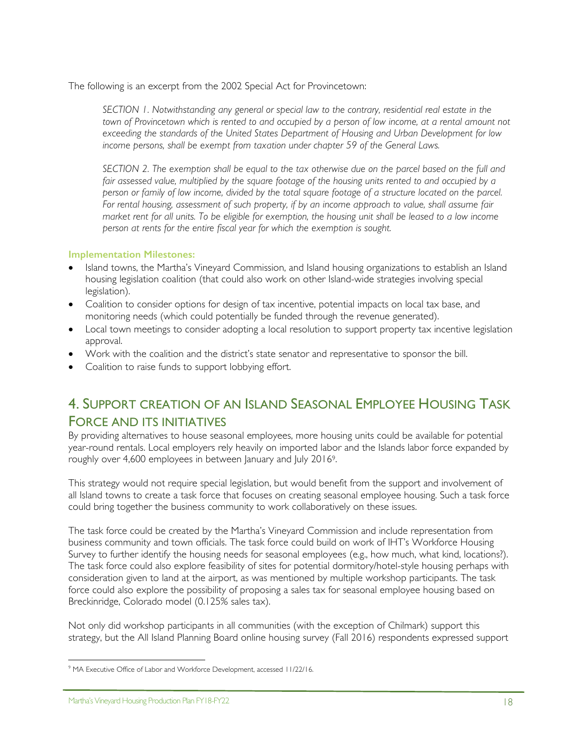The following is an excerpt from the 2002 Special Act for Provincetown:

*SECTION 1. Notwithstanding any general or special law to the contrary, residential real estate in the*  town of Provincetown which is rented to and occupied by a person of low income, at a rental amount not *exceeding the standards of the United States Department of Housing and Urban Development for low income persons, shall be exempt from taxation under chapter 59 of the General Laws.* 

*SECTION 2. The exemption shall be equal to the tax otherwise due on the parcel based on the full and fair assessed value, multiplied by the square footage of the housing units rented to and occupied by a person or family of low income, divided by the total square footage of a structure located on the parcel. For rental housing, assessment of such property, if by an income approach to value, shall assume fair market rent for all units. To be eligible for exemption, the housing unit shall be leased to a low income person at rents for the entire fiscal year for which the exemption is sought.* 

#### **Implementation Milestones:**

- Island towns, the Martha's Vineyard Commission, and Island housing organizations to establish an Island housing legislation coalition (that could also work on other Island-wide strategies involving special legislation).
- Coalition to consider options for design of tax incentive, potential impacts on local tax base, and monitoring needs (which could potentially be funded through the revenue generated).
- Local town meetings to consider adopting a local resolution to support property tax incentive legislation approval.
- Work with the coalition and the district's state senator and representative to sponsor the bill.
- Coalition to raise funds to support lobbying effort.

## 4. SUPPORT CREATION OF AN ISLAND SEASONAL EMPLOYEE HOUSING TASK FORCE AND ITS INITIATIVES

By providing alternatives to house seasonal employees, more housing units could be available for potential year-round rentals. Local employers rely heavily on imported labor and the Islands labor force expanded by roughly over 4,600 employees in between January and July 20169.

This strategy would not require special legislation, but would benefit from the support and involvement of all Island towns to create a task force that focuses on creating seasonal employee housing. Such a task force could bring together the business community to work collaboratively on these issues.

The task force could be created by the Martha's Vineyard Commission and include representation from business community and town officials. The task force could build on work of IHT's Workforce Housing Survey to further identify the housing needs for seasonal employees (e.g., how much, what kind, locations?). The task force could also explore feasibility of sites for potential dormitory/hotel-style housing perhaps with consideration given to land at the airport, as was mentioned by multiple workshop participants. The task force could also explore the possibility of proposing a sales tax for seasonal employee housing based on Breckinridge, Colorado model (0.125% sales tax).

Not only did workshop participants in all communities (with the exception of Chilmark) support this strategy, but the All Island Planning Board online housing survey (Fall 2016) respondents expressed support

#### Martha's Vineyard Housing Production Plan FY18-FY22 18

 $\overline{a}$ <sup>9</sup> MA Executive Office of Labor and Workforce Development, accessed 11/22/16.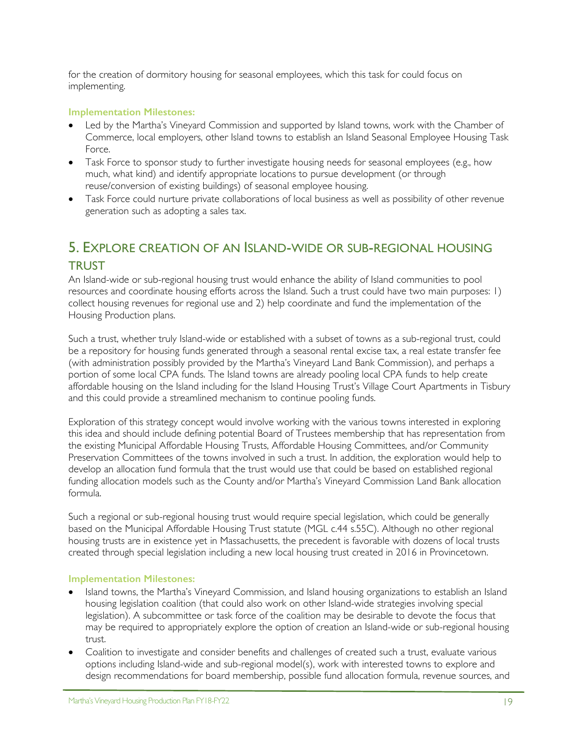for the creation of dormitory housing for seasonal employees, which this task for could focus on implementing.

#### **Implementation Milestones:**

- Led by the Martha's Vineyard Commission and supported by Island towns, work with the Chamber of Commerce, local employers, other Island towns to establish an Island Seasonal Employee Housing Task Force.
- Task Force to sponsor study to further investigate housing needs for seasonal employees (e.g., how much, what kind) and identify appropriate locations to pursue development (or through reuse/conversion of existing buildings) of seasonal employee housing.
- Task Force could nurture private collaborations of local business as well as possibility of other revenue generation such as adopting a sales tax.

## 5. EXPLORE CREATION OF AN ISLAND-WIDE OR SUB-REGIONAL HOUSING **TRUST**

An Island-wide or sub-regional housing trust would enhance the ability of Island communities to pool resources and coordinate housing efforts across the Island. Such a trust could have two main purposes: 1) collect housing revenues for regional use and 2) help coordinate and fund the implementation of the Housing Production plans.

Such a trust, whether truly Island-wide or established with a subset of towns as a sub-regional trust, could be a repository for housing funds generated through a seasonal rental excise tax, a real estate transfer fee (with administration possibly provided by the Martha's Vineyard Land Bank Commission), and perhaps a portion of some local CPA funds. The Island towns are already pooling local CPA funds to help create affordable housing on the Island including for the Island Housing Trust's Village Court Apartments in Tisbury and this could provide a streamlined mechanism to continue pooling funds.

Exploration of this strategy concept would involve working with the various towns interested in exploring this idea and should include defining potential Board of Trustees membership that has representation from the existing Municipal Affordable Housing Trusts, Affordable Housing Committees, and/or Community Preservation Committees of the towns involved in such a trust. In addition, the exploration would help to develop an allocation fund formula that the trust would use that could be based on established regional funding allocation models such as the County and/or Martha's Vineyard Commission Land Bank allocation formula.

Such a regional or sub-regional housing trust would require special legislation, which could be generally based on the Municipal Affordable Housing Trust statute (MGL c.44 s.55C). Although no other regional housing trusts are in existence yet in Massachusetts, the precedent is favorable with dozens of local trusts created through special legislation including a new local housing trust created in 2016 in Provincetown.

#### **Implementation Milestones:**

- Island towns, the Martha's Vineyard Commission, and Island housing organizations to establish an Island housing legislation coalition (that could also work on other Island-wide strategies involving special legislation). A subcommittee or task force of the coalition may be desirable to devote the focus that may be required to appropriately explore the option of creation an Island-wide or sub-regional housing trust.
- Coalition to investigate and consider benefits and challenges of created such a trust, evaluate various options including Island-wide and sub-regional model(s), work with interested towns to explore and design recommendations for board membership, possible fund allocation formula, revenue sources, and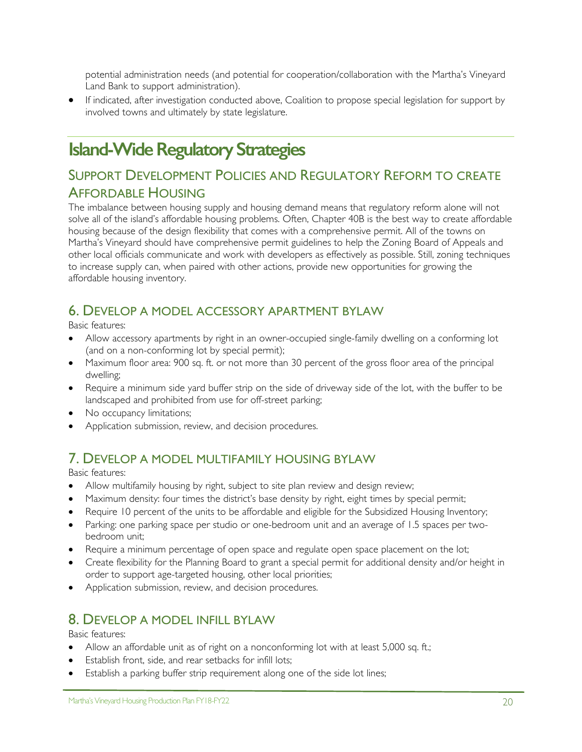potential administration needs (and potential for cooperation/collaboration with the Martha's Vineyard Land Bank to support administration).

• If indicated, after investigation conducted above, Coalition to propose special legislation for support by involved towns and ultimately by state legislature.

# **Island-Wide Regulatory Strategies**

## SUPPORT DEVELOPMENT POLICIES AND REGULATORY REFORM TO CREATE AFFORDABLE HOUSING

The imbalance between housing supply and housing demand means that regulatory reform alone will not solve all of the island's affordable housing problems. Often, Chapter 40B is the best way to create affordable housing because of the design flexibility that comes with a comprehensive permit. All of the towns on Martha's Vineyard should have comprehensive permit guidelines to help the Zoning Board of Appeals and other local officials communicate and work with developers as effectively as possible. Still, zoning techniques to increase supply can, when paired with other actions, provide new opportunities for growing the affordable housing inventory.

## 6. DEVELOP A MODEL ACCESSORY APARTMENT BYLAW

Basic features:

- Allow accessory apartments by right in an owner-occupied single-family dwelling on a conforming lot (and on a non-conforming lot by special permit);
- Maximum floor area: 900 sq. ft. or not more than 30 percent of the gross floor area of the principal dwelling;
- Require a minimum side yard buffer strip on the side of driveway side of the lot, with the buffer to be landscaped and prohibited from use for off-street parking;
- No occupancy limitations;
- Application submission, review, and decision procedures.

## 7. DEVELOP A MODEL MULTIFAMILY HOUSING BYLAW

Basic features:

- Allow multifamily housing by right, subject to site plan review and design review;
- Maximum density: four times the district's base density by right, eight times by special permit;
- Require 10 percent of the units to be affordable and eligible for the Subsidized Housing Inventory;
- Parking: one parking space per studio or one-bedroom unit and an average of 1.5 spaces per twobedroom unit;
- Require a minimum percentage of open space and regulate open space placement on the lot;
- Create flexibility for the Planning Board to grant a special permit for additional density and/or height in order to support age-targeted housing, other local priorities;
- Application submission, review, and decision procedures.

## 8. DEVELOP A MODEL INFILL BYLAW

Basic features:

- Allow an affordable unit as of right on a nonconforming lot with at least 5,000 sq. ft.;
- Establish front, side, and rear setbacks for infill lots;
- Establish a parking buffer strip requirement along one of the side lot lines;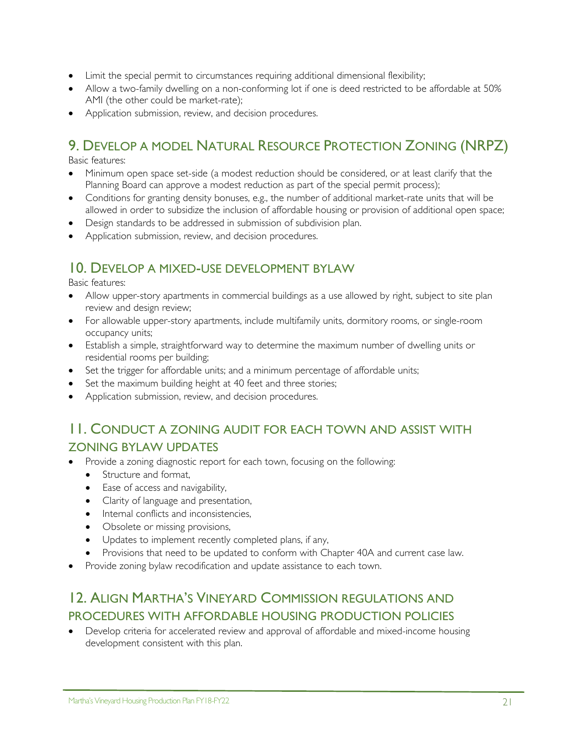- Limit the special permit to circumstances requiring additional dimensional flexibility;
- Allow a two-family dwelling on a non-conforming lot if one is deed restricted to be affordable at 50% AMI (the other could be market-rate);
- Application submission, review, and decision procedures.

## 9. DEVELOP A MODEL NATURAL RESOURCE PROTECTION ZONING (NRPZ)

Basic features:

- Minimum open space set-side (a modest reduction should be considered, or at least clarify that the Planning Board can approve a modest reduction as part of the special permit process);
- Conditions for granting density bonuses, e.g., the number of additional market-rate units that will be allowed in order to subsidize the inclusion of affordable housing or provision of additional open space;
- Design standards to be addressed in submission of subdivision plan.
- Application submission, review, and decision procedures.

### 10. DEVELOP A MIXED-USE DEVELOPMENT BYLAW

Basic features:

- Allow upper-story apartments in commercial buildings as a use allowed by right, subject to site plan review and design review;
- For allowable upper-story apartments, include multifamily units, dormitory rooms, or single-room occupancy units;
- Establish a simple, straightforward way to determine the maximum number of dwelling units or residential rooms per building;
- Set the trigger for affordable units; and a minimum percentage of affordable units;
- Set the maximum building height at 40 feet and three stories;
- Application submission, review, and decision procedures.

## 11. CONDUCT A ZONING AUDIT FOR EACH TOWN AND ASSIST WITH ZONING BYLAW UPDATES

- Provide a zoning diagnostic report for each town, focusing on the following:
	- Structure and format,
	- Ease of access and navigability,
	- Clarity of language and presentation,
	- Internal conflicts and inconsistencies,
	- Obsolete or missing provisions,
	- Updates to implement recently completed plans, if any,
	- Provisions that need to be updated to conform with Chapter 40A and current case law.
- Provide zoning bylaw recodification and update assistance to each town.

## 12. ALIGN MARTHA'S VINEYARD COMMISSION REGULATIONS AND PROCEDURES WITH AFFORDABLE HOUSING PRODUCTION POLICIES

• Develop criteria for accelerated review and approval of affordable and mixed-income housing development consistent with this plan.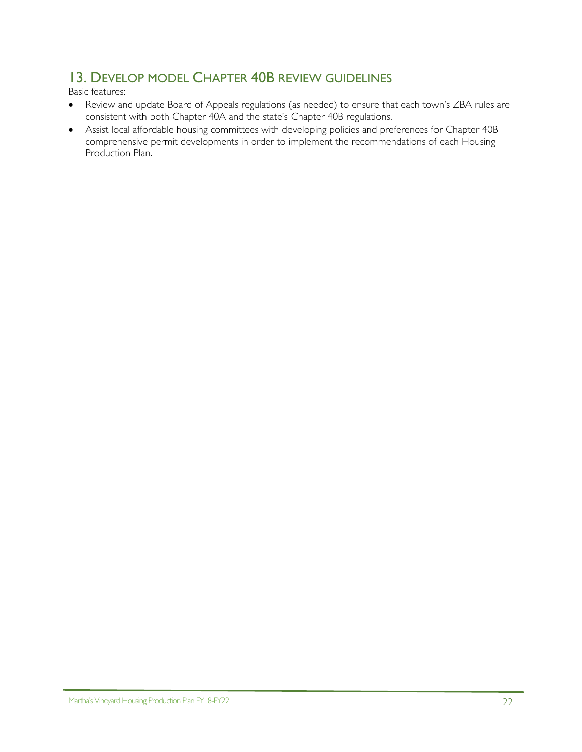## 13. DEVELOP MODEL CHAPTER 40B REVIEW GUIDELINES

Basic features:

- Review and update Board of Appeals regulations (as needed) to ensure that each town's ZBA rules are consistent with both Chapter 40A and the state's Chapter 40B regulations.
- Assist local affordable housing committees with developing policies and preferences for Chapter 40B comprehensive permit developments in order to implement the recommendations of each Housing Production Plan.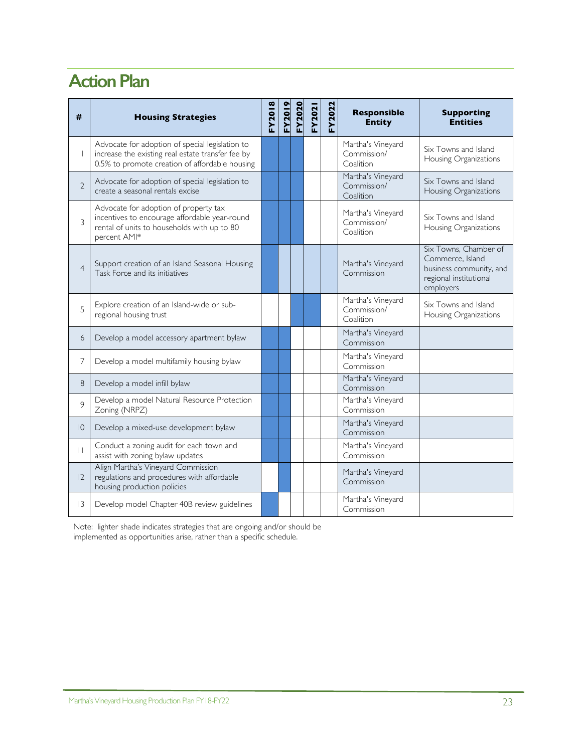# **Action Plan**

| #                        | <b>Housing Strategies</b>                                                                                                                              | FY2018 | <u>EY2019</u> | <b>FY2020</b> | FY2021 | FY2022 | <b>Responsible</b><br><b>Entity</b>           | <b>Supporting</b><br><b>Entities</b>                                                                        |
|--------------------------|--------------------------------------------------------------------------------------------------------------------------------------------------------|--------|---------------|---------------|--------|--------|-----------------------------------------------|-------------------------------------------------------------------------------------------------------------|
| $\overline{\phantom{a}}$ | Advocate for adoption of special legislation to<br>increase the existing real estate transfer fee by<br>0.5% to promote creation of affordable housing |        |               |               |        |        | Martha's Vineyard<br>Commission/<br>Coalition | Six Towns and Island<br>Housing Organizations                                                               |
| $\overline{2}$           | Advocate for adoption of special legislation to<br>create a seasonal rentals excise                                                                    |        |               |               |        |        | Martha's Vineyard<br>Commission/<br>Coalition | Six Towns and Island<br>Housing Organizations                                                               |
| 3                        | Advocate for adoption of property tax<br>incentives to encourage affordable year-round<br>rental of units to households with up to 80<br>percent AMI*  |        |               |               |        |        | Martha's Vineyard<br>Commission/<br>Coalition | Six Towns and Island<br>Housing Organizations                                                               |
| $\overline{4}$           | Support creation of an Island Seasonal Housing<br>Task Force and its initiatives                                                                       |        |               |               |        |        | Martha's Vineyard<br>Commission               | Six Towns, Chamber of<br>Commerce, Island<br>business community, and<br>regional institutional<br>employers |
| 5                        | Explore creation of an Island-wide or sub-<br>regional housing trust                                                                                   |        |               |               |        |        | Martha's Vineyard<br>Commission/<br>Coalition | Six Towns and Island<br>Housing Organizations                                                               |
| 6                        | Develop a model accessory apartment bylaw                                                                                                              |        |               |               |        |        | Martha's Vineyard<br>Commission               |                                                                                                             |
| 7                        | Develop a model multifamily housing bylaw                                                                                                              |        |               |               |        |        | Martha's Vineyard<br>Commission               |                                                                                                             |
| 8                        | Develop a model infill bylaw                                                                                                                           |        |               |               |        |        | Martha's Vineyard<br>Commission               |                                                                                                             |
| 9                        | Develop a model Natural Resource Protection<br>Zoning (NRPZ)                                                                                           |        |               |               |        |        | Martha's Vineyard<br>Commission               |                                                                                                             |
| $ 0\rangle$              | Develop a mixed-use development bylaw                                                                                                                  |        |               |               |        |        | Martha's Vineyard<br>Commission               |                                                                                                             |
| П                        | Conduct a zoning audit for each town and<br>assist with zoning bylaw updates                                                                           |        |               |               |        |        | Martha's Vineyard<br>Commission               |                                                                                                             |
| 2                        | Align Martha's Vineyard Commission<br>regulations and procedures with affordable<br>housing production policies                                        |        |               |               |        |        | Martha's Vineyard<br>Commission               |                                                                                                             |
| $\overline{13}$          | Develop model Chapter 40B review guidelines                                                                                                            |        |               |               |        |        | Martha's Vineyard<br>Commission               |                                                                                                             |

Note: lighter shade indicates strategies that are ongoing and/or should be implemented as opportunities arise, rather than a specific schedule.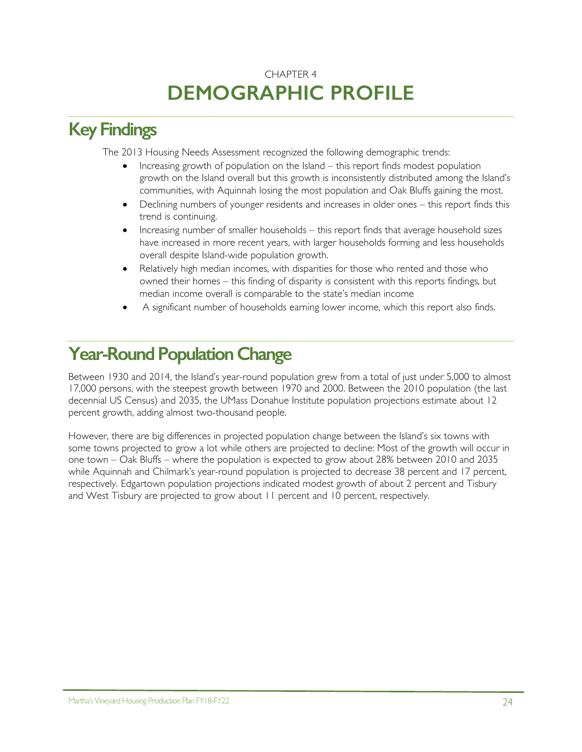## CHAPTER 4 **DEMOGRAPHIC PROFILE**

# **Key Findings**

The 2013 Housing Needs Assessment recognized the following demographic trends:

- Increasing growth of population on the Island this report finds modest population growth on the Island overall but this growth is inconsistently distributed among the Island's communities, with Aquinnah losing the most population and Oak Bluffs gaining the most.
- Declining numbers of younger residents and increases in older ones this report finds this trend is continuing.
- Increasing number of smaller households this report finds that average household sizes have increased in more recent years, with larger households forming and less households overall despite Island-wide population growth.
- Relatively high median incomes, with disparities for those who rented and those who owned their homes – this finding of disparity is consistent with this reports findings, but median income overall is comparable to the state's median income
- A significant number of households earning lower income, which this report also finds.

# **Year-Round Population Change**

Between 1930 and 2014, the Island's year-round population grew from a total of just under 5,000 to almost 17,000 persons, with the steepest growth between 1970 and 2000. Between the 2010 population (the last decennial US Census) and 2035, the UMass Donahue Institute population projections estimate about 12 percent growth, adding almost two-thousand people.

However, there are big differences in projected population change between the Island's six towns with some towns projected to grow a lot while others are projected to decline: Most of the growth will occur in one town – Oak Bluffs – where the population is expected to grow about 28% between 2010 and 2035 while Aquinnah and Chilmark's year-round population is projected to decrease 38 percent and 17 percent, respectively. Edgartown population projections indicated modest growth of about 2 percent and Tisbury and West Tisbury are projected to grow about 11 percent and 10 percent, respectively.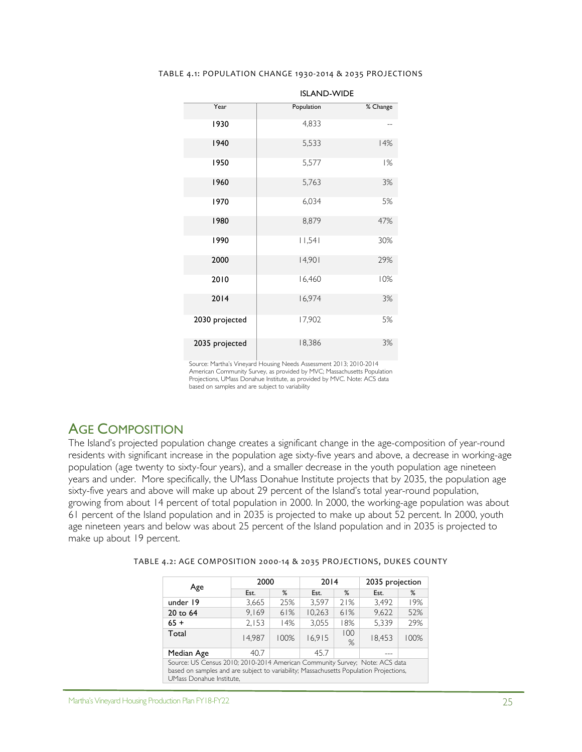#### TABLE 4.1: POPULATION CHANGE 1930-2014 & 2035 PROJECTIONS

| Year           | Population | % Change |
|----------------|------------|----------|
| 1930           | 4,833      |          |
| 1940           | 5,533      | 14%      |
| 1950           | 5,577      | 1%       |
| 1960           | 5,763      | 3%       |
| 1970           | 6,034      | 5%       |
| 1980           | 8,879      | 47%      |
| 1990           | 11,541     | 30%      |
| 2000           | 14,901     | 29%      |
| 2010           | 16,460     | 10%      |
| 2014           | 16,974     | 3%       |
| 2030 projected | 17,902     | 5%       |
| 2035 projected | 18,386     | 3%       |

ISLAND-WIDE

Source: Martha's Vineyard Housing Needs Assessment 2013; 2010-2014 American Community Survey, as provided by MVC; Massachusetts Population Projections, UMass Donahue Institute, as provided by MVC. Note: ACS data based on samples and are subject to variability

### AGE COMPOSITION

The Island's projected population change creates a significant change in the age-composition of year-round residents with significant increase in the population age sixty-five years and above, a decrease in working-age population (age twenty to sixty-four years), and a smaller decrease in the youth population age nineteen years and under. More specifically, the UMass Donahue Institute projects that by 2035, the population age sixty-five years and above will make up about 29 percent of the Island's total year-round population, growing from about 14 percent of total population in 2000. In 2000, the working-age population was about 61 percent of the Island population and in 2035 is projected to make up about 52 percent. In 2000, youth age nineteen years and below was about 25 percent of the Island population and in 2035 is projected to make up about 19 percent.

| TABLE 4.2: AGE COMPOSITION 2000-14 & 2035 PROJECTIONS, DUKES COUNTY |  |  |
|---------------------------------------------------------------------|--|--|
|                                                                     |  |  |

| Age                                                                                                                                                                                               | 2000   |      | 2014   |          | 2035 projection |      |  |
|---------------------------------------------------------------------------------------------------------------------------------------------------------------------------------------------------|--------|------|--------|----------|-----------------|------|--|
|                                                                                                                                                                                                   | Est.   | $\%$ | Est.   | $\%$     | Est.            | %    |  |
| under 19                                                                                                                                                                                          | 3,665  | 25%  | 3,597  | 21%      | 3.492           | 19%  |  |
| 20 to 64                                                                                                                                                                                          | 9.169  | 61%  | 10,263 | 61%      | 9.622           | 52%  |  |
| $65 +$                                                                                                                                                                                            | 2.153  | 14%  | 3,055  | 18%      | 5.339           | 29%  |  |
| Total                                                                                                                                                                                             | 14.987 | 100% | 16.915 | 100<br>% | 18,453          | 100% |  |
| Median Age                                                                                                                                                                                        | 40.7   |      | 45.7   |          |                 |      |  |
| Source: US Census 2010; 2010-2014 American Community Survey; Note: ACS data<br>based on samples and are subject to variability; Massachusetts Population Projections,<br>UMass Donahue Institute. |        |      |        |          |                 |      |  |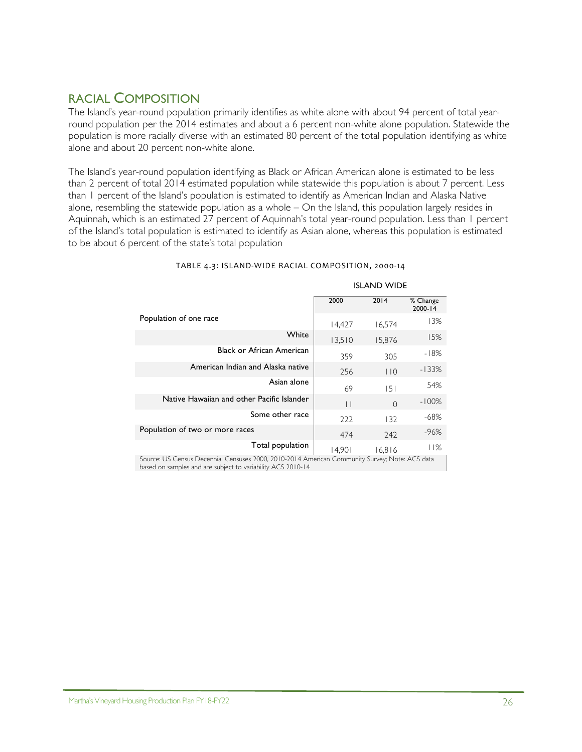## RACIAL COMPOSITION

The Island's year-round population primarily identifies as white alone with about 94 percent of total yearround population per the 2014 estimates and about a 6 percent non-white alone population. Statewide the population is more racially diverse with an estimated 80 percent of the total population identifying as white alone and about 20 percent non-white alone.

The Island's year-round population identifying as Black or African American alone is estimated to be less than 2 percent of total 2014 estimated population while statewide this population is about 7 percent. Less than 1 percent of the Island's population is estimated to identify as American Indian and Alaska Native alone, resembling the statewide population as a whole  $-$  On the Island, this population largely resides in Aquinnah, which is an estimated 27 percent of Aquinnah's total year-round population. Less than 1 percent of the Island's total population is estimated to identify as Asian alone, whereas this population is estimated to be about 6 percent of the state's total population

|                                                                                                | <b>ISLAND WIDE</b> |        |                     |  |  |  |  |
|------------------------------------------------------------------------------------------------|--------------------|--------|---------------------|--|--|--|--|
|                                                                                                | 2000               | 2014   | % Change<br>2000-14 |  |  |  |  |
| Population of one race                                                                         | 14,427             | 16,574 | 13%                 |  |  |  |  |
| White                                                                                          | 13,510             | 15,876 | 15%                 |  |  |  |  |
| <b>Black or African American</b>                                                               | 359                | 305    | $-18%$              |  |  |  |  |
| American Indian and Alaska native                                                              | 256                | 110    | $-133%$             |  |  |  |  |
| Asian alone                                                                                    | 69                 | 151    | 54%                 |  |  |  |  |
| Native Hawaiian and other Pacific Islander<br>$-100%$<br>$\vert \ \vert$<br>$\Omega$           |                    |        |                     |  |  |  |  |
| Some other race<br>-68%<br>222<br>132                                                          |                    |        |                     |  |  |  |  |
| Population of two or more races                                                                | 474                | 242    | -96%                |  |  |  |  |
| Total population                                                                               | 14.901             | 16,816 | 11%                 |  |  |  |  |
| Source: US Census Decennial Censuses 2000, 2010-2014 American Community Survey; Note: ACS data |                    |        |                     |  |  |  |  |

#### TABLE 4.3: ISLAND-WIDE RACIAL COMPOSITION, 2000-14

based on samples and are subject to variability ACS 2010-14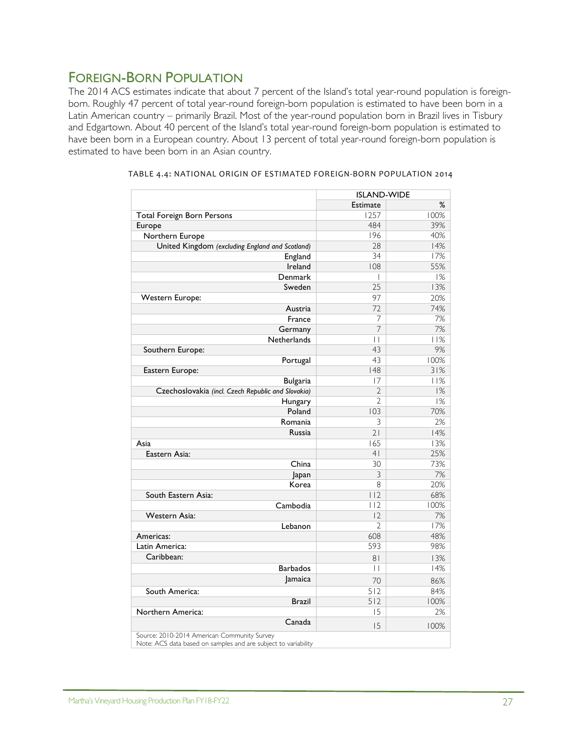## FOREIGN-BORN POPULATION

The 2014 ACS estimates indicate that about 7 percent of the Island's total year-round population is foreignborn. Roughly 47 percent of total year-round foreign-born population is estimated to have been born in a Latin American country – primarily Brazil. Most of the year-round population born in Brazil lives in Tisbury and Edgartown. About 40 percent of the Island's total year-round foreign-born population is estimated to have been born in a European country. About 13 percent of total year-round foreign-born population is estimated to have been born in an Asian country.

|                                                                                                               | <b>ISLAND-WIDE</b> |      |
|---------------------------------------------------------------------------------------------------------------|--------------------|------|
|                                                                                                               | <b>Estimate</b>    | %    |
| Total Foreign Born Persons                                                                                    | 1257               | 100% |
| Europe                                                                                                        | 484                | 39%  |
| Northern Europe                                                                                               | 196                | 40%  |
| United Kingdom (excluding England and Scotland)                                                               | 28                 | 14%  |
| England                                                                                                       | 34                 | 17%  |
| Ireland                                                                                                       | 108                | 55%  |
| Denmark                                                                                                       | $\overline{1}$     | 1%   |
| Sweden                                                                                                        | 25                 | 13%  |
| Western Europe:                                                                                               | 97                 | 20%  |
| Austria                                                                                                       | 72                 | 74%  |
| France                                                                                                        | 7                  | 7%   |
| Germany                                                                                                       | 7                  | 7%   |
| Netherlands                                                                                                   | П                  | 11%  |
| Southern Europe:                                                                                              | 43                 | 9%   |
| Portugal                                                                                                      | 43                 | 100% |
| Eastern Europe:                                                                                               | 48                 | 31%  |
| <b>Bulgaria</b>                                                                                               | 17                 | 11%  |
| Czechoslovakia (incl. Czech Republic and Slovakia)                                                            | $\overline{2}$     | 1%   |
| Hungary                                                                                                       | $\overline{2}$     | 1%   |
| Poland                                                                                                        | 103                | 70%  |
| Romania                                                                                                       | 3                  | 2%   |
| Russia                                                                                                        | 21                 | 14%  |
| Asia                                                                                                          | 165                | 13%  |
| Eastern Asia:                                                                                                 | 4 <sub>1</sub>     | 25%  |
| China                                                                                                         | 30                 | 73%  |
| Japan                                                                                                         | 3                  | 7%   |
| Korea                                                                                                         | 8                  | 20%  |
| South Eastern Asia:                                                                                           | 112                | 68%  |
| Cambodia                                                                                                      | 112                | 100% |
| <b>Western Asia:</b>                                                                                          | 2                  | 7%   |
| Lebanon                                                                                                       | V                  | 17%  |
| Americas:                                                                                                     | 608                | 48%  |
| Latin America:                                                                                                | 593                | 98%  |
| Caribbean:                                                                                                    | 8 <sub>1</sub>     | 13%  |
| <b>Barbados</b>                                                                                               | $\mathbf{L}$       | 14%  |
| <b>Jamaica</b>                                                                                                | 70                 | 86%  |
| South America:                                                                                                | $\overline{512}$   | 84%  |
| <b>Brazil</b>                                                                                                 | 512                | 100% |
| Northern America:                                                                                             | 15                 | 2%   |
| Canada                                                                                                        | 15                 | 100% |
| Source: 2010-2014 American Community Survey<br>Note: ACS data based on samples and are subject to variability |                    |      |

| TABLE 4.4: NATIONAL ORIGIN OF ESTIMATED FOREIGN-BORN POPULATION 2014 |  |  |
|----------------------------------------------------------------------|--|--|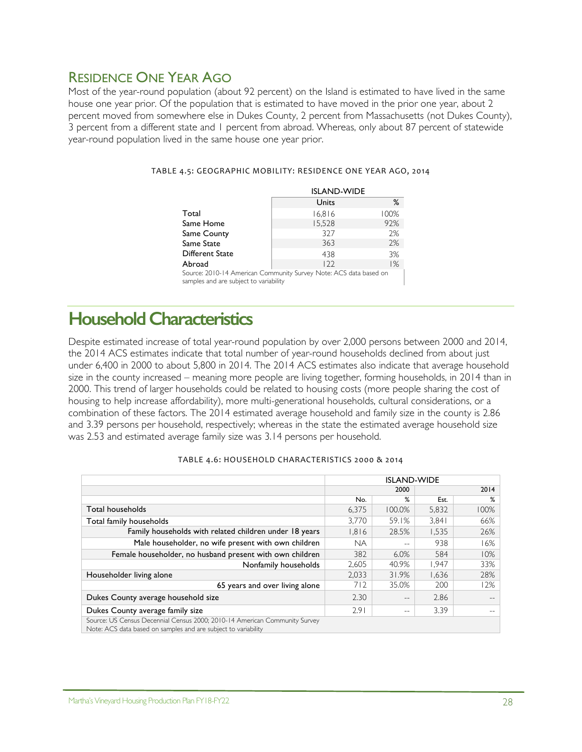## RESIDENCE ONE YEAR AGO

Most of the year-round population (about 92 percent) on the Island is estimated to have lived in the same house one year prior. Of the population that is estimated to have moved in the prior one year, about 2 percent moved from somewhere else in Dukes County, 2 percent from Massachusetts (not Dukes County), 3 percent from a different state and 1 percent from abroad. Whereas, only about 87 percent of statewide year-round population lived in the same house one year prior.

|                                                                   | <b>ISLAND-WIDE</b> |      |  |  |
|-------------------------------------------------------------------|--------------------|------|--|--|
|                                                                   | Units              | ℅    |  |  |
| Total                                                             | 16,816             | 100% |  |  |
| Same Home                                                         | 15,528             | 92%  |  |  |
| Same County                                                       | 327                | 2%   |  |  |
| Same State                                                        | 363                | 2%   |  |  |
| Different State                                                   | 438                | 3%   |  |  |
| Abroad                                                            | 122                | 1%   |  |  |
| Source: 2010-14 American Community Survey Note: ACS data based on |                    |      |  |  |

#### TABLE 4.5: GEOGRAPHIC MOBILITY: RESIDENCE ONE YEAR AGO, 2014

Source: 2010-14 American Community Survey Note: ACS data based on samples and are subject to variability

## **Household Characteristics**

Despite estimated increase of total year-round population by over 2,000 persons between 2000 and 2014, the 2014 ACS estimates indicate that total number of year-round households declined from about just under 6,400 in 2000 to about 5,800 in 2014. The 2014 ACS estimates also indicate that average household size in the county increased – meaning more people are living together, forming households, in 2014 than in 2000. This trend of larger households could be related to housing costs (more people sharing the cost of housing to help increase affordability), more multi-generational households, cultural considerations, or a combination of these factors. The 2014 estimated average household and family size in the county is 2.86 and 3.39 persons per household, respectively; whereas in the state the estimated average household size was 2.53 and estimated average family size was 3.14 persons per household.

|                                                                                                                                              | <b>ISLAND-WIDE</b> |        |       |      |
|----------------------------------------------------------------------------------------------------------------------------------------------|--------------------|--------|-------|------|
|                                                                                                                                              |                    | 2000   | 2014  |      |
|                                                                                                                                              | No.                | ℅      | Est.  | ℅    |
| Total households                                                                                                                             | 6,375              | 100.0% | 5,832 | 100% |
| Total family households                                                                                                                      | 3,770              | 59.1%  | 3.841 | 66%  |
| Family households with related children under 18 years                                                                                       | 1,816              | 28.5%  | 1,535 | 26%  |
| Male householder, no wife present with own children                                                                                          | NА                 | --     | 938   | 16%  |
| Female householder, no husband present with own children                                                                                     | 382                | 6.0%   | 584   | 10%  |
| Nonfamily households                                                                                                                         | 2,605              | 40.9%  | 1,947 | 33%  |
| Householder living alone                                                                                                                     | 2,033              | 31.9%  | 1,636 | 28%  |
| 65 years and over living alone                                                                                                               | 712                | 35.0%  | 200   | 12%  |
| Dukes County average household size                                                                                                          | 2.30               | --     | 2.86  |      |
| Dukes County average family size                                                                                                             | 2.91               | --     | 3.39  |      |
| Source: US Census Decennial Census 2000; 2010-14 American Community Survey<br>Note: ACS data based on samples and are subject to variability |                    |        |       |      |

#### TABLE 4.6: HOUSEHOLD CHARACTERISTICS 2000 & 2014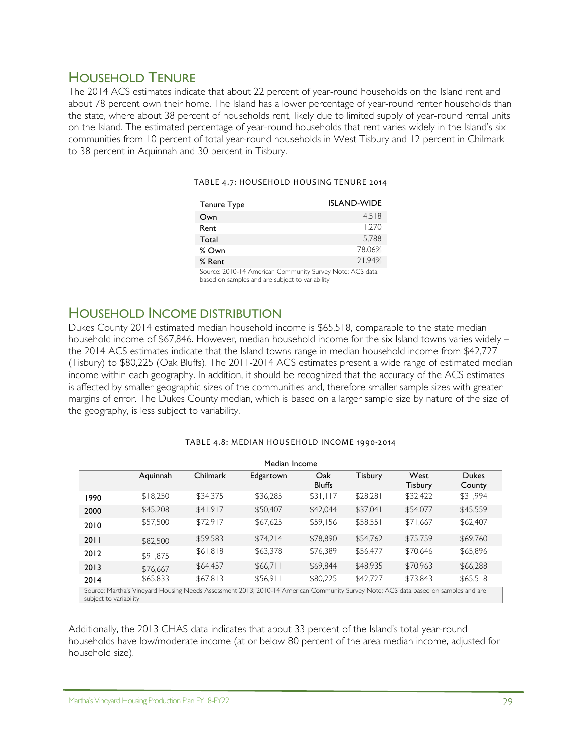## HOUSEHOLD TENURE

The 2014 ACS estimates indicate that about 22 percent of year-round households on the Island rent and about 78 percent own their home. The Island has a lower percentage of year-round renter households than the state, where about 38 percent of households rent, likely due to limited supply of year-round rental units on the Island. The estimated percentage of year-round households that rent varies widely in the Island's six communities from 10 percent of total year-round households in West Tisbury and 12 percent in Chilmark to 38 percent in Aquinnah and 30 percent in Tisbury.

| Tenure Type                                              | <b>ISLAND-WIDE</b> |
|----------------------------------------------------------|--------------------|
| Own                                                      | 4.518              |
| Rent                                                     | 1,270              |
| Total                                                    | 5.788              |
| % Own                                                    | 78.06%             |
| % Rent                                                   | 21.94%             |
| Source: 2010-14 American Community Survey Note: ACS data |                    |

### TABLE 4.7: HOUSEHOLD HOUSING TENURE 2014

Source: 2010-14 American Community Survey Note: ACS data based on samples and are subject to variability

## HOUSEHOLD INCOME DISTRIBUTION

Dukes County 2014 estimated median household income is \$65,518, comparable to the state median household income of \$67,846. However, median household income for the six Island towns varies widely – the 2014 ACS estimates indicate that the Island towns range in median household income from \$42,727 (Tisbury) to \$80,225 (Oak Bluffs). The 2011-2014 ACS estimates present a wide range of estimated median income within each geography. In addition, it should be recognized that the accuracy of the ACS estimates is affected by smaller geographic sizes of the communities and, therefore smaller sample sizes with greater margins of error. The Dukes County median, which is based on a larger sample size by nature of the size of the geography, is less subject to variability.

| Median Income |          |          |                                                                                                                                                |                      |          |                        |                        |
|---------------|----------|----------|------------------------------------------------------------------------------------------------------------------------------------------------|----------------------|----------|------------------------|------------------------|
|               | Aquinnah | Chilmark | Edgartown                                                                                                                                      | Oak<br><b>Bluffs</b> | Tisbury  | West<br><b>Tisbury</b> | <b>Dukes</b><br>County |
| 1990          | \$18,250 | \$34,375 | \$36,285                                                                                                                                       | \$31,117             | \$28,28  | \$32,422               | \$31,994               |
| 2000          | \$45,208 | \$41,917 | \$50,407                                                                                                                                       | \$42,044             | \$37,041 | \$54,077               | \$45,559               |
| 2010          | \$57,500 | \$72,917 | \$67,625                                                                                                                                       | \$59,156             | \$58,551 | \$71,667               | \$62,407               |
| 2011          | \$82,500 | \$59,583 | \$74,214                                                                                                                                       | \$78,890             | \$54,762 | \$75.759               | \$69,760               |
| 2012          | \$91,875 | \$61,818 | \$63,378                                                                                                                                       | \$76,389             | \$56,477 | \$70,646               | \$65,896               |
| 2013          | \$76,667 | \$64,457 | \$66,711                                                                                                                                       | \$69,844             | \$48,935 | \$70,963               | \$66,288               |
| 2014          | \$65,833 | \$67,813 | \$56,911                                                                                                                                       | \$80,225             | \$42,727 | \$73,843               | \$65,518               |
|               |          |          | Carrier Martin's Victorial Harrier Nazzle Accessorie 2012, 2010, 14 Accessos Carrier Courses Nature ACC detailed and accepted and accepted the |                      |          |                        |                        |

### TABLE 4.8: MEDIAN HOUSEHOLD INCOME 1990-2014

Source: Martha's Vineyard Housing Needs Assessment 2013; 2010-14 American Community Survey Note: ACS data based on samples and are subject to variability

Additionally, the 2013 CHAS data indicates that about 33 percent of the Island's total year-round households have low/moderate income (at or below 80 percent of the area median income, adjusted for household size).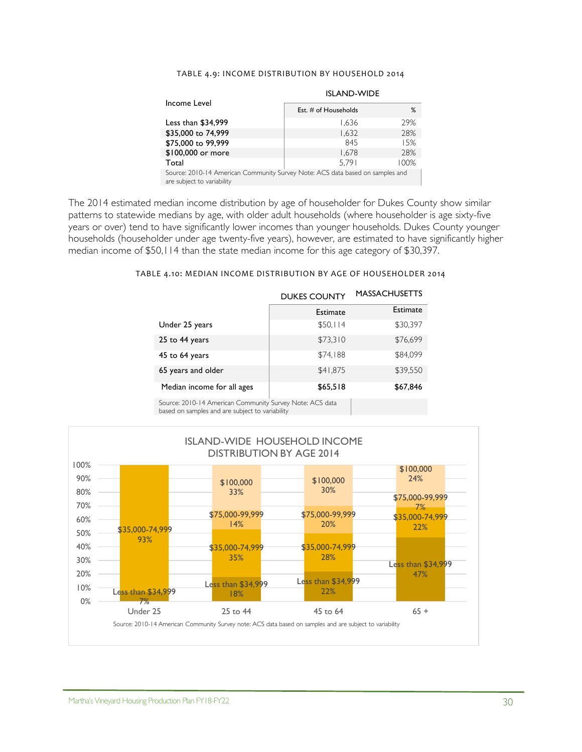### TABLE 4.9: INCOME DISTRIBUTION BY HOUSEHOLD 2014

|                                                                                                             | <b>ISLAND-WIDE</b>     |      |  |  |
|-------------------------------------------------------------------------------------------------------------|------------------------|------|--|--|
| Income Level                                                                                                | Est. $#$ of Households | $\%$ |  |  |
| Less than \$34,999                                                                                          | 1.636                  | 29%  |  |  |
| \$35,000 to 74,999                                                                                          | 1,632                  | 28%  |  |  |
| \$75,000 to 99,999                                                                                          | 845                    | 15%  |  |  |
| \$100,000 or more                                                                                           | 1.678                  | 28%  |  |  |
| Total                                                                                                       | 5.791                  | 100% |  |  |
| Source: 2010-14 American Community Survey Note: ACS data based on samples and<br>are subject to variability |                        |      |  |  |

The 2014 estimated median income distribution by age of householder for Dukes County show similar patterns to statewide medians by age, with older adult households (where householder is age sixty-five years or over) tend to have significantly lower incomes than younger households. Dukes County younger households (householder under age twenty-five years), however, are estimated to have significantly higher median income of \$50,114 than the state median income for this age category of \$30,397.

#### TABLE 4.10: MEDIAN INCOME DISTRIBUTION BY AGE OF HOUSEHOLDER 2014

|                            | <b>DUKES COUNTY</b> | <b>MASSACHUSETTS</b> |
|----------------------------|---------------------|----------------------|
|                            | <b>Estimate</b>     | <b>Estimate</b>      |
| Under 25 years             | \$50,114            | \$30,397             |
| 25 to 44 years             | \$73,310            | \$76,699             |
| 45 to 64 years             | \$74.188            | \$84,099             |
| 65 years and older         | \$41,875            | \$39,550             |
| Median income for all ages | \$65,518            | \$67,846             |

Source: 2010-14 American Community Survey Note: ACS data based on samples and are subject to variability

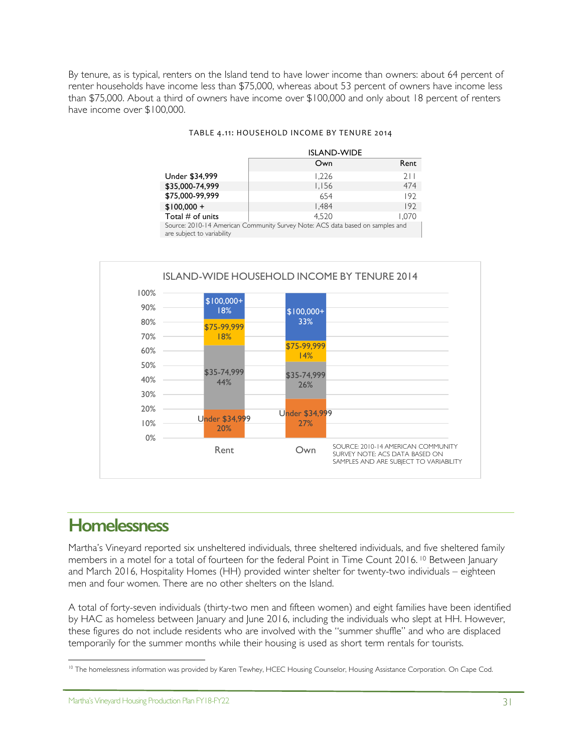By tenure, as is typical, renters on the Island tend to have lower income than owners: about 64 percent of renter households have income less than \$75,000, whereas about 53 percent of owners have income less than \$75,000. About a third of owners have income over \$100,000 and only about 18 percent of renters have income over \$100,000.

### TABLE 4.11: HOUSEHOLD INCOME BY TENURE 2014

|                            | <b>ISLAND-WIDE</b>                                                            |       |
|----------------------------|-------------------------------------------------------------------------------|-------|
|                            | Own                                                                           | Rent  |
| Under \$34,999             | 1.226                                                                         | 211   |
| \$35,000-74,999            | 1,156                                                                         | 474   |
| \$75,000-99,999            | 654                                                                           | 192   |
| $$100,000 +$               | 1,484                                                                         | 192   |
| Total $#$ of units         | 4.520                                                                         | 1.070 |
| are subject to variability | Source: 2010-14 American Community Survey Note: ACS data based on samples and |       |



# **Homelessness**

Martha's Vineyard reported six unsheltered individuals, three sheltered individuals, and five sheltered family members in a motel for a total of fourteen for the federal Point in Time Count 2016. <sup>10</sup> Between January and March 2016, Hospitality Homes (HH) provided winter shelter for twenty-two individuals – eighteen men and four women. There are no other shelters on the Island.

A total of forty-seven individuals (thirty-two men and fifteen women) and eight families have been identified by HAC as homeless between January and June 2016, including the individuals who slept at HH. However, these figures do not include residents who are involved with the "summer shuffle" and who are displaced temporarily for the summer months while their housing is used as short term rentals for tourists.

 $\overline{a}$ <sup>10</sup> The homelessness information was provided by Karen Tewhey, HCEC Housing Counselor, Housing Assistance Corporation. On Cape Cod.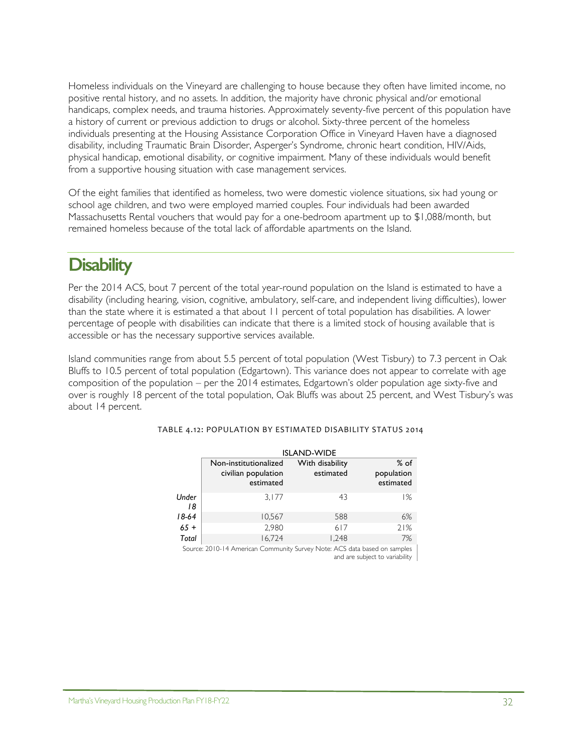Homeless individuals on the Vineyard are challenging to house because they often have limited income, no positive rental history, and no assets. In addition, the majority have chronic physical and/or emotional handicaps, complex needs, and trauma histories. Approximately seventy-five percent of this population have a history of current or previous addiction to drugs or alcohol. Sixty-three percent of the homeless individuals presenting at the Housing Assistance Corporation Office in Vineyard Haven have a diagnosed disability, including Traumatic Brain Disorder, Asperger's Syndrome, chronic heart condition, HIV/Aids, physical handicap, emotional disability, or cognitive impairment. Many of these individuals would benefit from a supportive housing situation with case management services.

Of the eight families that identified as homeless, two were domestic violence situations, six had young or school age children, and two were employed married couples. Four individuals had been awarded Massachusetts Rental vouchers that would pay for a one-bedroom apartment up to \$1,088/month, but remained homeless because of the total lack of affordable apartments on the Island.

# **Disability**

Per the 2014 ACS, bout 7 percent of the total year-round population on the Island is estimated to have a disability (including hearing, vision, cognitive, ambulatory, self-care, and independent living difficulties), lower than the state where it is estimated a that about 11 percent of total population has disabilities. A lower percentage of people with disabilities can indicate that there is a limited stock of housing available that is accessible or has the necessary supportive services available.

Island communities range from about 5.5 percent of total population (West Tisbury) to 7.3 percent in Oak Bluffs to 10.5 percent of total population (Edgartown). This variance does not appear to correlate with age composition of the population – per the 2014 estimates, Edgartown's older population age sixty-five and over is roughly 18 percent of the total population, Oak Bluffs was about 25 percent, and West Tisbury's was about 14 percent.

|             | <b>ISLAND-WIDE</b>                                        |                              |                                   |  |  |  |
|-------------|-----------------------------------------------------------|------------------------------|-----------------------------------|--|--|--|
|             | Non-institutionalized<br>civilian population<br>estimated | With disability<br>estimated | $%$ of<br>population<br>estimated |  |  |  |
| Under<br>18 | 3.177                                                     | 43                           | 1%                                |  |  |  |
| $18-64$     | 10,567                                                    | 588                          | 6%                                |  |  |  |
| $65 +$      | 2.980                                                     | 617                          | 21%                               |  |  |  |
| Total       | 16,724                                                    | 1.248                        | 7%                                |  |  |  |

### TABLE 4.12: POPULATION BY ESTIMATED DISABILITY STATUS 2014

Source: 2010-14 American Community Survey Note: ACS data based on samples and are subject to variability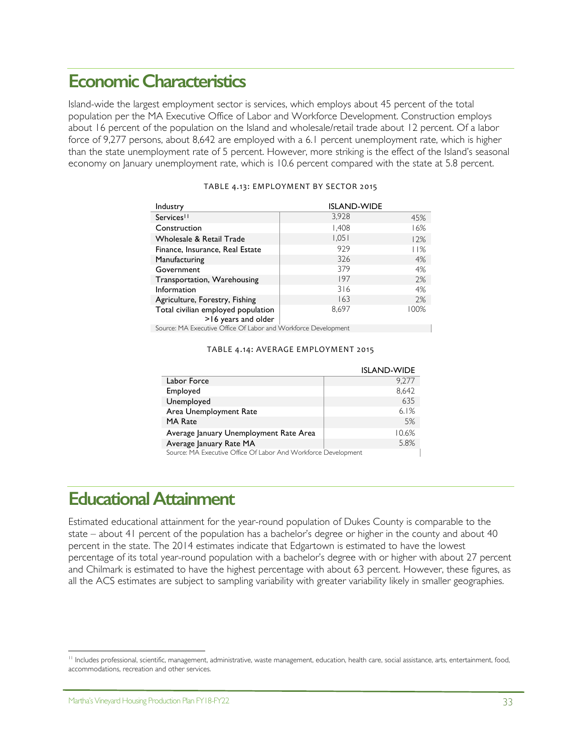# **Economic Characteristics**

Island-wide the largest employment sector is services, which employs about 45 percent of the total population per the MA Executive Office of Labor and Workforce Development. Construction employs about 16 percent of the population on the Island and wholesale/retail trade about 12 percent. Of a labor force of 9,277 persons, about 8,642 are employed with a 6.1 percent unemployment rate, which is higher than the state unemployment rate of 5 percent. However, more striking is the effect of the Island's seasonal economy on January unemployment rate, which is 10.6 percent compared with the state at 5.8 percent.

| Industry                                                  | <b>ISLAND-WIDE</b> |      |
|-----------------------------------------------------------|--------------------|------|
| Services <sup>11</sup>                                    | 3,928              | 45%  |
| Construction                                              | 1,408              | 16%  |
| Wholesale & Retail Trade                                  | 1,051              | 12%  |
| Finance, Insurance, Real Estate                           | 979                | 11%  |
| Manufacturing                                             | 326                | 4%   |
| Government                                                | 379                | 4%   |
| Transportation, Warehousing                               | 197                | 2%   |
| Information                                               | 316                | 4%   |
| Agriculture, Forestry, Fishing                            | 163                | 2%   |
| Total civilian employed population<br>>16 years and older | 8.697              | 100% |

### TABLE 4.13: EMPLOYMENT BY SECTOR 2015

Source: MA Executive Office Of Labor and Workforce Development

#### TABLE 4.14: AVERAGE EMPLOYMENT 2015

|                                                                | <b>ISLAND-WIDE</b> |
|----------------------------------------------------------------|--------------------|
| Labor Force                                                    | 9.277              |
| Employed                                                       | 8,642              |
| Unemployed                                                     | 635                |
| Area Unemployment Rate                                         | 6.1%               |
| <b>MA Rate</b>                                                 | .5%                |
| Average January Unemployment Rate Area                         | 10.6%              |
| Average January Rate MA                                        | 5.8%               |
| Source: MA Evecutive Office Of Labor And Workforce Development |                    |

urce: MA Executive Office Of Labor And Workforce Development

# **Educational Attainment**

Estimated educational attainment for the year-round population of Dukes County is comparable to the state – about 41 percent of the population has a bachelor's degree or higher in the county and about 40 percent in the state. The 2014 estimates indicate that Edgartown is estimated to have the lowest percentage of its total year-round population with a bachelor's degree with or higher with about 27 percent and Chilmark is estimated to have the highest percentage with about 63 percent. However, these figures, as all the ACS estimates are subject to sampling variability with greater variability likely in smaller geographies.

 $\overline{a}$ 

<sup>&</sup>lt;sup>11</sup> Includes professional, scientific, management, administrative, waste management, education, health care, social assistance, arts, entertainment, food, accommodations, recreation and other services.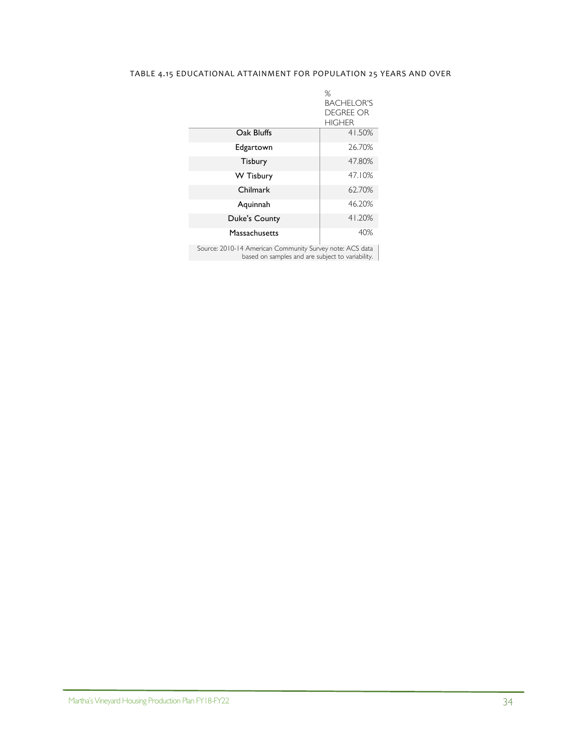### TABLE 4.15 EDUCATIONAL ATTAINMENT FOR POPULATION 25 YEARS AND OVER

|                      | %<br><b>BACHELOR'S</b><br><b>DEGREE OR</b><br><b>HIGHER</b> |
|----------------------|-------------------------------------------------------------|
| Oak Bluffs           | 41.50%                                                      |
| Edgartown            | 26.70%                                                      |
| Tisbury              | 47.80%                                                      |
| W Tisbury            | 47.10%                                                      |
| Chilmark             | 62.70%                                                      |
| Aquinnah             | 46.20%                                                      |
| <b>Duke's County</b> | 41.20%                                                      |
| Massachusetts        | 40%                                                         |

Source: 2010-14 American Community Survey note: ACS data based on samples and are subject to variability.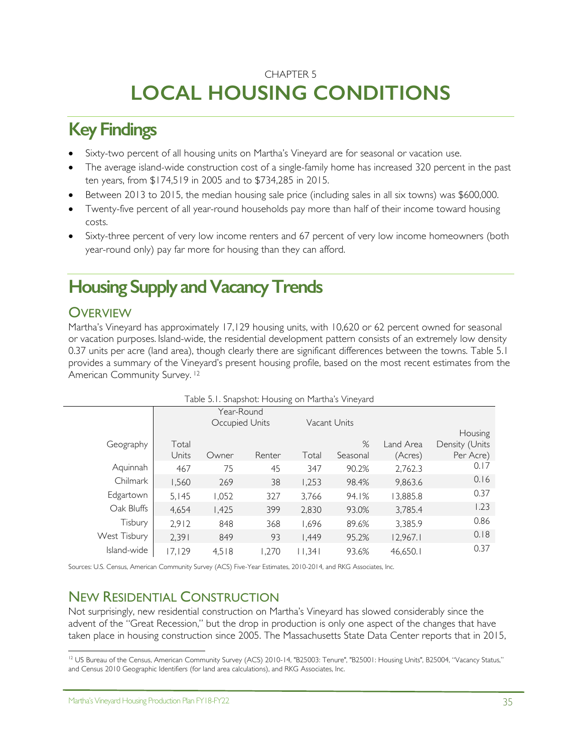# CHAPTER 5 **LOCAL HOUSING CONDITIONS**

# **Key Findings**

- Sixty-two percent of all housing units on Martha's Vineyard are for seasonal or vacation use.
- The average island-wide construction cost of a single-family home has increased 320 percent in the past ten years, from \$174,519 in 2005 and to \$734,285 in 2015.
- Between 2013 to 2015, the median housing sale price (including sales in all six towns) was \$600,000.
- Twenty-five percent of all year-round households pay more than half of their income toward housing costs.
- Sixty-three percent of very low income renters and 67 percent of very low income homeowners (both year-round only) pay far more for housing than they can afford.

# **Housing Supply and VacancyTrends**

## **OVERVIEW**

Martha's Vineyard has approximately 17,129 housing units, with 10,620 or 62 percent owned for seasonal or vacation purposes. Island-wide, the residential development pattern consists of an extremely low density 0.37 units per acre (land area), though clearly there are significant differences between the towns. Table 5.1 provides a summary of the Vineyard's present housing profile, based on the most recent estimates from the American Community Survey. 12

| Table 5.1. Snapshot: Housing on Martha's Vineyard |       |                |        |       |              |           |                |
|---------------------------------------------------|-------|----------------|--------|-------|--------------|-----------|----------------|
|                                                   |       | Year-Round     |        |       |              |           |                |
|                                                   |       | Occupied Units |        |       | Vacant Units |           |                |
|                                                   |       |                |        |       |              |           | Housing        |
| Geography                                         | Total |                |        |       | %            | Land Area | Density (Units |
|                                                   | Units | Owner          | Renter | Total | Seasonal     | (Acres)   | Per Acre)      |
| Aquinnah                                          | 467   | 75             | 45     | 347   | 90.2%        | 2,762.3   | 0.17           |
| Chilmark                                          | 1,560 | 269            | 38     | 1,253 | 98.4%        | 9,863.6   | 0.16           |
| Edgartown                                         | 5.145 | 1,052          | 327    | 3,766 | 94.1%        | 13,885.8  | 0.37           |
| Oak Bluffs                                        | 4.654 | 1,425          | 399    | 2,830 | 93.0%        | 3,785.4   | 1.23           |
| Tisbury                                           | 2,912 | 848            | 368    | 1,696 | 89.6%        | 3,385.9   | 0.86           |
| West Tisbury                                      | 2,391 | 849            | 93     | 1,449 | 95.2%        | 12,967.1  | 0.18           |
| Island-wide                                       | 7.129 | 4.518          | .270   | .34   | 93.6%        | 46.650.1  | 0.37           |

Sources: U.S. Census, American Community Survey (ACS) Five-Year Estimates, 2010-2014, and RKG Associates, Inc.

## NEW RESIDENTIAL CONSTRUCTION

Not surprisingly, new residential construction on Martha's Vineyard has slowed considerably since the advent of the "Great Recession," but the drop in production is only one aspect of the changes that have taken place in housing construction since 2005. The Massachusetts State Data Center reports that in 2015,

 $\overline{a}$ <sup>12</sup> US Bureau of the Census, American Community Survey (ACS) 2010-14, "B25003: Tenure", "B25001: Housing Units", B25004, "Vacancy Status," and Census 2010 Geographic Identifiers (for land area calculations), and RKG Associates, Inc.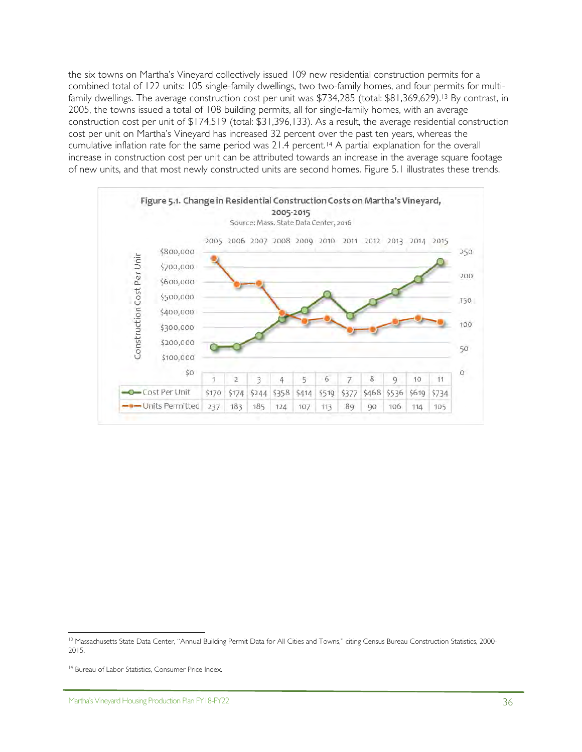the six towns on Martha's Vineyard collectively issued 109 new residential construction permits for a combined total of 122 units: 105 single-family dwellings, two two-family homes, and four permits for multifamily dwellings. The average construction cost per unit was \$734,285 (total: \$81,369,629).<sup>13</sup> By contrast, in 2005, the towns issued a total of 108 building permits, all for single-family homes, with an average construction cost per unit of \$174,519 (total: \$31,396,133). As a result, the average residential construction cost per unit on Martha's Vineyard has increased 32 percent over the past ten years, whereas the cumulative inflation rate for the same period was 21.4 percent.14 A partial explanation for the overall increase in construction cost per unit can be attributed towards an increase in the average square footage of new units, and that most newly constructed units are second homes. Figure 5.1 illustrates these trends.



 $\overline{a}$ <sup>13</sup> Massachusetts State Data Center, "Annual Building Permit Data for All Cities and Towns," citing Census Bureau Construction Statistics, 2000-2015.

<sup>&</sup>lt;sup>14</sup> Bureau of Labor Statistics, Consumer Price Index.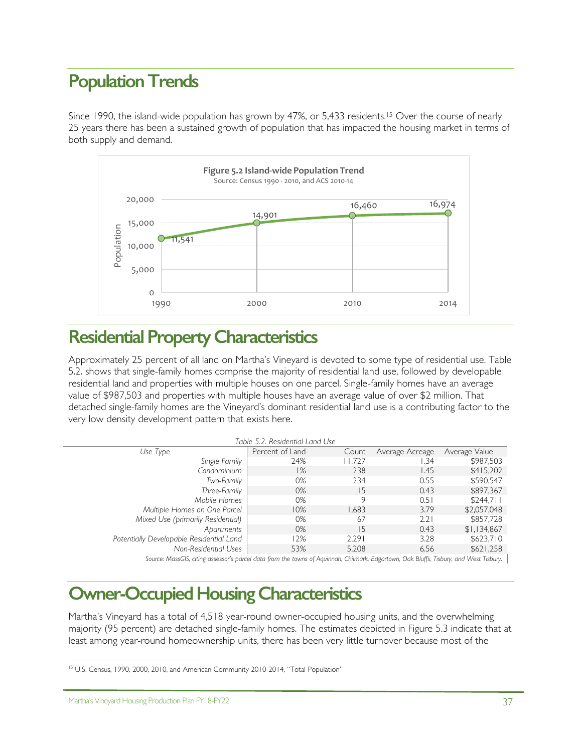# **Population Trends**

Since 1990, the island-wide population has grown by 47%, or 5,433 residents.15 Over the course of nearly 25 years there has been a sustained growth of population that has impacted the housing market in terms of both supply and demand.



# **Residential Property Characteristics**

Approximately 25 percent of all land on Martha's Vineyard is devoted to some type of residential use. Table 5.2. shows that single-family homes comprise the majority of residential land use, followed by developable residential land and properties with multiple houses on one parcel. Single-family homes have an average value of \$987,503 and properties with multiple houses have an average value of over \$2 million. That detached single-family homes are the Vineyard's dominant residential land use is a contributing factor to the very low density development pattern that exists here.

| Table 5.2. Residential Land Use |        |                 |               |
|---------------------------------|--------|-----------------|---------------|
| Percent of Land                 | Count  | Average Acreage | Average Value |
| 24%                             | 11,727 | .34             | \$987,503     |
| 1%                              | 238    | 1.45            | \$415,202     |
| 0%                              | 234    | 0.55            | \$590,547     |
| 0%                              | 15     | 0.43            | \$897,367     |
| 0%                              | 9      | 0.5             | \$244,711     |
| 10%                             | 1,683  | 3.79            | \$2,057,048   |
| 0%                              | 67     | 2.21            | \$857,728     |
| 0%                              | 15     | 0.43            | \$1,134,867   |
| 12%                             | 2.291  | 3.28            | \$623,710     |
| 53%                             | 5,208  | 6.56            | \$621,258     |
|                                 |        |                 |               |

*Source: MassGIS, citing assessor's parcel data from the towns of Aquinnah, Chilmark, Edgartown, Oak Bluffs, Tisbury, and West Tisbury.* 

# **Owner-Occupied Housing Characteristics**

Martha's Vineyard has a total of 4,518 year-round owner-occupied housing units, and the overwhelming majority (95 percent) are detached single-family homes. The estimates depicted in Figure 5.3 indicate that at least among year-round homeownership units, there has been very little turnover because most of the

 $\overline{a}$ 

<sup>&</sup>lt;sup>15</sup> U.S. Census, 1990, 2000, 2010, and American Community 2010-2014, "Total Population"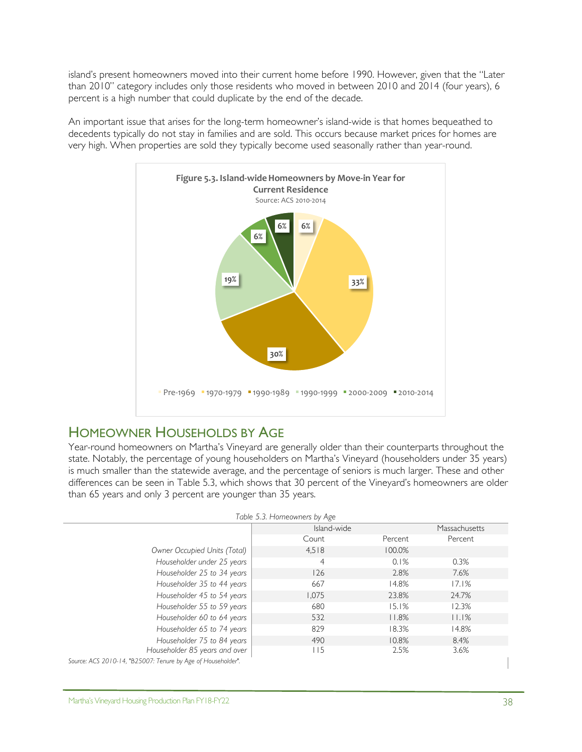island's present homeowners moved into their current home before 1990. However, given that the "Later than 2010" category includes only those residents who moved in between 2010 and 2014 (four years), 6 percent is a high number that could duplicate by the end of the decade.

An important issue that arises for the long-term homeowner's island-wide is that homes bequeathed to decedents typically do not stay in families and are sold. This occurs because market prices for homes are very high. When properties are sold they typically become used seasonally rather than year-round.



## HOMEOWNER HOUSEHOLDS BY AGE

Year-round homeowners on Martha's Vineyard are generally older than their counterparts throughout the state. Notably, the percentage of young householders on Martha's Vineyard (householders under 35 years) is much smaller than the statewide average, and the percentage of seniors is much larger. These and other differences can be seen in Table 5.3, which shows that 30 percent of the Vineyard's homeowners are older than 65 years and only 3 percent are younger than 35 years.

| Table 5.3. Homeowners by Age                                 |             |         |               |  |  |
|--------------------------------------------------------------|-------------|---------|---------------|--|--|
|                                                              | Island-wide |         | Massachusetts |  |  |
|                                                              | Count       | Percent | Percent       |  |  |
| Owner Occupied Units (Total)                                 | 4.518       | 100.0%  |               |  |  |
| Householder under 25 years                                   | 4           | 0.1%    | 0.3%          |  |  |
| Householder 25 to 34 years                                   | 126         | 2.8%    | 7.6%          |  |  |
| Householder 35 to 44 years                                   | 667         | 14.8%   | 17.1%         |  |  |
| Householder 45 to 54 years                                   | 1,075       | 23.8%   | 24.7%         |  |  |
| Householder 55 to 59 years                                   | 680         | 15.1%   | 12.3%         |  |  |
| Householder 60 to 64 years                                   | 532         | 11.8%   | 11.1%         |  |  |
| Householder 65 to 74 years                                   | 829         | 18.3%   | 14.8%         |  |  |
| Householder 75 to 84 years                                   | 490         | 10.8%   | 8.4%          |  |  |
| Householder 85 years and over                                | $\vert$ 15  | 2.5%    | 3.6%          |  |  |
| Source: ACS 2010-14, "B25007: Tenure by Age of Householder". |             |         |               |  |  |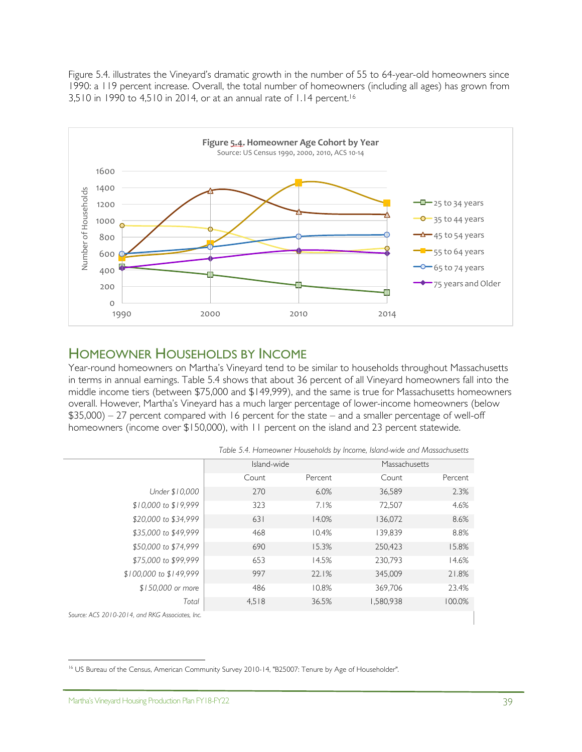Figure 5.4. illustrates the Vineyard's dramatic growth in the number of 55 to 64-year-old homeowners since 1990: a 119 percent increase. Overall, the total number of homeowners (including all ages) has grown from 3,510 in 1990 to 4,510 in 2014, or at an annual rate of 1.14 percent.16



## HOMEOWNER HOUSEHOLDS BY INCOME

Year-round homeowners on Martha's Vineyard tend to be similar to households throughout Massachusetts in terms in annual earnings. Table 5.4 shows that about 36 percent of all Vineyard homeowners fall into the middle income tiers (between \$75,000 and \$149,999), and the same is true for Massachusetts homeowners overall. However, Martha's Vineyard has a much larger percentage of lower-income homeowners (below \$35,000) – 27 percent compared with 16 percent for the state – and a smaller percentage of well-off homeowners (income over \$150,000), with 11 percent on the island and 23 percent statewide.

|                        |             |         | Table 5.4. Homeowner Households by Income, Island-wide and Massachusetts |         |
|------------------------|-------------|---------|--------------------------------------------------------------------------|---------|
|                        | Island-wide |         | Massachusetts                                                            |         |
|                        | Count       | Percent | Count                                                                    | Percent |
| Under \$10,000         | 270         | 6.0%    | 36,589                                                                   | 2.3%    |
| \$10,000 to \$19,999   | 323         | 7.1%    | 72,507                                                                   | 4.6%    |
| \$20,000 to \$34,999   | 631         | 14.0%   | 136,072                                                                  | 8.6%    |
| \$35,000 to \$49,999   | 468         | 10.4%   | 139.839                                                                  | 8.8%    |
| \$50,000 to \$74,999   | 690         | 15.3%   | 250,423                                                                  | 15.8%   |
| \$75,000 to \$99,999   | 653         | 14.5%   | 230.793                                                                  | 14.6%   |
| \$100,000 to \$149,999 | 997         | 22.1%   | 345,009                                                                  | 21.8%   |
| \$150,000 or more      | 486         | 10.8%   | 369.706                                                                  | 23.4%   |
| Total                  | 4,518       | 36.5%   | 1,580,938                                                                | 100.0%  |
|                        |             |         |                                                                          |         |

*Source: ACS 2010-2014, and RKG Associates, Inc.* 

 $\overline{a}$ <sup>16</sup> US Bureau of the Census, American Community Survey 2010-14, "B25007: Tenure by Age of Householder".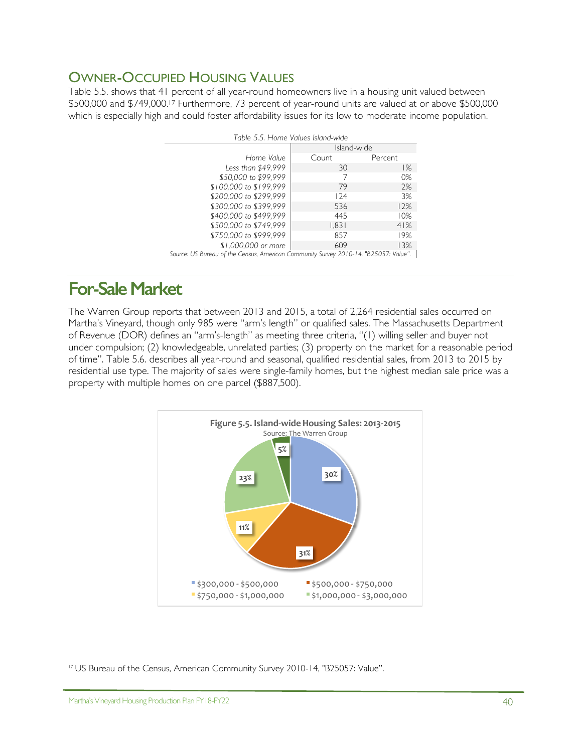# OWNER-OCCUPIED HOUSING VALUES

Table 5.5. shows that 41 percent of all year-round homeowners live in a housing unit valued between \$500,000 and \$749,000.17 Furthermore, 73 percent of year-round units are valued at or above \$500,000 which is especially high and could foster affordability issues for its low to moderate income population.

| Table 5.5. Home Values Island-wide |                                                                                      |         |  |  |  |
|------------------------------------|--------------------------------------------------------------------------------------|---------|--|--|--|
|                                    | Island-wide                                                                          |         |  |  |  |
| Home Value                         | Count                                                                                | Percent |  |  |  |
| Less than \$49,999                 | 30                                                                                   | 1%      |  |  |  |
| \$50,000 to \$99,999               |                                                                                      | 0%      |  |  |  |
| \$100,000 to \$199,999             | 79                                                                                   | 2%      |  |  |  |
| \$200,000 to \$299,999             | 124                                                                                  | 3%      |  |  |  |
| \$300,000 to \$399,999             | 536                                                                                  | 12%     |  |  |  |
| \$400,000 to \$499,999             | 445                                                                                  | 10%     |  |  |  |
| \$500,000 to \$749,999             | 1,831                                                                                | 41%     |  |  |  |
| \$750,000 to \$999,999             | 857                                                                                  | 19%     |  |  |  |
| \$1,000,000 or more                | 609                                                                                  | 13%     |  |  |  |
|                                    | Source: US Bureau of the Census, American Community Survey 2010-14, "B25057: Value". |         |  |  |  |

# **For-Sale Market**

The Warren Group reports that between 2013 and 2015, a total of 2,264 residential sales occurred on Martha's Vineyard, though only 985 were "arm's length" or qualified sales. The Massachusetts Department of Revenue (DOR) defines an "arm's-length" as meeting three criteria, "(1) willing seller and buyer not under compulsion; (2) knowledgeable, unrelated parties; (3) property on the market for a reasonable period of time". Table 5.6. describes all year-round and seasonal, qualified residential sales, from 2013 to 2015 by residential use type. The majority of sales were single-family homes, but the highest median sale price was a property with multiple homes on one parcel (\$887,500).



 $\overline{a}$ 

<sup>17</sup> US Bureau of the Census, American Community Survey 2010-14, "B25057: Value".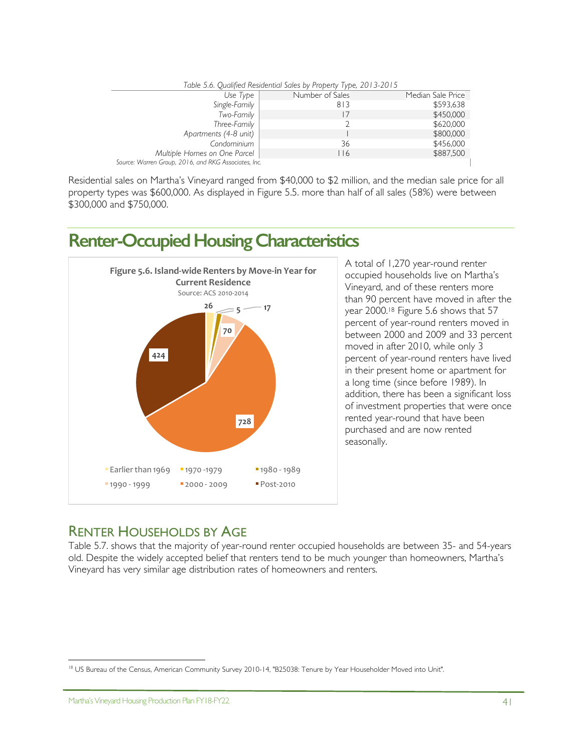| Table 5.6. Qualified Residential Sales by Property Type, 2013-2015 |                 |                   |  |  |  |
|--------------------------------------------------------------------|-----------------|-------------------|--|--|--|
| Use Type                                                           | Number of Sales | Median Sale Price |  |  |  |
| Single-Family                                                      | 813             | \$593,638         |  |  |  |
| Two-Family                                                         |                 | \$450,000         |  |  |  |
| Three-Family                                                       |                 | \$620,000         |  |  |  |
| Apartments (4-8 unit)                                              |                 | \$800,000         |  |  |  |
| Condominium                                                        | 36              | \$456,000         |  |  |  |
| Multiple Homes on One Parcel                                       | <u>  16</u>     | \$887,500         |  |  |  |
| Source: Warren Group, 2016, and RKG Associates, Inc.               |                 |                   |  |  |  |

Residential sales on Martha's Vineyard ranged from \$40,000 to \$2 million, and the median sale price for all property types was \$600,000. As displayed in Figure 5.5. more than half of all sales (58%) were between \$300,000 and \$750,000.

# **Renter-Occupied HousingCharacteristics**



A total of 1,270 year-round renter occupied households live on Martha's Vineyard, and of these renters more than 90 percent have moved in after the year 2000.18 Figure 5.6 shows that 57 percent of year-round renters moved in between 2000 and 2009 and 33 percent moved in after 2010, while only 3 percent of year-round renters have lived in their present home or apartment for a long time (since before 1989). In addition, there has been a significant loss of investment properties that were once rented year-round that have been purchased and are now rented seasonally.

## RENTER HOUSEHOLDS BY AGE

Table 5.7. shows that the majority of year-round renter occupied households are between 35- and 54-years old. Despite the widely accepted belief that renters tend to be much younger than homeowners, Martha's Vineyard has very similar age distribution rates of homeowners and renters.

 $\overline{a}$ <sup>18</sup> US Bureau of the Census, American Community Survey 2010-14, "B25038: Tenure by Year Householder Moved into Unit".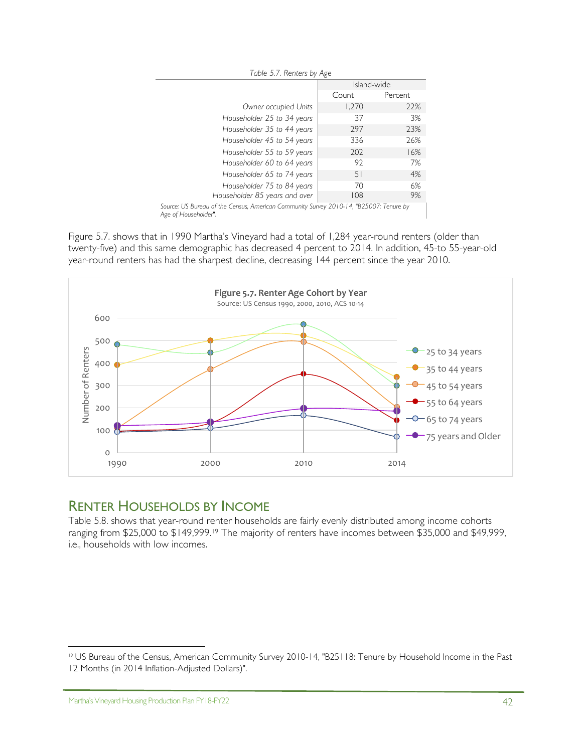| Table 5.7. Renters by Age                                                              |             |         |  |  |  |
|----------------------------------------------------------------------------------------|-------------|---------|--|--|--|
|                                                                                        | Island-wide |         |  |  |  |
|                                                                                        | Count       | Percent |  |  |  |
| Owner occupied Units                                                                   | 1,270       | 22%     |  |  |  |
| Householder 25 to 34 years                                                             | 37          | 3%      |  |  |  |
| Householder 35 to 44 years                                                             | 297         | 23%     |  |  |  |
| Householder 45 to 54 years                                                             | 336         | 26%     |  |  |  |
| Householder 55 to 59 years                                                             | 202         | 16%     |  |  |  |
| Householder 60 to 64 years                                                             | 92          | 7%      |  |  |  |
| Householder 65 to 74 years                                                             | 51          | 4%      |  |  |  |
| Householder 75 to 84 years                                                             | 70          | 6%      |  |  |  |
| Householder 85 years and over                                                          | 108         | 9%      |  |  |  |
| Source: US Bureau of the Census, American Community Survey 2010-14, "B25007: Tenure by |             |         |  |  |  |

*Age of Householder".*

Figure 5.7. shows that in 1990 Martha's Vineyard had a total of 1,284 year-round renters (older than twenty-five) and this same demographic has decreased 4 percent to 2014. In addition, 45-to 55-year-old year-round renters has had the sharpest decline, decreasing 144 percent since the year 2010.



## RENTER HOUSEHOLDS BY INCOME

Table 5.8. shows that year-round renter households are fairly evenly distributed among income cohorts ranging from \$25,000 to \$149,999.19 The majority of renters have incomes between \$35,000 and \$49,999, i.e., households with low incomes.

1

<sup>19</sup> US Bureau of the Census, American Community Survey 2010-14, "B25118: Tenure by Household Income in the Past 12 Months (in 2014 Inflation-Adjusted Dollars)".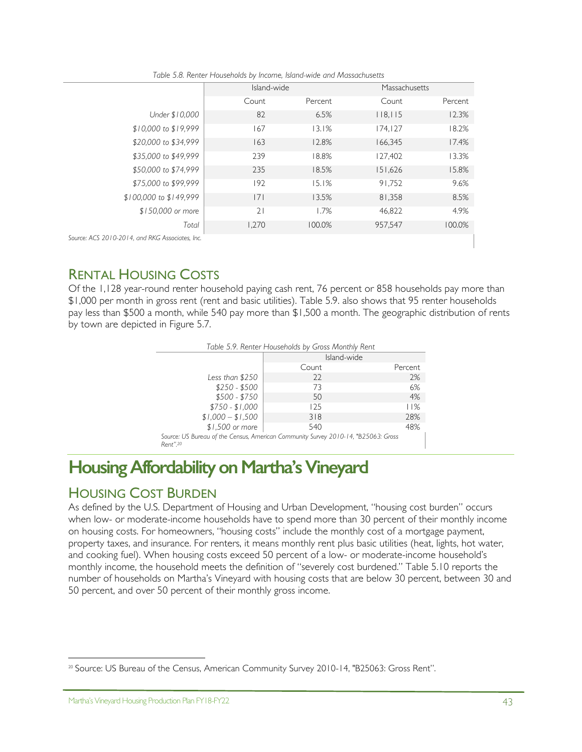|                                  | Island-wide |         | Massachusetts |         |
|----------------------------------|-------------|---------|---------------|---------|
|                                  | Count       | Percent | Count         | Percent |
| Under \$10,000                   | 82          | 6.5%    | 118,115       | 12.3%   |
| \$10,000 to \$19,999             | 167         | 13.1%   | 174, 127      | 18.2%   |
| \$20,000 to \$34,999             | 163         | 12.8%   | 166,345       | 17.4%   |
| \$35,000 to \$49,999             | 239         | 18.8%   | 127.402       | 13.3%   |
| \$50,000 to \$74,999             | 235         | 18.5%   | 151,626       | 15.8%   |
| \$75,000 to \$99,999             | 192         | 15.1%   | 91.752        | 9.6%    |
| \$100,000 to \$149,999           | 7           | 13.5%   | 81,358        | 8.5%    |
| \$150,000 or more                | 21          | 1.7%    | 46,822        | 4.9%    |
| Total                            | 1,270       | 100.0%  | 957,547       | 100.0%  |
| 0-2014, and RKG Associates, Inc. |             |         |               |         |

*Table 5.8. Renter Households by Income, Island-wide and Massachusetts*

*Source: ACS 2010-2014, and RKG Associates, Inc.* 

## RENTAL HOUSING COSTS

Of the 1,128 year-round renter household paying cash rent, 76 percent or 858 households pay more than \$1,000 per month in gross rent (rent and basic utilities). Table 5.9. also shows that 95 renter households pay less than \$500 a month, while 540 pay more than \$1,500 a month. The geographic distribution of rents by town are depicted in Figure 5.7.

| Table 5.9. Renter Households by Gross Monthly Rent                                                                           |             |         |  |  |
|------------------------------------------------------------------------------------------------------------------------------|-------------|---------|--|--|
|                                                                                                                              | Island-wide |         |  |  |
|                                                                                                                              | Count       | Percent |  |  |
| Less than \$250                                                                                                              | 22          | 2%      |  |  |
| $$250 - $500$                                                                                                                | 73          | 6%      |  |  |
| $$500 - $750$                                                                                                                | 50          | 4%      |  |  |
| $$750 - $1,000$                                                                                                              | 125         | 11%     |  |  |
| $$1,000 - $1,500$                                                                                                            | 318         | 28%     |  |  |
| \$1,500 or more                                                                                                              | 540         | 48%     |  |  |
| Source: US Bureau of the Census, American Community Survey 2010-14, "B25063: Gross<br>$\mathbb{R}$ $\mathbb{R}$ $\mathbb{R}$ |             |         |  |  |

*Rent".20*

# **Housing Affordability on Martha's Vineyard**

# HOUSING COST BURDEN

As defined by the U.S. Department of Housing and Urban Development, "housing cost burden" occurs when low- or moderate-income households have to spend more than 30 percent of their monthly income on housing costs. For homeowners, "housing costs" include the monthly cost of a mortgage payment, property taxes, and insurance. For renters, it means monthly rent plus basic utilities (heat, lights, hot water, and cooking fuel). When housing costs exceed 50 percent of a low- or moderate-income household's monthly income, the household meets the definition of "severely cost burdened." Table 5.10 reports the number of households on Martha's Vineyard with housing costs that are below 30 percent, between 30 and 50 percent, and over 50 percent of their monthly gross income.

 $\overline{a}$ <sup>20</sup> Source: US Bureau of the Census, American Community Survey 2010-14, "B25063: Gross Rent".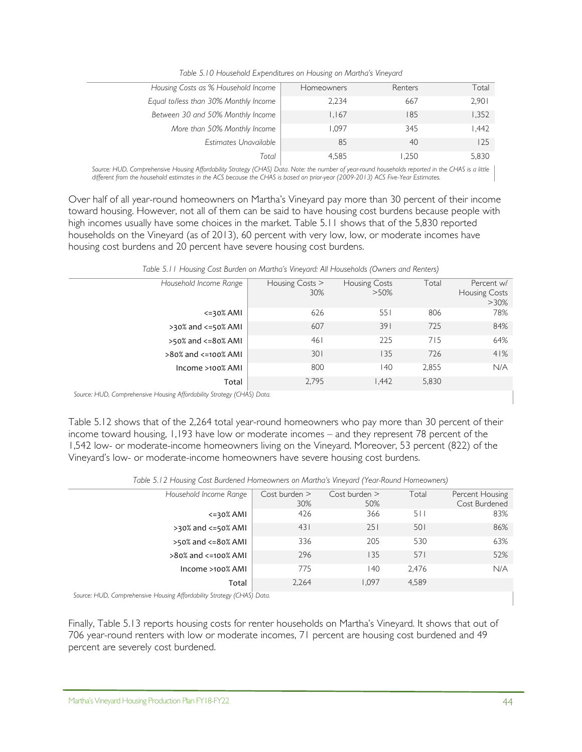| Housing Costs as % Household Income   | <b>Homeowners</b> | Renters | Total  |
|---------------------------------------|-------------------|---------|--------|
| Equal to/less than 30% Monthly Income | 2,234             | 667     | 2,901  |
| Between 30 and 50% Monthly Income     | 1.167             | 185     | 1,352  |
| More than 50% Monthly Income          | 1.097             | 345     | 442. ا |
| Estimates Unavailable                 | 85                | 40      | 125    |
| Total                                 | 4,585             | 1.250   | 5,830  |

*Source: HUD, Comprehensive Housing Affordability Strategy (CHAS) Data. Note: the number of year-round households reported in the CHAS is a little different from the household estimates in the ACS because the CHAS is based on prior-year (2009-2013) ACS Five-Year Estimates.*

Over half of all year-round homeowners on Martha's Vineyard pay more than 30 percent of their income toward housing. However, not all of them can be said to have housing cost burdens because people with high incomes usually have some choices in the market. Table 5.11 shows that of the 5,830 reported households on the Vineyard (as of 2013), 60 percent with very low, low, or moderate incomes have housing cost burdens and 20 percent have severe housing cost burdens.

| Household Income Range           | Housing Costs ><br>30% | Housing Costs<br>$>50\%$ | Total | Percent w/<br><b>Housing Costs</b><br>$>30\%$ |
|----------------------------------|------------------------|--------------------------|-------|-----------------------------------------------|
| $\leq$ 30% AMI                   | 626                    | 551                      | 806   | 78%                                           |
| $>30\%$ and $<=50\%$ AMI         | 607                    | 391                      | 725   | 84%                                           |
| $>50\%$ and $<=80\%$ AMI         | 461                    | 225                      | 715   | 64%                                           |
| $>80\%$ and $\leq$ =100 $\%$ AMI | 301                    | 135                      | 726   | 41%                                           |
| Income >100% AMI                 | 800                    | 140                      | 2,855 | N/A                                           |
| Total                            | 2,795                  | 1.442                    | 5,830 |                                               |

*Table 5.11 Housing Cost Burden on Martha's Vineyard: All Households (Owners and Renters)*

*Source: HUD, Comprehensive Housing Affordability Strategy (CHAS) Data.* 

Table 5.12 shows that of the 2,264 total year-round homeowners who pay more than 30 percent of their income toward housing, 1,193 have low or moderate incomes – and they represent 78 percent of the 1,542 low- or moderate-income homeowners living on the Vineyard. Moreover, 53 percent (822) of the Vineyard's low- or moderate-income homeowners have severe housing cost burdens.

| Household Income Range           | $Cost$ burden $>$<br>30% | $Cost$ burden $>$<br>50% | Total | Percent Housing<br>Cost Burdened |
|----------------------------------|--------------------------|--------------------------|-------|----------------------------------|
| $\leq$ 30% AMI                   | 426                      | 366                      | 511   | 83%                              |
| >30% and <= 50% AMI              | 431                      | 251                      | 501   | 86%                              |
| >50% and <= 80% AMI              | 336                      | 205                      | 530   | 63%                              |
| $>80\%$ and $\leq$ =100 $\%$ AMI | 296                      | 135                      | 571   | 52%                              |
| Income >100% AMI                 | 775                      | 140                      | 2.476 | N/A                              |
| Total                            | 2,264                    | 1.097                    | 4,589 |                                  |

*Table 5.12 Housing Cost Burdened Homeowners on Martha's Vineyard (Year-Round Homeowners)*

*Source: HUD, Comprehensive Housing Affordability Strategy (CHAS) Data.* 

Finally, Table 5.13 reports housing costs for renter households on Martha's Vineyard. It shows that out of 706 year-round renters with low or moderate incomes, 71 percent are housing cost burdened and 49 percent are severely cost burdened.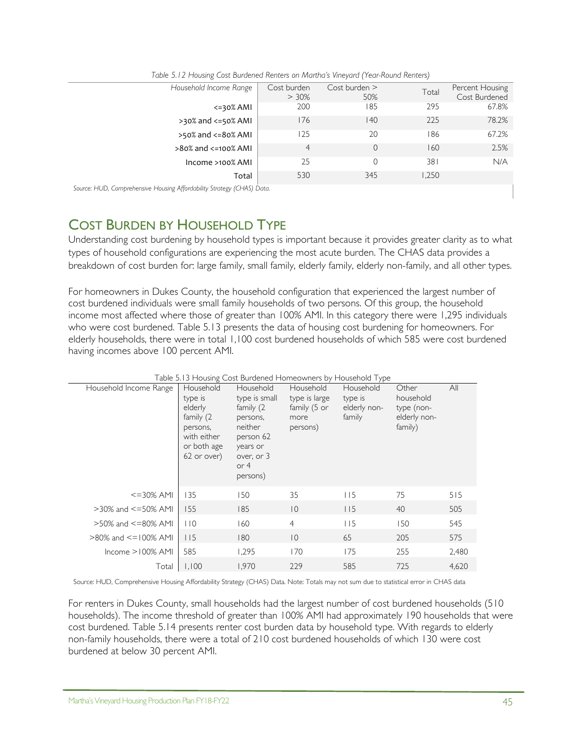| Household Income Range   | Cost burden<br>$> 30\%$ | Cost burden ><br>50% | Total | Percent Housing<br>Cost Burdened |
|--------------------------|-------------------------|----------------------|-------|----------------------------------|
| $\leq$ 30% AMI           | 200                     | 185                  | 295   | 67.8%                            |
| $>30\%$ and $<=50\%$ AMI | 176                     | 140                  | 225   | 78.2%                            |
| $>50\%$ and $<=80\%$ AMI | 125                     | 20                   | 186   | 67.2%                            |
| >80% and <=100% AMI      | 4                       | $\Omega$             | 160   | 2.5%                             |
| Income >100% AMI         | 25                      | 0                    | 381   | N/A                              |
| Total                    | 530                     | 345                  | 1.250 |                                  |
|                          |                         |                      |       |                                  |

*Table 5.12 Housing Cost Burdened Renters on Martha's Vineyard (Year-Round Renters)*

*Source: HUD, Comprehensive Housing Affordability Strategy (CHAS) Data.* 

## COST BURDEN BY HOUSEHOLD TYPE

Understanding cost burdening by household types is important because it provides greater clarity as to what types of household configurations are experiencing the most acute burden. The CHAS data provides a breakdown of cost burden for: large family, small family, elderly family, elderly non-family, and all other types.

For homeowners in Dukes County, the household configuration that experienced the largest number of cost burdened individuals were small family households of two persons. Of this group, the household income most affected where those of greater than 100% AMI. In this category there were 1,295 individuals who were cost burdened. Table 5.13 presents the data of housing cost burdening for homeowners. For elderly households, there were in total 1,100 cost burdened households of which 585 were cost burdened having incomes above 100 percent AMI.

| Table 5.13 Housing Cost Burdened Homeowners by Household Type |                                                                                                       |                                                                                                                             |                                                                |                                                |                                                             |       |
|---------------------------------------------------------------|-------------------------------------------------------------------------------------------------------|-----------------------------------------------------------------------------------------------------------------------------|----------------------------------------------------------------|------------------------------------------------|-------------------------------------------------------------|-------|
| Household Income Range                                        | Household<br>type is<br>elderly<br>family (2<br>persons,<br>with either<br>or both age<br>62 or over) | Household<br>type is small<br>family (2<br>persons,<br>neither<br>person 62<br>years or<br>over, or 3<br>or $4$<br>persons) | Household<br>type is large<br>family (5 or<br>more<br>persons) | Household<br>type is<br>elderly non-<br>family | Other<br>household<br>type (non-<br>elderly non-<br>family) | All   |
| $\leq$ = 30% AMI                                              | 135                                                                                                   | 150                                                                                                                         | 35                                                             | 115                                            | 75                                                          | 515   |
| $>30\%$ and $\leq=50\%$ AMI                                   | 155                                                                                                   | 185                                                                                                                         | $ 0\rangle$                                                    | 115                                            | 40                                                          | 505   |
| $>50\%$ and $\leq$ =80% AMI                                   | 110                                                                                                   | 160                                                                                                                         | $\overline{4}$                                                 | 115                                            | 150                                                         | 545   |
| $>80\%$ and $\le$ = 100% AMI                                  | 115                                                                                                   | 180                                                                                                                         | $ 0\rangle$                                                    | 65                                             | 205                                                         | 575   |
| $lncome > 100%$ AMI                                           | 585                                                                                                   | 1,295                                                                                                                       | 170                                                            | 175                                            | 255                                                         | 2,480 |
| Total                                                         | 1,100                                                                                                 | 1,970                                                                                                                       | 229                                                            | 585                                            | 725                                                         | 4,620 |

Source: HUD, Comprehensive Housing Affordability Strategy (CHAS) Data. Note: Totals may not sum due to statistical error in CHAS data

For renters in Dukes County, small households had the largest number of cost burdened households (510 households). The income threshold of greater than 100% AMI had approximately 190 households that were cost burdened. Table 5.14 presents renter cost burden data by household type. With regards to elderly non-family households, there were a total of 210 cost burdened households of which 130 were cost burdened at below 30 percent AMI.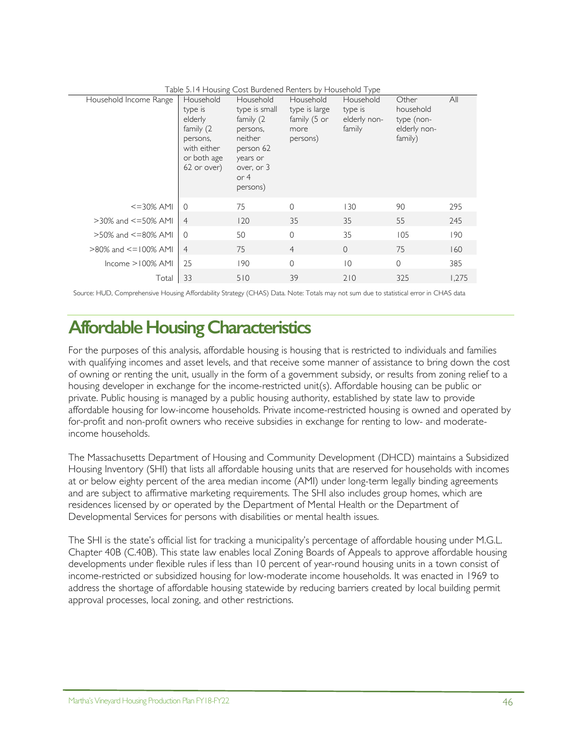| Lable 5.14 Housing Cost Burgened Renters by Housenoid Type |                                                                                                       |                                                                                                                             |                                                                |                                                |                                                             |       |
|------------------------------------------------------------|-------------------------------------------------------------------------------------------------------|-----------------------------------------------------------------------------------------------------------------------------|----------------------------------------------------------------|------------------------------------------------|-------------------------------------------------------------|-------|
| Household Income Range                                     | Household<br>type is<br>elderly<br>family (2<br>persons,<br>with either<br>or both age<br>62 or over) | Household<br>type is small<br>family (2<br>persons,<br>neither<br>person 62<br>years or<br>over, or 3<br>or $4$<br>persons) | Household<br>type is large<br>family (5 or<br>more<br>persons) | Household<br>type is<br>elderly non-<br>family | Other<br>household<br>type (non-<br>elderly non-<br>family) | All   |
| $<=$ 30% AMI                                               | $\Omega$                                                                                              | 75                                                                                                                          | $\Omega$                                                       | 130                                            | 90                                                          | 295   |
| $>30\%$ and $\leq=50\%$ AMI                                | $\overline{4}$                                                                                        | 120                                                                                                                         | 35                                                             | 35                                             | 55                                                          | 245   |
| $>50\%$ and $\leq=80\%$ AMI                                | $\Omega$                                                                                              | 50                                                                                                                          | $\Omega$                                                       | 35                                             | 105                                                         | 190   |
| $>80\%$ and $\le$ = 100% AMI                               | $\overline{4}$                                                                                        | 75                                                                                                                          | $\overline{4}$                                                 | $\overline{0}$                                 | 75                                                          | 160   |
| $lncome > 100\%$ AMI                                       | 25                                                                                                    | 190                                                                                                                         | $\mathbf{0}$                                                   | $\overline{0}$                                 | $\mathbf{0}$                                                | 385   |
| Total                                                      | 33                                                                                                    | 510                                                                                                                         | 39                                                             | 210                                            | 325                                                         | 1,275 |

Table 5.14 Housing Cost Burdened Renters by Household Type

Source: HUD, Comprehensive Housing Affordability Strategy (CHAS) Data. Note: Totals may not sum due to statistical error in CHAS data

# **Affordable Housing Characteristics**

For the purposes of this analysis, affordable housing is housing that is restricted to individuals and families with qualifying incomes and asset levels, and that receive some manner of assistance to bring down the cost of owning or renting the unit, usually in the form of a government subsidy, or results from zoning relief to a housing developer in exchange for the income-restricted unit(s). Affordable housing can be public or private. Public housing is managed by a public housing authority, established by state law to provide affordable housing for low-income households. Private income-restricted housing is owned and operated by for-profit and non-profit owners who receive subsidies in exchange for renting to low- and moderateincome households.

The Massachusetts Department of Housing and Community Development (DHCD) maintains a Subsidized Housing Inventory (SHI) that lists all affordable housing units that are reserved for households with incomes at or below eighty percent of the area median income (AMI) under long-term legally binding agreements and are subject to affirmative marketing requirements. The SHI also includes group homes, which are residences licensed by or operated by the Department of Mental Health or the Department of Developmental Services for persons with disabilities or mental health issues.

The SHI is the state's official list for tracking a municipality's percentage of affordable housing under M.G.L. Chapter 40B (C.40B). This state law enables local Zoning Boards of Appeals to approve affordable housing developments under flexible rules if less than 10 percent of year-round housing units in a town consist of income-restricted or subsidized housing for low-moderate income households. It was enacted in 1969 to address the shortage of affordable housing statewide by reducing barriers created by local building permit approval processes, local zoning, and other restrictions.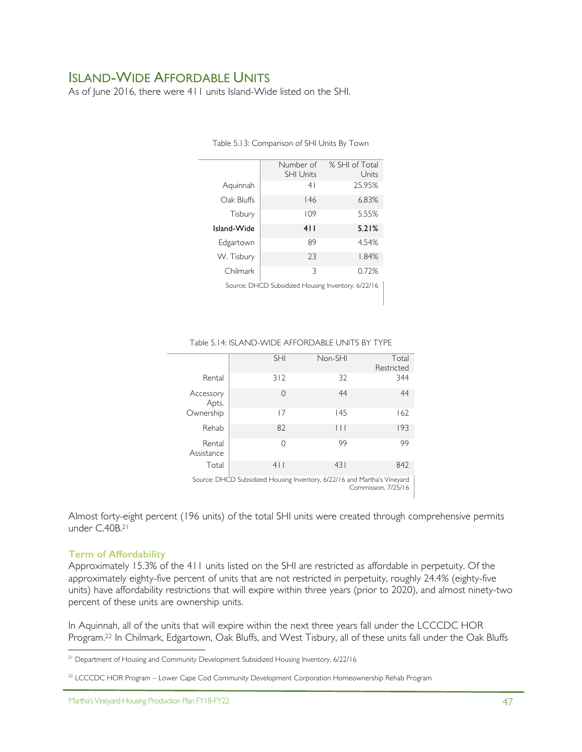## ISLAND-WIDE AFFORDABLE UNITS

As of June 2016, there were 411 units Island-Wide listed on the SHI.

|                                                    | Number of<br><b>SHI Units</b> | % SHI of Total<br>Units |  |  |
|----------------------------------------------------|-------------------------------|-------------------------|--|--|
| Aquinnah                                           | 4 <sup>1</sup>                | 25.95%                  |  |  |
| Oak Bluffs                                         | 146                           | 6.83%                   |  |  |
| Tisbury                                            | 109                           | 5.55%                   |  |  |
| Island-Wide                                        | 411                           | 5.21%                   |  |  |
| Edgartown                                          | 89                            | 4.54%                   |  |  |
| W. Tisbury                                         | 23                            | 1.84%                   |  |  |
| Chilmark                                           | 3                             | 0.72%                   |  |  |
| Source: DHCD Subsidized Housing Inventory, 6/22/16 |                               |                         |  |  |

Table 5.13: Comparison of SHI Units By Town

#### Table 5.14: ISLAND-WIDE AFFORDABLE UNITS BY TYPE

|                                                                                                       | <b>SHI</b> | Non-SHI | Total      |  |
|-------------------------------------------------------------------------------------------------------|------------|---------|------------|--|
|                                                                                                       |            |         | Restricted |  |
| Rental                                                                                                | 312        | 32      | 344        |  |
| Accessory<br>Apts.                                                                                    | 0          | 44      | 44         |  |
| Ownership                                                                                             | 17         | 145     | 162        |  |
| Rehab                                                                                                 | 82         | $\Box$  | 193        |  |
| Rental<br>Assistance                                                                                  | 0          | 99      | 99         |  |
| Total                                                                                                 | 4          | 431     | 842        |  |
| Source: DHCD Subsidized Housing Inventory, 6/22/16 and Martha's Vineyard<br>$C$ ------------ $7/2F/I$ |            |         |            |  |

Commission, 7/25/16

Almost forty-eight percent (196 units) of the total SHI units were created through comprehensive permits under C.40B.<sup>21</sup>

#### **Term of Affordability**

Approximately 15.3% of the 411 units listed on the SHI are restricted as affordable in perpetuity. Of the approximately eighty-five percent of units that are not restricted in perpetuity, roughly 24.4% (eighty-five units) have affordability restrictions that will expire within three years (prior to 2020), and almost ninety-two percent of these units are ownership units.

In Aquinnah, all of the units that will expire within the next three years fall under the LCCCDC HOR Program. <sup>22</sup> In Chilmark, Edgartown, Oak Bluffs, and West Tisbury, all of these units fall under the Oak Bluffs

<sup>-</sup><sup>21</sup> Department of Housing and Community Development Subsidized Housing Inventory, 6/22/16

<sup>&</sup>lt;sup>22</sup> LCCCDC HOR Program – Lower Cape Cod Community Development Corporation Homeownership Rehab Program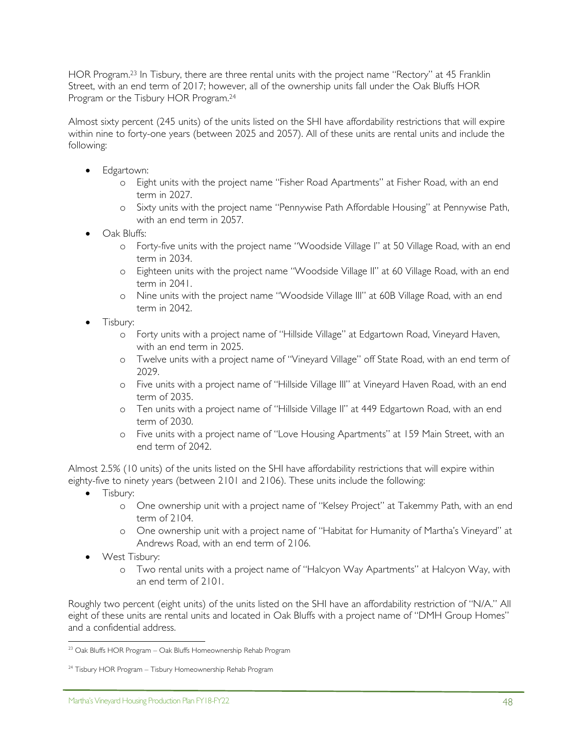HOR Program. <sup>23</sup> In Tisbury, there are three rental units with the project name "Rectory" at 45 Franklin Street, with an end term of 2017; however, all of the ownership units fall under the Oak Bluffs HOR Program or the Tisbury HOR Program.24

Almost sixty percent (245 units) of the units listed on the SHI have affordability restrictions that will expire within nine to forty-one years (between 2025 and 2057). All of these units are rental units and include the following:

- Edgartown:
	- o Eight units with the project name "Fisher Road Apartments" at Fisher Road, with an end term in 2027.
	- o Sixty units with the project name "Pennywise Path Affordable Housing" at Pennywise Path, with an end term in 2057.
- Oak Bluffs:
	- o Forty-five units with the project name "Woodside Village I" at 50 Village Road, with an end term in 2034.
	- o Eighteen units with the project name "Woodside Village II" at 60 Village Road, with an end term in 2041.
	- o Nine units with the project name "Woodside Village III" at 60B Village Road, with an end term in 2042.
- Tisbury:
	- o Forty units with a project name of "Hillside Village" at Edgartown Road, Vineyard Haven, with an end term in 2025.
	- o Twelve units with a project name of "Vineyard Village" off State Road, with an end term of 2029.
	- o Five units with a project name of "Hillside Village III" at Vineyard Haven Road, with an end term of 2035.
	- o Ten units with a project name of "Hillside Village II" at 449 Edgartown Road, with an end term of 2030.
	- o Five units with a project name of "Love Housing Apartments" at 159 Main Street, with an end term of 2042.

Almost 2.5% (10 units) of the units listed on the SHI have affordability restrictions that will expire within eighty-five to ninety years (between 2101 and 2106). These units include the following:

- Tisbury:
	- o One ownership unit with a project name of "Kelsey Project" at Takemmy Path, with an end term of 2104.
	- o One ownership unit with a project name of "Habitat for Humanity of Martha's Vineyard" at Andrews Road, with an end term of 2106.
- West Tisbury:
	- o Two rental units with a project name of "Halcyon Way Apartments" at Halcyon Way, with an end term of 2101.

Roughly two percent (eight units) of the units listed on the SHI have an affordability restriction of "N/A." All eight of these units are rental units and located in Oak Bluffs with a project name of "DMH Group Homes" and a confidential address.

<sup>1</sup>  $^{23}$  Oak Bluffs HOR Program – Oak Bluffs Homeownership Rehab Program

<sup>&</sup>lt;sup>24</sup> Tisbury HOR Program – Tisbury Homeownership Rehab Program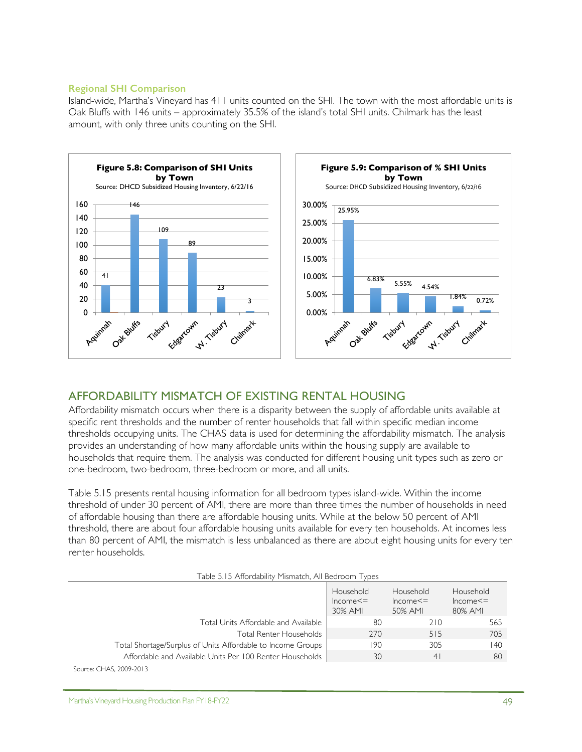### **Regional SHI Comparison**

Island-wide, Martha's Vineyard has 411 units counted on the SHI. The town with the most affordable units is Oak Bluffs with 146 units – approximately 35.5% of the island's total SHI units. Chilmark has the least amount, with only three units counting on the SHI.



## AFFORDABILITY MISMATCH OF EXISTING RENTAL HOUSING

Affordability mismatch occurs when there is a disparity between the supply of affordable units available at specific rent thresholds and the number of renter households that fall within specific median income thresholds occupying units. The CHAS data is used for determining the affordability mismatch. The analysis provides an understanding of how many affordable units within the housing supply are available to households that require them. The analysis was conducted for different housing unit types such as zero or one-bedroom, two-bedroom, three-bedroom or more, and all units.

Table 5.15 presents rental housing information for all bedroom types island-wide. Within the income threshold of under 30 percent of AMI, there are more than three times the number of households in need of affordable housing than there are affordable housing units. While at the below 50 percent of AMI threshold, there are about four affordable housing units available for every ten households. At incomes less than 80 percent of AMI, the mismatch is less unbalanced as there are about eight housing units for every ten renter households.

|  | Table 5.15 Affordability Mismatch, All Bedroom Types |  |
|--|------------------------------------------------------|--|
|  |                                                      |  |

|                                                             | Household<br>$Income < =$<br>30% AMI | Household<br>$Income < =$<br>50% AMI | Household<br>$Income < =$<br>80% AMI |
|-------------------------------------------------------------|--------------------------------------|--------------------------------------|--------------------------------------|
| Total Units Affordable and Available                        | 80                                   | 210                                  | 565                                  |
| Total Renter Households                                     | 270                                  | 515                                  | 705                                  |
| Total Shortage/Surplus of Units Affordable to Income Groups | 190                                  | 305                                  | 140                                  |
| Affordable and Available Units Per 100 Renter Households    | 30                                   | 4                                    | 80                                   |
| Source: CHAS, 2009-2013                                     |                                      |                                      |                                      |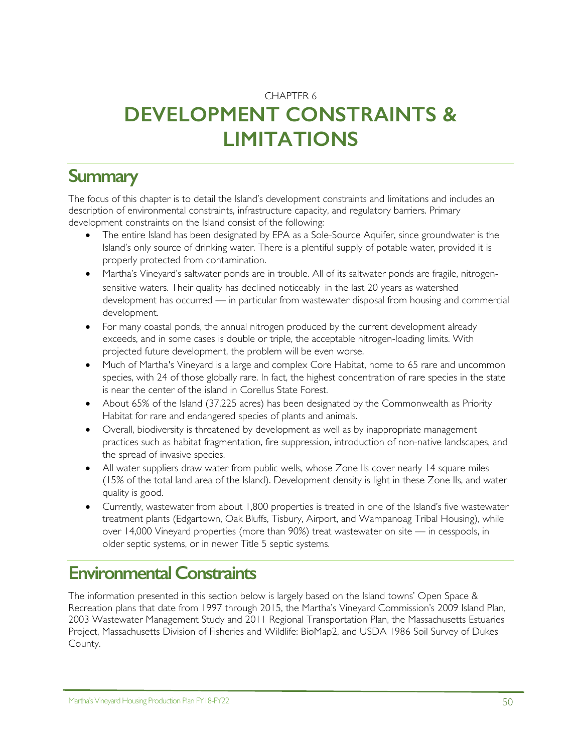## CHAPTER 6

# **DEVELOPMENT CONSTRAINTS & LIMITATIONS**

# **Summary**

The focus of this chapter is to detail the Island's development constraints and limitations and includes an description of environmental constraints, infrastructure capacity, and regulatory barriers. Primary development constraints on the Island consist of the following:

- The entire Island has been designated by EPA as a Sole-Source Aquifer, since groundwater is the Island's only source of drinking water. There is a plentiful supply of potable water, provided it is properly protected from contamination.
- Martha's Vineyard's saltwater ponds are in trouble. All of its saltwater ponds are fragile, nitrogensensitive waters. Their quality has declined noticeably in the last 20 years as watershed development has occurred — in particular from wastewater disposal from housing and commercial development.
- For many coastal ponds, the annual nitrogen produced by the current development already exceeds, and in some cases is double or triple, the acceptable nitrogen-loading limits. With projected future development, the problem will be even worse.
- Much of Martha's Vineyard is a large and complex Core Habitat, home to 65 rare and uncommon species, with 24 of those globally rare. In fact, the highest concentration of rare species in the state is near the center of the island in Corellus State Forest.
- About 65% of the Island (37,225 acres) has been designated by the Commonwealth as Priority Habitat for rare and endangered species of plants and animals.
- Overall, biodiversity is threatened by development as well as by inappropriate management practices such as habitat fragmentation, fire suppression, introduction of non-native landscapes, and the spread of invasive species.
- All water suppliers draw water from public wells, whose Zone IIs cover nearly 14 square miles (15% of the total land area of the Island). Development density is light in these Zone IIs, and water quality is good.
- Currently, wastewater from about 1,800 properties is treated in one of the Island's five wastewater treatment plants (Edgartown, Oak Bluffs, Tisbury, Airport, and Wampanoag Tribal Housing), while over 14,000 Vineyard properties (more than 90%) treat wastewater on site — in cesspools, in older septic systems, or in newer Title 5 septic systems.

# **Environmental Constraints**

The information presented in this section below is largely based on the Island towns' Open Space & Recreation plans that date from 1997 through 2015, the Martha's Vineyard Commission's 2009 Island Plan, 2003 Wastewater Management Study and 2011 Regional Transportation Plan, the Massachusetts Estuaries Project, Massachusetts Division of Fisheries and Wildlife: BioMap2, and USDA 1986 Soil Survey of Dukes County.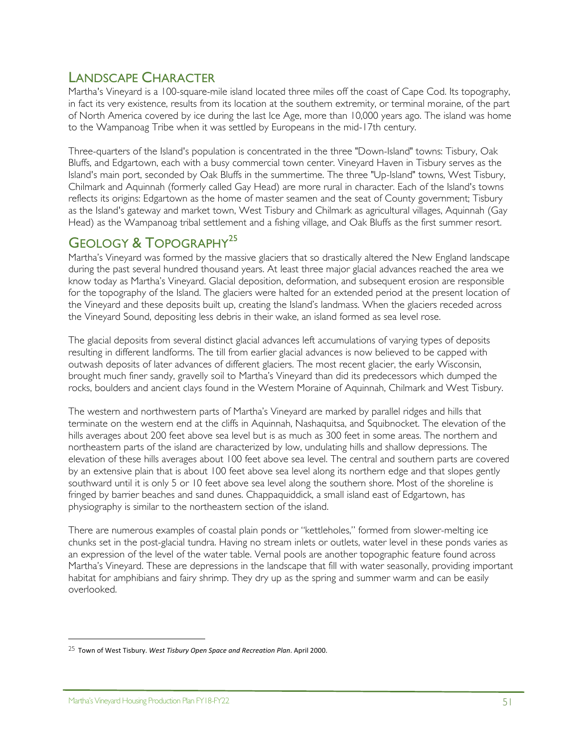## LANDSCAPE CHARACTER

Martha's Vineyard is a 100-square-mile island located three miles off the coast of Cape Cod. Its topography, in fact its very existence, results from its location at the southern extremity, or terminal moraine, of the part of North America covered by ice during the last Ice Age, more than 10,000 years ago. The island was home to the Wampanoag Tribe when it was settled by Europeans in the mid-17th century.

Three-quarters of the Island's population is concentrated in the three "Down-Island" towns: Tisbury, Oak Bluffs, and Edgartown, each with a busy commercial town center. Vineyard Haven in Tisbury serves as the Island's main port, seconded by Oak Bluffs in the summertime. The three "Up-Island" towns, West Tisbury, Chilmark and Aquinnah (formerly called Gay Head) are more rural in character. Each of the Island's towns reflects its origins: Edgartown as the home of master seamen and the seat of County government; Tisbury as the Island's gateway and market town, West Tisbury and Chilmark as agricultural villages, Aquinnah (Gay Head) as the Wampanoag tribal settlement and a fishing village, and Oak Bluffs as the first summer resort.

# GEOLOGY & TOPOGRAPHY<sup>25</sup>

Martha's Vineyard was formed by the massive glaciers that so drastically altered the New England landscape during the past several hundred thousand years. At least three major glacial advances reached the area we know today as Martha's Vineyard. Glacial deposition, deformation, and subsequent erosion are responsible for the topography of the Island. The glaciers were halted for an extended period at the present location of the Vineyard and these deposits built up, creating the Island's landmass. When the glaciers receded across the Vineyard Sound, depositing less debris in their wake, an island formed as sea level rose.

The glacial deposits from several distinct glacial advances left accumulations of varying types of deposits resulting in different landforms. The till from earlier glacial advances is now believed to be capped with outwash deposits of later advances of different glaciers. The most recent glacier, the early Wisconsin, brought much finer sandy, gravelly soil to Martha's Vineyard than did its predecessors which dumped the rocks, boulders and ancient clays found in the Western Moraine of Aquinnah, Chilmark and West Tisbury.

The western and northwestern parts of Martha's Vineyard are marked by parallel ridges and hills that terminate on the western end at the cliffs in Aquinnah, Nashaquitsa, and Squibnocket. The elevation of the hills averages about 200 feet above sea level but is as much as 300 feet in some areas. The northern and northeastern parts of the island are characterized by low, undulating hills and shallow depressions. The elevation of these hills averages about 100 feet above sea level. The central and southern parts are covered by an extensive plain that is about 100 feet above sea level along its northern edge and that slopes gently southward until it is only 5 or 10 feet above sea level along the southern shore. Most of the shoreline is fringed by barrier beaches and sand dunes. Chappaquiddick, a small island east of Edgartown, has physiography is similar to the northeastern section of the island.

There are numerous examples of coastal plain ponds or "kettleholes," formed from slower-melting ice chunks set in the post-glacial tundra. Having no stream inlets or outlets, water level in these ponds varies as an expression of the level of the water table. Vernal pools are another topographic feature found across Martha's Vineyard. These are depressions in the landscape that fill with water seasonally, providing important habitat for amphibians and fairy shrimp. They dry up as the spring and summer warm and can be easily overlooked.

-

<sup>&</sup>lt;sup>25</sup> Town of West Tisbury. West Tisbury Open Space and Recreation Plan. April 2000.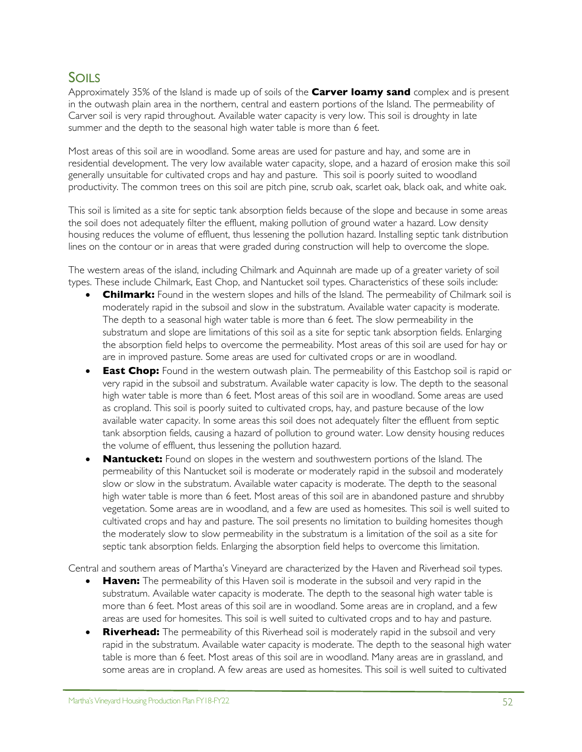## SOILS

Approximately 35% of the Island is made up of soils of the **Carver loamy sand** complex and is present in the outwash plain area in the northern, central and eastern portions of the Island. The permeability of Carver soil is very rapid throughout. Available water capacity is very low. This soil is droughty in late summer and the depth to the seasonal high water table is more than 6 feet.

Most areas of this soil are in woodland. Some areas are used for pasture and hay, and some are in residential development. The very low available water capacity, slope, and a hazard of erosion make this soil generally unsuitable for cultivated crops and hay and pasture. This soil is poorly suited to woodland productivity. The common trees on this soil are pitch pine, scrub oak, scarlet oak, black oak, and white oak.

This soil is limited as a site for septic tank absorption fields because of the slope and because in some areas the soil does not adequately filter the effluent, making pollution of ground water a hazard. Low density housing reduces the volume of effluent, thus lessening the pollution hazard. Installing septic tank distribution lines on the contour or in areas that were graded during construction will help to overcome the slope.

The western areas of the island, including Chilmark and Aquinnah are made up of a greater variety of soil types. These include Chilmark, East Chop, and Nantucket soil types. Characteristics of these soils include:

- **Chilmark:** Found in the western slopes and hills of the Island. The permeability of Chilmark soil is moderately rapid in the subsoil and slow in the substratum. Available water capacity is moderate. The depth to a seasonal high water table is more than 6 feet. The slow permeability in the substratum and slope are limitations of this soil as a site for septic tank absorption fields. Enlarging the absorption field helps to overcome the permeability. Most areas of this soil are used for hay or are in improved pasture. Some areas are used for cultivated crops or are in woodland.
- **East Chop:** Found in the western outwash plain. The permeability of this Eastchop soil is rapid or very rapid in the subsoil and substratum. Available water capacity is low. The depth to the seasonal high water table is more than 6 feet. Most areas of this soil are in woodland. Some areas are used as cropland. This soil is poorly suited to cultivated crops, hay, and pasture because of the low available water capacity. In some areas this soil does not adequately filter the effluent from septic tank absorption fields, causing a hazard of pollution to ground water. Low density housing reduces the volume of effluent, thus lessening the pollution hazard.
- **Nantucket:** Found on slopes in the western and southwestern portions of the Island. The permeability of this Nantucket soil is moderate or moderately rapid in the subsoil and moderately slow or slow in the substratum. Available water capacity is moderate. The depth to the seasonal high water table is more than 6 feet. Most areas of this soil are in abandoned pasture and shrubby vegetation. Some areas are in woodland, and a few are used as homesites. This soil is well suited to cultivated crops and hay and pasture. The soil presents no limitation to building homesites though the moderately slow to slow permeability in the substratum is a limitation of the soil as a site for septic tank absorption fields. Enlarging the absorption field helps to overcome this limitation.

Central and southern areas of Martha's Vineyard are characterized by the Haven and Riverhead soil types.

- **Haven:** The permeability of this Haven soil is moderate in the subsoil and very rapid in the substratum. Available water capacity is moderate. The depth to the seasonal high water table is more than 6 feet. Most areas of this soil are in woodland. Some areas are in cropland, and a few areas are used for homesites. This soil is well suited to cultivated crops and to hay and pasture.
- **Riverhead:** The permeability of this Riverhead soil is moderately rapid in the subsoil and very rapid in the substratum. Available water capacity is moderate. The depth to the seasonal high water table is more than 6 feet. Most areas of this soil are in woodland. Many areas are in grassland, and some areas are in cropland. A few areas are used as homesites. This soil is well suited to cultivated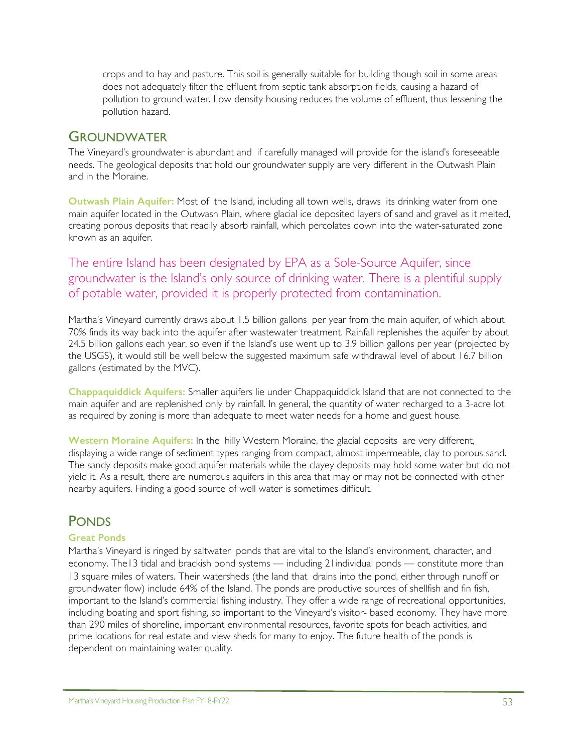crops and to hay and pasture. This soil is generally suitable for building though soil in some areas does not adequately filter the effluent from septic tank absorption fields, causing a hazard of pollution to ground water. Low density housing reduces the volume of effluent, thus lessening the pollution hazard.

## **GROUNDWATER**

The Vineyard's groundwater is abundant and if carefully managed will provide for the island's foreseeable needs. The geological deposits that hold our groundwater supply are very different in the Outwash Plain and in the Moraine.

**Outwash Plain Aquifer:** Most of the Island, including all town wells, draws its drinking water from one main aquifer located in the Outwash Plain, where glacial ice deposited layers of sand and gravel as it melted, creating porous deposits that readily absorb rainfall, which percolates down into the water-saturated zone known as an aquifer.

The entire Island has been designated by EPA as a Sole-Source Aquifer, since groundwater is the Island's only source of drinking water. There is a plentiful supply of potable water, provided it is properly protected from contamination.

Martha's Vineyard currently draws about 1.5 billion gallons per year from the main aquifer, of which about 70% finds its way back into the aquifer after wastewater treatment. Rainfall replenishes the aquifer by about 24.5 billion gallons each year, so even if the Island's use went up to 3.9 billion gallons per year (projected by the USGS), it would still be well below the suggested maximum safe withdrawal level of about 16.7 billion gallons (estimated by the MVC).

**Chappaquiddick Aquifers:** Smaller aquifers lie under Chappaquiddick Island that are not connected to the main aquifer and are replenished only by rainfall. In general, the quantity of water recharged to a 3-acre lot as required by zoning is more than adequate to meet water needs for a home and guest house.

**Western Moraine Aquifers:** In the hilly Western Moraine, the glacial deposits are very different, displaying a wide range of sediment types ranging from compact, almost impermeable, clay to porous sand. The sandy deposits make good aquifer materials while the clayey deposits may hold some water but do not yield it. As a result, there are numerous aquifers in this area that may or may not be connected with other nearby aquifers. Finding a good source of well water is sometimes difficult.

# PONDS

### **Great Ponds**

Martha's Vineyard is ringed by saltwater ponds that are vital to the Island's environment, character, and economy. The13 tidal and brackish pond systems — including 21individual ponds — constitute more than 13 square miles of waters. Their watersheds (the land that drains into the pond, either through runoff or groundwater flow) include 64% of the Island. The ponds are productive sources of shellfish and fin fish, important to the Island's commercial fishing industry. They offer a wide range of recreational opportunities, including boating and sport fishing, so important to the Vineyard's visitor- based economy. They have more than 290 miles of shoreline, important environmental resources, favorite spots for beach activities, and prime locations for real estate and view sheds for many to enjoy. The future health of the ponds is dependent on maintaining water quality.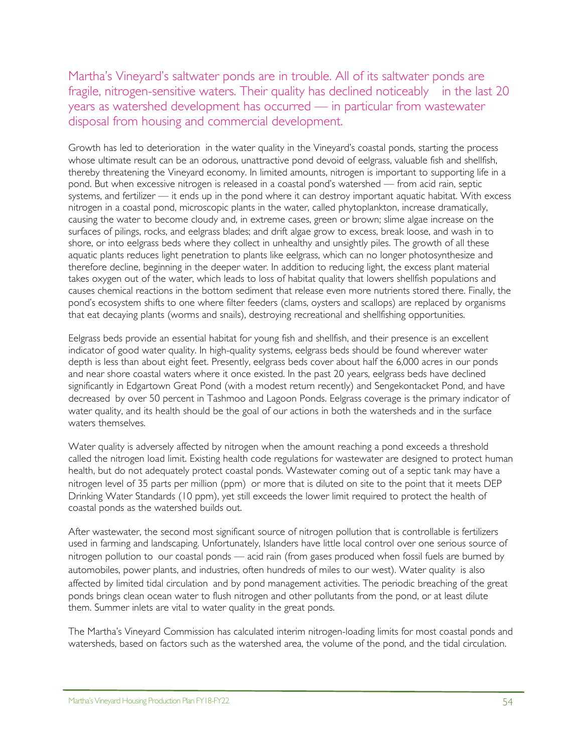Martha's Vineyard's saltwater ponds are in trouble. All of its saltwater ponds are fragile, nitrogen-sensitive waters. Their quality has declined noticeably in the last 20 years as watershed development has occurred — in particular from wastewater disposal from housing and commercial development.

Growth has led to deterioration in the water quality in the Vineyard's coastal ponds, starting the process whose ultimate result can be an odorous, unattractive pond devoid of eelgrass, valuable fish and shellfish, thereby threatening the Vineyard economy. In limited amounts, nitrogen is important to supporting life in a pond. But when excessive nitrogen is released in a coastal pond's watershed — from acid rain, septic systems, and fertilizer — it ends up in the pond where it can destroy important aquatic habitat. With excess nitrogen in a coastal pond, microscopic plants in the water, called phytoplankton, increase dramatically, causing the water to become cloudy and, in extreme cases, green or brown; slime algae increase on the surfaces of pilings, rocks, and eelgrass blades; and drift algae grow to excess, break loose, and wash in to shore, or into eelgrass beds where they collect in unhealthy and unsightly piles. The growth of all these aquatic plants reduces light penetration to plants like eelgrass, which can no longer photosynthesize and therefore decline, beginning in the deeper water. In addition to reducing light, the excess plant material takes oxygen out of the water, which leads to loss of habitat quality that lowers shellfish populations and causes chemical reactions in the bottom sediment that release even more nutrients stored there. Finally, the pond's ecosystem shifts to one where filter feeders (clams, oysters and scallops) are replaced by organisms that eat decaying plants (worms and snails), destroying recreational and shellfishing opportunities.

Eelgrass beds provide an essential habitat for young fish and shellfish, and their presence is an excellent indicator of good water quality. In high-quality systems, eelgrass beds should be found wherever water depth is less than about eight feet. Presently, eelgrass beds cover about half the 6,000 acres in our ponds and near shore coastal waters where it once existed. In the past 20 years, eelgrass beds have declined significantly in Edgartown Great Pond (with a modest return recently) and Sengekontacket Pond, and have decreased by over 50 percent in Tashmoo and Lagoon Ponds. Eelgrass coverage is the primary indicator of water quality, and its health should be the goal of our actions in both the watersheds and in the surface waters themselves.

Water quality is adversely affected by nitrogen when the amount reaching a pond exceeds a threshold called the nitrogen load limit. Existing health code regulations for wastewater are designed to protect human health, but do not adequately protect coastal ponds. Wastewater coming out of a septic tank may have a nitrogen level of 35 parts per million (ppm) or more that is diluted on site to the point that it meets DEP Drinking Water Standards (10 ppm), yet still exceeds the lower limit required to protect the health of coastal ponds as the watershed builds out.

After wastewater, the second most significant source of nitrogen pollution that is controllable is fertilizers used in farming and landscaping. Unfortunately, Islanders have little local control over one serious source of nitrogen pollution to our coastal ponds — acid rain (from gases produced when fossil fuels are burned by automobiles, power plants, and industries, often hundreds of miles to our west). Water quality is also affected by limited tidal circulation and by pond management activities. The periodic breaching of the great ponds brings clean ocean water to flush nitrogen and other pollutants from the pond, or at least dilute them. Summer inlets are vital to water quality in the great ponds.

The Martha's Vineyard Commission has calculated interim nitrogen-loading limits for most coastal ponds and watersheds, based on factors such as the watershed area, the volume of the pond, and the tidal circulation.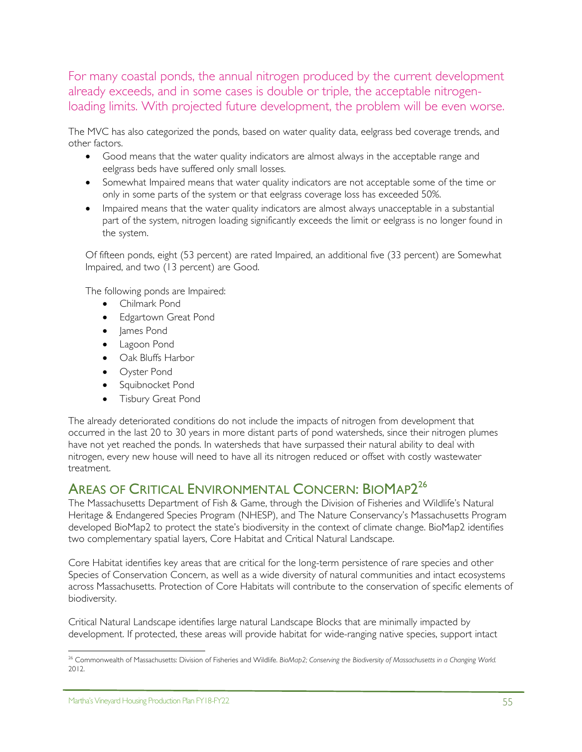For many coastal ponds, the annual nitrogen produced by the current development already exceeds, and in some cases is double or triple, the acceptable nitrogenloading limits. With projected future development, the problem will be even worse.

The MVC has also categorized the ponds, based on water quality data, eelgrass bed coverage trends, and other factors.

- Good means that the water quality indicators are almost always in the acceptable range and eelgrass beds have suffered only small losses.
- Somewhat Impaired means that water quality indicators are not acceptable some of the time or only in some parts of the system or that eelgrass coverage loss has exceeded 50%.
- Impaired means that the water quality indicators are almost always unacceptable in a substantial part of the system, nitrogen loading significantly exceeds the limit or eelgrass is no longer found in the system.

Of fifteen ponds, eight (53 percent) are rated Impaired, an additional five (33 percent) are Somewhat Impaired, and two (13 percent) are Good.

The following ponds are Impaired:

- Chilmark Pond
- Edgartown Great Pond
- James Pond
- Lagoon Pond
- Oak Bluffs Harbor
- Oyster Pond
- Squibnocket Pond
- Tisbury Great Pond

The already deteriorated conditions do not include the impacts of nitrogen from development that occurred in the last 20 to 30 years in more distant parts of pond watersheds, since their nitrogen plumes have not yet reached the ponds. In watersheds that have surpassed their natural ability to deal with nitrogen, every new house will need to have all its nitrogen reduced or offset with costly wastewater treatment.

## AREAS OF CRITICAL ENVIRONMENTAL CONCERN: BIOMAP2<sup>26</sup>

The Massachusetts Department of Fish & Game, through the Division of Fisheries and Wildlife's Natural Heritage & Endangered Species Program (NHESP), and The Nature Conservancy's Massachusetts Program developed BioMap2 to protect the state's biodiversity in the context of climate change. BioMap2 identifies two complementary spatial layers, Core Habitat and Critical Natural Landscape.

Core Habitat identifies key areas that are critical for the long-term persistence of rare species and other Species of Conservation Concern, as well as a wide diversity of natural communities and intact ecosystems across Massachusetts. Protection of Core Habitats will contribute to the conservation of specific elements of biodiversity.

Critical Natural Landscape identifies large natural Landscape Blocks that are minimally impacted by development. If protected, these areas will provide habitat for wide-ranging native species, support intact

 $\overline{a}$ 

<sup>26</sup> Commonwealth of Massachusetts: Division of Fisheries and Wildlife. *BioMap2; Conserving the Biodiversity of Massachusetts in a Changing World.* 2012.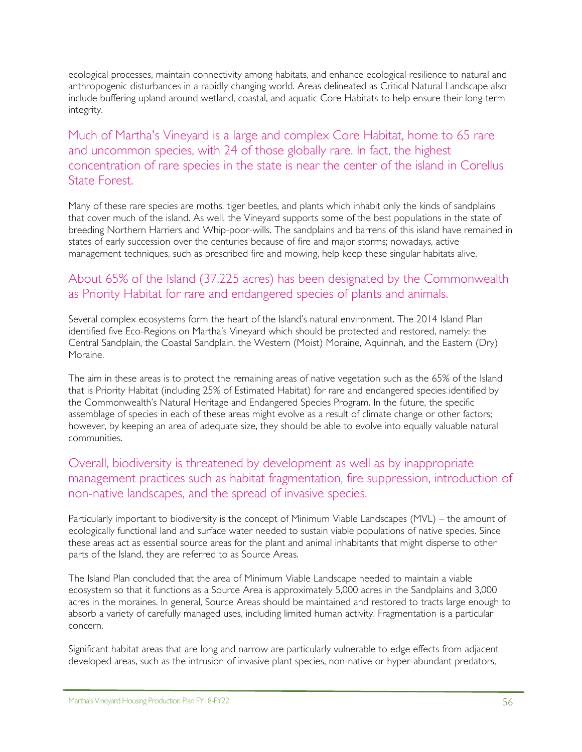ecological processes, maintain connectivity among habitats, and enhance ecological resilience to natural and anthropogenic disturbances in a rapidly changing world. Areas delineated as Critical Natural Landscape also include buffering upland around wetland, coastal, and aquatic Core Habitats to help ensure their long-term integrity.

Much of Martha's Vineyard is a large and complex Core Habitat, home to 65 rare and uncommon species, with 24 of those globally rare. In fact, the highest concentration of rare species in the state is near the center of the island in Corellus State Forest.

Many of these rare species are moths, tiger beetles, and plants which inhabit only the kinds of sandplains that cover much of the island. As well, the Vineyard supports some of the best populations in the state of breeding Northern Harriers and Whip-poor-wills. The sandplains and barrens of this island have remained in states of early succession over the centuries because of fire and major storms; nowadays, active management techniques, such as prescribed fire and mowing, help keep these singular habitats alive.

## About 65% of the Island (37,225 acres) has been designated by the Commonwealth as Priority Habitat for rare and endangered species of plants and animals.

Several complex ecosystems form the heart of the Island's natural environment. The 2014 Island Plan identified five Eco-Regions on Martha's Vineyard which should be protected and restored, namely: the Central Sandplain, the Coastal Sandplain, the Western (Moist) Moraine, Aquinnah, and the Eastern (Dry) Moraine.

The aim in these areas is to protect the remaining areas of native vegetation such as the 65% of the Island that is Priority Habitat (including 25% of Estimated Habitat) for rare and endangered species identified by the Commonwealth's Natural Heritage and Endangered Species Program. In the future, the specific assemblage of species in each of these areas might evolve as a result of climate change or other factors; however, by keeping an area of adequate size, they should be able to evolve into equally valuable natural communities.

## Overall, biodiversity is threatened by development as well as by inappropriate management practices such as habitat fragmentation, fire suppression, introduction of non-native landscapes, and the spread of invasive species.

Particularly important to biodiversity is the concept of Minimum Viable Landscapes (MVL) – the amount of ecologically functional land and surface water needed to sustain viable populations of native species. Since these areas act as essential source areas for the plant and animal inhabitants that might disperse to other parts of the Island, they are referred to as Source Areas.

The Island Plan concluded that the area of Minimum Viable Landscape needed to maintain a viable ecosystem so that it functions as a Source Area is approximately 5,000 acres in the Sandplains and 3,000 acres in the moraines. In general, Source Areas should be maintained and restored to tracts large enough to absorb a variety of carefully managed uses, including limited human activity. Fragmentation is a particular concern.

Significant habitat areas that are long and narrow are particularly vulnerable to edge effects from adjacent developed areas, such as the intrusion of invasive plant species, non-native or hyper-abundant predators,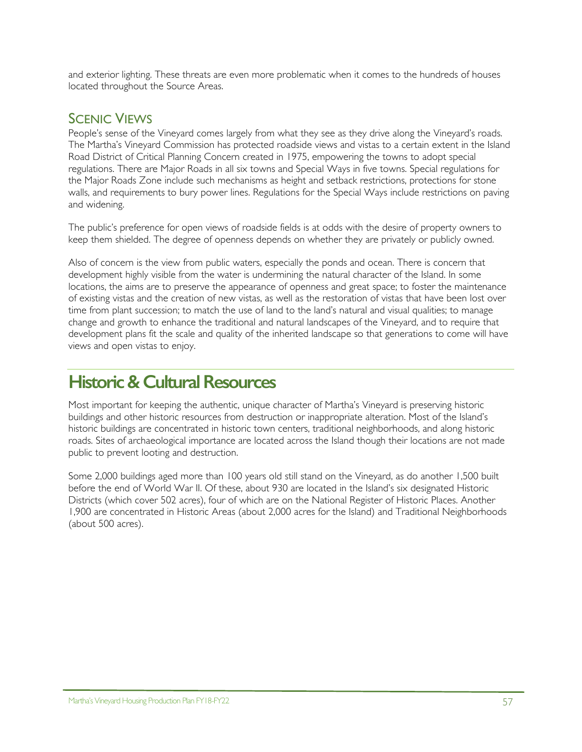and exterior lighting. These threats are even more problematic when it comes to the hundreds of houses located throughout the Source Areas.

# SCENIC VIEWS

People's sense of the Vineyard comes largely from what they see as they drive along the Vineyard's roads. The Martha's Vineyard Commission has protected roadside views and vistas to a certain extent in the Island Road District of Critical Planning Concern created in 1975, empowering the towns to adopt special regulations. There are Major Roads in all six towns and Special Ways in five towns. Special regulations for the Major Roads Zone include such mechanisms as height and setback restrictions, protections for stone walls, and requirements to bury power lines. Regulations for the Special Ways include restrictions on paving and widening.

The public's preference for open views of roadside fields is at odds with the desire of property owners to keep them shielded. The degree of openness depends on whether they are privately or publicly owned.

Also of concern is the view from public waters, especially the ponds and ocean. There is concern that development highly visible from the water is undermining the natural character of the Island. In some locations, the aims are to preserve the appearance of openness and great space; to foster the maintenance of existing vistas and the creation of new vistas, as well as the restoration of vistas that have been lost over time from plant succession; to match the use of land to the land's natural and visual qualities; to manage change and growth to enhance the traditional and natural landscapes of the Vineyard, and to require that development plans fit the scale and quality of the inherited landscape so that generations to come will have views and open vistas to enjoy.

# **Historic & Cultural Resources**

Most important for keeping the authentic, unique character of Martha's Vineyard is preserving historic buildings and other historic resources from destruction or inappropriate alteration. Most of the Island's historic buildings are concentrated in historic town centers, traditional neighborhoods, and along historic roads. Sites of archaeological importance are located across the Island though their locations are not made public to prevent looting and destruction.

Some 2,000 buildings aged more than 100 years old still stand on the Vineyard, as do another 1,500 built before the end of World War II. Of these, about 930 are located in the Island's six designated Historic Districts (which cover 502 acres), four of which are on the National Register of Historic Places. Another 1,900 are concentrated in Historic Areas (about 2,000 acres for the Island) and Traditional Neighborhoods (about 500 acres).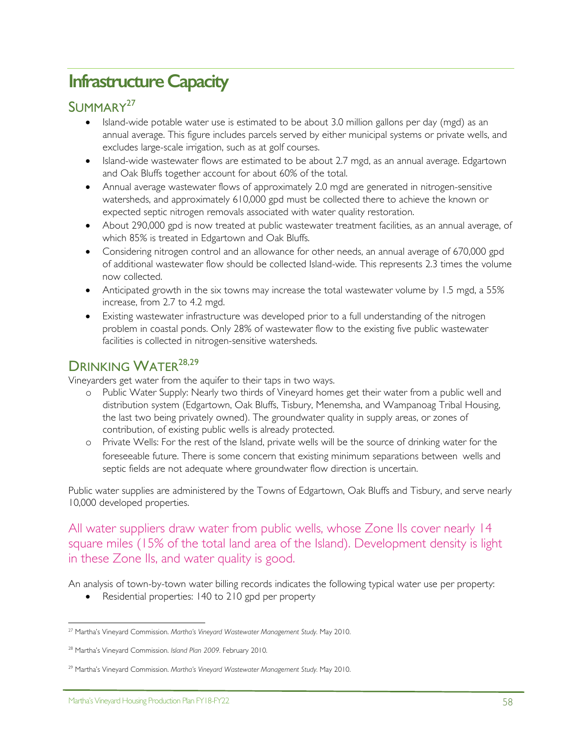# **Infrastructure Capacity**

## SUMMARY27

- Island-wide potable water use is estimated to be about 3.0 million gallons per day (mgd) as an annual average. This figure includes parcels served by either municipal systems or private wells, and excludes large-scale irrigation, such as at golf courses.
- Island-wide wastewater flows are estimated to be about 2.7 mgd, as an annual average. Edgartown and Oak Bluffs together account for about 60% of the total.
- Annual average wastewater flows of approximately 2.0 mgd are generated in nitrogen-sensitive watersheds, and approximately 610,000 gpd must be collected there to achieve the known or expected septic nitrogen removals associated with water quality restoration.
- About 290,000 gpd is now treated at public wastewater treatment facilities, as an annual average, of which 85% is treated in Edgartown and Oak Bluffs.
- Considering nitrogen control and an allowance for other needs, an annual average of 670,000 gpd of additional wastewater flow should be collected Island-wide. This represents 2.3 times the volume now collected.
- Anticipated growth in the six towns may increase the total wastewater volume by 1.5 mgd, a 55% increase, from 2.7 to 4.2 mgd.
- Existing wastewater infrastructure was developed prior to a full understanding of the nitrogen problem in coastal ponds. Only 28% of wastewater flow to the existing five public wastewater facilities is collected in nitrogen-sensitive watersheds.

## DRINKING WATER<sup>28,29</sup>

Vineyarders get water from the aquifer to their taps in two ways.

- o Public Water Supply: Nearly two thirds of Vineyard homes get their water from a public well and distribution system (Edgartown, Oak Bluffs, Tisbury, Menemsha, and Wampanoag Tribal Housing, the last two being privately owned). The groundwater quality in supply areas, or zones of contribution, of existing public wells is already protected.
- o Private Wells: For the rest of the Island, private wells will be the source of drinking water for the foreseeable future. There is some concern that existing minimum separations between wells and septic fields are not adequate where groundwater flow direction is uncertain.

Public water supplies are administered by the Towns of Edgartown, Oak Bluffs and Tisbury, and serve nearly 10,000 developed properties.

All water suppliers draw water from public wells, whose Zone IIs cover nearly 14 square miles (15% of the total land area of the Island). Development density is light in these Zone IIs, and water quality is good.

An analysis of town-by-town water billing records indicates the following typical water use per property:

• Residential properties: 140 to 210 gpd per property

<sup>-</sup><sup>27</sup> Martha's Vineyard Commission. *Martha's Vineyard Wastewater Management Study.* May 2010.

<sup>28</sup> Martha's Vineyard Commission. *Island Plan 2009.* February 2010.

<sup>29</sup> Martha's Vineyard Commission. *Martha's Vineyard Wastewater Management Study.* May 2010.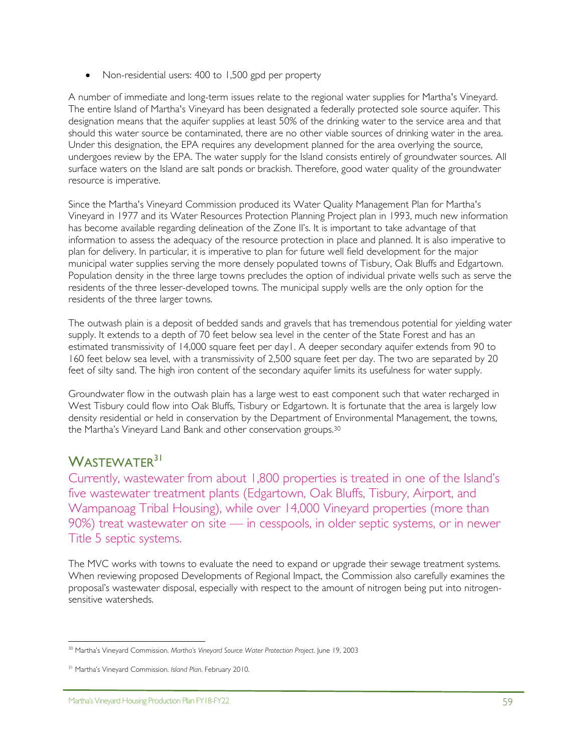• Non-residential users: 400 to 1,500 gpd per property

A number of immediate and long-term issues relate to the regional water supplies for Martha's Vineyard. The entire Island of Martha's Vineyard has been designated a federally protected sole source aquifer. This designation means that the aquifer supplies at least 50% of the drinking water to the service area and that should this water source be contaminated, there are no other viable sources of drinking water in the area. Under this designation, the EPA requires any development planned for the area overlying the source, undergoes review by the EPA. The water supply for the Island consists entirely of groundwater sources. All surface waters on the Island are salt ponds or brackish. Therefore, good water quality of the groundwater resource is imperative.

Since the Martha's Vineyard Commission produced its Water Quality Management Plan for Martha's Vineyard in 1977 and its Water Resources Protection Planning Project plan in 1993, much new information has become available regarding delineation of the Zone II's. It is important to take advantage of that information to assess the adequacy of the resource protection in place and planned. It is also imperative to plan for delivery. In particular, it is imperative to plan for future well field development for the major municipal water supplies serving the more densely populated towns of Tisbury, Oak Bluffs and Edgartown. Population density in the three large towns precludes the option of individual private wells such as serve the residents of the three lesser-developed towns. The municipal supply wells are the only option for the residents of the three larger towns.

The outwash plain is a deposit of bedded sands and gravels that has tremendous potential for yielding water supply. It extends to a depth of 70 feet below sea level in the center of the State Forest and has an estimated transmissivity of 14,000 square feet per day1. A deeper secondary aquifer extends from 90 to 160 feet below sea level, with a transmissivity of 2,500 square feet per day. The two are separated by 20 feet of silty sand. The high iron content of the secondary aquifer limits its usefulness for water supply.

Groundwater flow in the outwash plain has a large west to east component such that water recharged in West Tisbury could flow into Oak Bluffs, Tisbury or Edgartown. It is fortunate that the area is largely low density residential or held in conservation by the Department of Environmental Management, the towns, the Martha's Vineyard Land Bank and other conservation groups.30

## WASTEWATER<sup>31</sup>

Currently, wastewater from about 1,800 properties is treated in one of the Island's five wastewater treatment plants (Edgartown, Oak Bluffs, Tisbury, Airport, and Wampanoag Tribal Housing), while over 14,000 Vineyard properties (more than 90%) treat wastewater on site — in cesspools, in older septic systems, or in newer Title 5 septic systems.

The MVC works with towns to evaluate the need to expand or upgrade their sewage treatment systems. When reviewing proposed Developments of Regional Impact, the Commission also carefully examines the proposal's wastewater disposal, especially with respect to the amount of nitrogen being put into nitrogensensitive watersheds.

 <sup>30</sup> Martha's Vineyard Commission. *Martha's Vineyard Source Water Protection Project*. June 19, 2003

<sup>31</sup> Martha's Vineyard Commission. *Island Plan*. February 2010.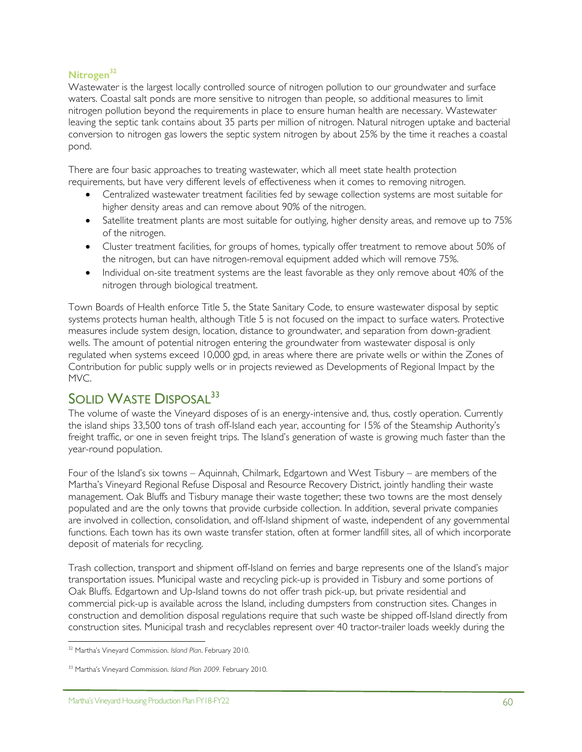## **Nitrogen<sup>32</sup>**

Wastewater is the largest locally controlled source of nitrogen pollution to our groundwater and surface waters. Coastal salt ponds are more sensitive to nitrogen than people, so additional measures to limit nitrogen pollution beyond the requirements in place to ensure human health are necessary. Wastewater leaving the septic tank contains about 35 parts per million of nitrogen. Natural nitrogen uptake and bacterial conversion to nitrogen gas lowers the septic system nitrogen by about 25% by the time it reaches a coastal pond.

There are four basic approaches to treating wastewater, which all meet state health protection requirements, but have very different levels of effectiveness when it comes to removing nitrogen.

- Centralized wastewater treatment facilities fed by sewage collection systems are most suitable for higher density areas and can remove about 90% of the nitrogen.
- Satellite treatment plants are most suitable for outlying, higher density areas, and remove up to 75% of the nitrogen.
- Cluster treatment facilities, for groups of homes, typically offer treatment to remove about 50% of the nitrogen, but can have nitrogen-removal equipment added which will remove 75%.
- Individual on-site treatment systems are the least favorable as they only remove about 40% of the nitrogen through biological treatment.

Town Boards of Health enforce Title 5, the State Sanitary Code, to ensure wastewater disposal by septic systems protects human health, although Title 5 is not focused on the impact to surface waters. Protective measures include system design, location, distance to groundwater, and separation from down-gradient wells. The amount of potential nitrogen entering the groundwater from wastewater disposal is only regulated when systems exceed 10,000 gpd, in areas where there are private wells or within the Zones of Contribution for public supply wells or in projects reviewed as Developments of Regional Impact by the MVC.

## SOLID WASTE DISPOSAL<sup>33</sup>

The volume of waste the Vineyard disposes of is an energy-intensive and, thus, costly operation. Currently the island ships 33,500 tons of trash off-Island each year, accounting for 15% of the Steamship Authority's freight traffic, or one in seven freight trips. The Island's generation of waste is growing much faster than the year-round population.

Four of the Island's six towns – Aquinnah, Chilmark, Edgartown and West Tisbury – are members of the Martha's Vineyard Regional Refuse Disposal and Resource Recovery District, jointly handling their waste management. Oak Bluffs and Tisbury manage their waste together; these two towns are the most densely populated and are the only towns that provide curbside collection. In addition, several private companies are involved in collection, consolidation, and off-Island shipment of waste, independent of any governmental functions. Each town has its own waste transfer station, often at former landfill sites, all of which incorporate deposit of materials for recycling.

Trash collection, transport and shipment off-Island on ferries and barge represents one of the Island's major transportation issues. Municipal waste and recycling pick-up is provided in Tisbury and some portions of Oak Bluffs. Edgartown and Up-Island towns do not offer trash pick-up, but private residential and commercial pick-up is available across the Island, including dumpsters from construction sites. Changes in construction and demolition disposal regulations require that such waste be shipped off-Island directly from construction sites. Municipal trash and recyclables represent over 40 tractor-trailer loads weekly during the

 $\overline{a}$ <sup>32</sup> Martha's Vineyard Commission. *Island Plan*. February 2010.

<sup>33</sup> Martha's Vineyard Commission. *Island Plan 2009.* February 2010.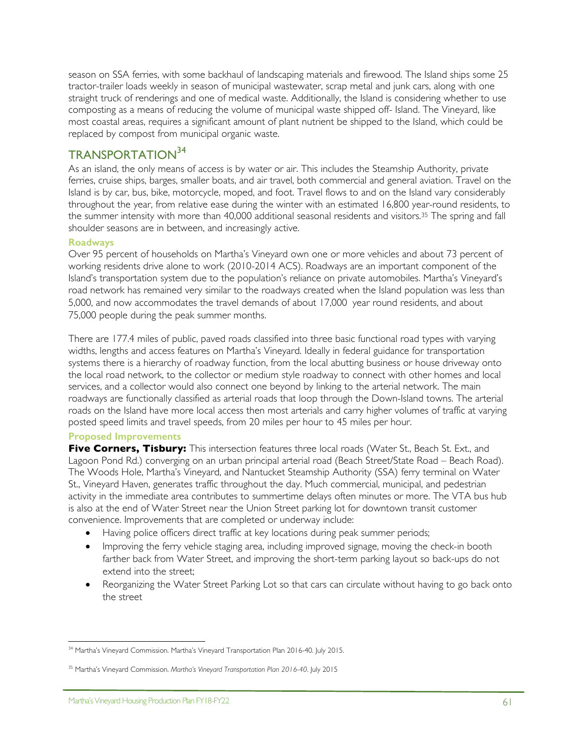season on SSA ferries, with some backhaul of landscaping materials and firewood. The Island ships some 25 tractor-trailer loads weekly in season of municipal wastewater, scrap metal and junk cars, along with one straight truck of renderings and one of medical waste. Additionally, the Island is considering whether to use composting as a means of reducing the volume of municipal waste shipped off- Island. The Vineyard, like most coastal areas, requires a significant amount of plant nutrient be shipped to the Island, which could be replaced by compost from municipal organic waste.

## TRANSPORTATION<sup>34</sup>

As an island, the only means of access is by water or air. This includes the Steamship Authority, private ferries, cruise ships, barges, smaller boats, and air travel, both commercial and general aviation. Travel on the Island is by car, bus, bike, motorcycle, moped, and foot. Travel flows to and on the Island vary considerably throughout the year, from relative ease during the winter with an estimated 16,800 year-round residents, to the summer intensity with more than 40,000 additional seasonal residents and visitors. <sup>35</sup> The spring and fall shoulder seasons are in between, and increasingly active.

### **Roadways**

Over 95 percent of households on Martha's Vineyard own one or more vehicles and about 73 percent of working residents drive alone to work (2010-2014 ACS). Roadways are an important component of the Island's transportation system due to the population's reliance on private automobiles. Martha's Vineyard's road network has remained very similar to the roadways created when the Island population was less than 5,000, and now accommodates the travel demands of about 17,000 year round residents, and about 75,000 people during the peak summer months.

There are 177.4 miles of public, paved roads classified into three basic functional road types with varying widths, lengths and access features on Martha's Vineyard. Ideally in federal guidance for transportation systems there is a hierarchy of roadway function, from the local abutting business or house driveway onto the local road network, to the collector or medium style roadway to connect with other homes and local services, and a collector would also connect one beyond by linking to the arterial network. The main roadways are functionally classified as arterial roads that loop through the Down-Island towns. The arterial roads on the Island have more local access then most arterials and carry higher volumes of traffic at varying posted speed limits and travel speeds, from 20 miles per hour to 45 miles per hour.

### **Proposed Improvements**

**Five Corners, Tisbury:** This intersection features three local roads (Water St., Beach St. Ext., and Lagoon Pond Rd.) converging on an urban principal arterial road (Beach Street/State Road – Beach Road). The Woods Hole, Martha's Vineyard, and Nantucket Steamship Authority (SSA) ferry terminal on Water St., Vineyard Haven, generates traffic throughout the day. Much commercial, municipal, and pedestrian activity in the immediate area contributes to summertime delays often minutes or more. The VTA bus hub is also at the end of Water Street near the Union Street parking lot for downtown transit customer convenience. Improvements that are completed or underway include:

- Having police officers direct traffic at key locations during peak summer periods;
- Improving the ferry vehicle staging area, including improved signage, moving the check-in booth farther back from Water Street, and improving the short-term parking layout so back-ups do not extend into the street;
- Reorganizing the Water Street Parking Lot so that cars can circulate without having to go back onto the street

<sup>1</sup> <sup>34</sup> Martha's Vineyard Commission. Martha's Vineyard Transportation Plan 2016-40. July 2015.

<sup>35</sup> Martha's Vineyard Commission. *Martha's Vineyard Transportation Plan 2016-40*. July 2015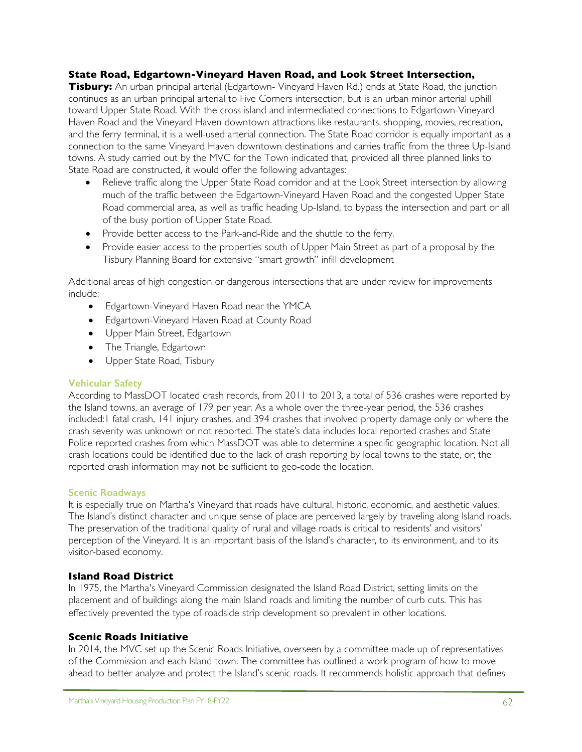### **State Road, Edgartown-Vineyard Haven Road, and Look Street Intersection,**

**Tisbury:** An urban principal arterial (Edgartown- Vineyard Haven Rd.) ends at State Road, the junction continues as an urban principal arterial to Five Corners intersection, but is an urban minor arterial uphill toward Upper State Road. With the cross island and intermediated connections to Edgartown-Vineyard Haven Road and the Vineyard Haven downtown attractions like restaurants, shopping, movies, recreation, and the ferry terminal, it is a well-used arterial connection. The State Road corridor is equally important as a connection to the same Vineyard Haven downtown destinations and carries traffic from the three Up-Island towns. A study carried out by the MVC for the Town indicated that, provided all three planned links to State Road are constructed, it would offer the following advantages:

- Relieve traffic along the Upper State Road corridor and at the Look Street intersection by allowing much of the traffic between the Edgartown-Vineyard Haven Road and the congested Upper State Road commercial area, as well as traffic heading Up-Island, to bypass the intersection and part or all of the busy portion of Upper State Road.
- Provide better access to the Park-and-Ride and the shuttle to the ferry.
- Provide easier access to the properties south of Upper Main Street as part of a proposal by the Tisbury Planning Board for extensive "smart growth" infill development

Additional areas of high congestion or dangerous intersections that are under review for improvements include:

- Edgartown-Vineyard Haven Road near the YMCA
- Edgartown-Vineyard Haven Road at County Road
- Upper Main Street, Edgartown
- The Triangle, Edgartown
- Upper State Road, Tisbury

### **Vehicular Safety**

According to MassDOT located crash records, from 2011 to 2013, a total of 536 crashes were reported by the Island towns, an average of 179 per year. As a whole over the three-year period, the 536 crashes included:1 fatal crash, 141 injury crashes, and 394 crashes that involved property damage only or where the crash severity was unknown or not reported. The state's data includes local reported crashes and State Police reported crashes from which MassDOT was able to determine a specific geographic location. Not all crash locations could be identified due to the lack of crash reporting by local towns to the state, or, the reported crash information may not be sufficient to geo-code the location.

### **Scenic Roadways**

It is especially true on Martha's Vineyard that roads have cultural, historic, economic, and aesthetic values. The Island's distinct character and unique sense of place are perceived largely by traveling along Island roads. The preservation of the traditional quality of rural and village roads is critical to residents' and visitors' perception of the Vineyard. It is an important basis of the Island's character, to its environment, and to its visitor-based economy.

### **Island Road District**

In 1975, the Martha's Vineyard Commission designated the Island Road District, setting limits on the placement and of buildings along the main Island roads and limiting the number of curb cuts. This has effectively prevented the type of roadside strip development so prevalent in other locations.

### **Scenic Roads Initiative**

In 2014, the MVC set up the Scenic Roads Initiative, overseen by a committee made up of representatives of the Commission and each Island town. The committee has outlined a work program of how to move ahead to better analyze and protect the Island's scenic roads. It recommends holistic approach that defines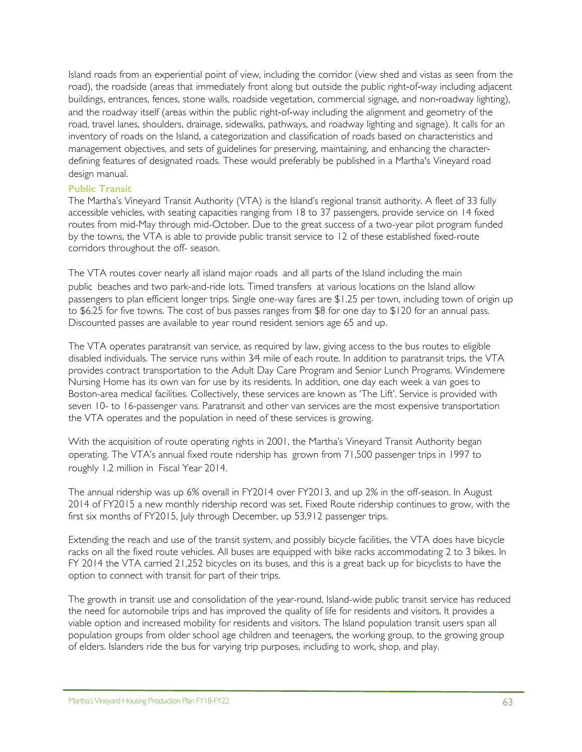Island roads from an experiential point of view, including the corridor (view shed and vistas as seen from the road), the roadside (areas that immediately front along but outside the public right-of-way including adjacent buildings, entrances, fences, stone walls, roadside vegetation, commercial signage, and non-roadway lighting), and the roadway itself (areas within the public right-of-way including the alignment and geometry of the road, travel lanes, shoulders, drainage, sidewalks, pathways, and roadway lighting and signage). It calls for an inventory of roads on the Island, a categorization and classification of roads based on characteristics and management objectives, and sets of guidelines for preserving, maintaining, and enhancing the characterdefining features of designated roads. These would preferably be published in a Martha's Vineyard road design manual.

### **Public Transit**

The Martha's Vineyard Transit Authority (VTA) is the Island's regional transit authority. A fleet of 33 fully accessible vehicles, with seating capacities ranging from 18 to 37 passengers, provide service on 14 fixed routes from mid-May through mid-October. Due to the great success of a two-year pilot program funded by the towns, the VTA is able to provide public transit service to 12 of these established fixed-route corridors throughout the off- season.

The VTA routes cover nearly all island major roads and all parts of the Island including the main public beaches and two park-and-ride lots. Timed transfers at various locations on the Island allow passengers to plan efficient longer trips. Single one-way fares are \$1.25 per town, including town of origin up to \$6.25 for five towns. The cost of bus passes ranges from \$8 for one day to \$120 for an annual pass. Discounted passes are available to year round resident seniors age 65 and up.

The VTA operates paratransit van service, as required by law, giving access to the bus routes to eligible disabled individuals. The service runs within 3⁄4 mile of each route. In addition to paratransit trips, the VTA provides contract transportation to the Adult Day Care Program and Senior Lunch Programs. Windemere Nursing Home has its own van for use by its residents. In addition, one day each week a van goes to Boston-area medical facilities. Collectively, these services are known as 'The Lift'. Service is provided with seven 10- to 16-passenger vans. Paratransit and other van services are the most expensive transportation the VTA operates and the population in need of these services is growing.

With the acquisition of route operating rights in 2001, the Martha's Vineyard Transit Authority began operating. The VTA's annual fixed route ridership has grown from 71,500 passenger trips in 1997 to roughly 1.2 million in Fiscal Year 2014.

The annual ridership was up 6% overall in FY2014 over FY2013, and up 2% in the off-season. In August 2014 of FY2015 a new monthly ridership record was set. Fixed Route ridership continues to grow, with the first six months of FY2015, July through December, up 53,912 passenger trips.

Extending the reach and use of the transit system, and possibly bicycle facilities, the VTA does have bicycle racks on all the fixed route vehicles. All buses are equipped with bike racks accommodating 2 to 3 bikes. In FY 2014 the VTA carried 21,252 bicycles on its buses, and this is a great back up for bicyclists to have the option to connect with transit for part of their trips.

The growth in transit use and consolidation of the year-round, Island-wide public transit service has reduced the need for automobile trips and has improved the quality of life for residents and visitors. It provides a viable option and increased mobility for residents and visitors. The Island population transit users span all population groups from older school age children and teenagers, the working group, to the growing group of elders. Islanders ride the bus for varying trip purposes, including to work, shop, and play.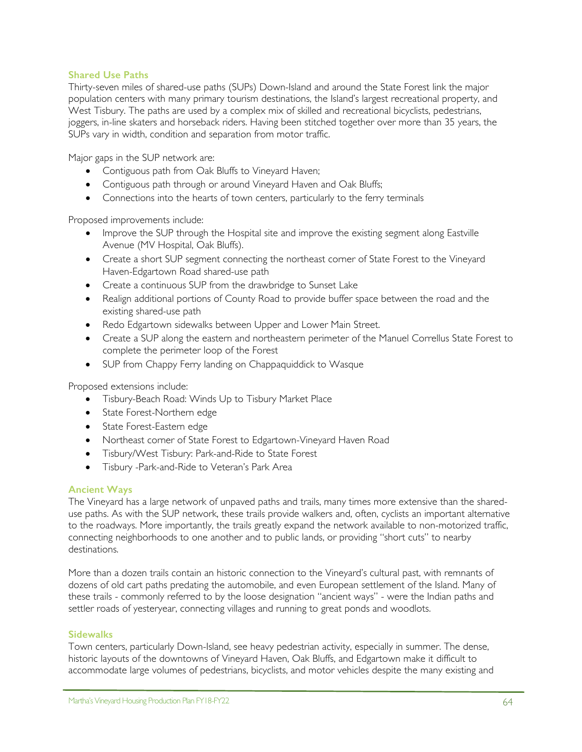### **Shared Use Paths**

Thirty-seven miles of shared-use paths (SUPs) Down-Island and around the State Forest link the major population centers with many primary tourism destinations, the Island's largest recreational property, and West Tisbury. The paths are used by a complex mix of skilled and recreational bicyclists, pedestrians, joggers, in-line skaters and horseback riders. Having been stitched together over more than 35 years, the SUPs vary in width, condition and separation from motor traffic.

Major gaps in the SUP network are:

- Contiguous path from Oak Bluffs to Vineyard Haven;
- Contiguous path through or around Vineyard Haven and Oak Bluffs;
- Connections into the hearts of town centers, particularly to the ferry terminals

Proposed improvements include:

- Improve the SUP through the Hospital site and improve the existing segment along Eastville Avenue (MV Hospital, Oak Bluffs).
- Create a short SUP segment connecting the northeast corner of State Forest to the Vineyard Haven-Edgartown Road shared-use path
- Create a continuous SUP from the drawbridge to Sunset Lake
- Realign additional portions of County Road to provide buffer space between the road and the existing shared-use path
- Redo Edgartown sidewalks between Upper and Lower Main Street.
- Create a SUP along the eastern and northeastern perimeter of the Manuel Correllus State Forest to complete the perimeter loop of the Forest
- SUP from Chappy Ferry landing on Chappaquiddick to Wasque

Proposed extensions include:

- Tisbury-Beach Road: Winds Up to Tisbury Market Place
- State Forest-Northern edge
- State Forest-Eastern edge
- Northeast corner of State Forest to Edgartown-Vineyard Haven Road
- Tisbury/West Tisbury: Park-and-Ride to State Forest
- Tisbury -Park-and-Ride to Veteran's Park Area

### **Ancient Ways**

The Vineyard has a large network of unpaved paths and trails, many times more extensive than the shareduse paths. As with the SUP network, these trails provide walkers and, often, cyclists an important alternative to the roadways. More importantly, the trails greatly expand the network available to non-motorized traffic, connecting neighborhoods to one another and to public lands, or providing "short cuts" to nearby destinations.

More than a dozen trails contain an historic connection to the Vineyard's cultural past, with remnants of dozens of old cart paths predating the automobile, and even European settlement of the Island. Many of these trails - commonly referred to by the loose designation "ancient ways" - were the Indian paths and settler roads of yesteryear, connecting villages and running to great ponds and woodlots.

### **Sidewalks**

Town centers, particularly Down-Island, see heavy pedestrian activity, especially in summer. The dense, historic layouts of the downtowns of Vineyard Haven, Oak Bluffs, and Edgartown make it difficult to accommodate large volumes of pedestrians, bicyclists, and motor vehicles despite the many existing and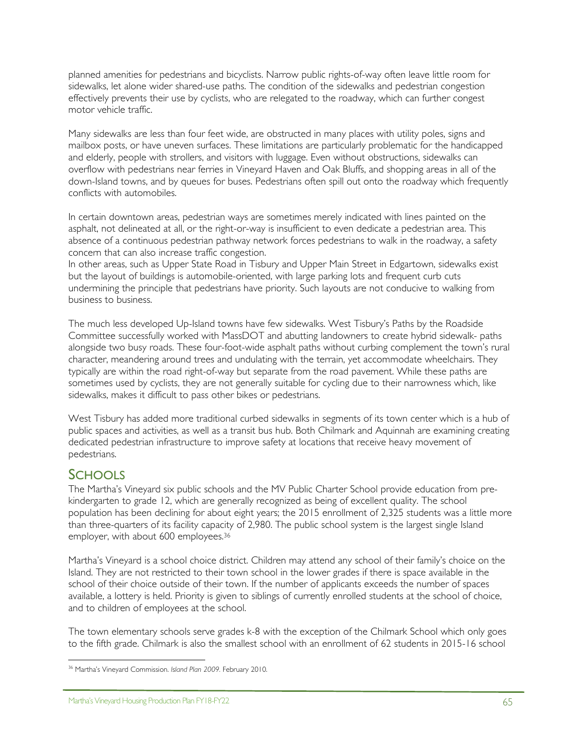planned amenities for pedestrians and bicyclists. Narrow public rights-of-way often leave little room for sidewalks, let alone wider shared-use paths. The condition of the sidewalks and pedestrian congestion effectively prevents their use by cyclists, who are relegated to the roadway, which can further congest motor vehicle traffic.

Many sidewalks are less than four feet wide, are obstructed in many places with utility poles, signs and mailbox posts, or have uneven surfaces. These limitations are particularly problematic for the handicapped and elderly, people with strollers, and visitors with luggage. Even without obstructions, sidewalks can overflow with pedestrians near ferries in Vineyard Haven and Oak Bluffs, and shopping areas in all of the down-Island towns, and by queues for buses. Pedestrians often spill out onto the roadway which frequently conflicts with automobiles.

In certain downtown areas, pedestrian ways are sometimes merely indicated with lines painted on the asphalt, not delineated at all, or the right-or-way is insufficient to even dedicate a pedestrian area. This absence of a continuous pedestrian pathway network forces pedestrians to walk in the roadway, a safety concern that can also increase traffic congestion.

In other areas, such as Upper State Road in Tisbury and Upper Main Street in Edgartown, sidewalks exist but the layout of buildings is automobile-oriented, with large parking lots and frequent curb cuts undermining the principle that pedestrians have priority. Such layouts are not conducive to walking from business to business.

The much less developed Up-Island towns have few sidewalks. West Tisbury's Paths by the Roadside Committee successfully worked with MassDOT and abutting landowners to create hybrid sidewalk- paths alongside two busy roads. These four-foot-wide asphalt paths without curbing complement the town's rural character, meandering around trees and undulating with the terrain, yet accommodate wheelchairs. They typically are within the road right-of-way but separate from the road pavement. While these paths are sometimes used by cyclists, they are not generally suitable for cycling due to their narrowness which, like sidewalks, makes it difficult to pass other bikes or pedestrians.

West Tisbury has added more traditional curbed sidewalks in segments of its town center which is a hub of public spaces and activities, as well as a transit bus hub. Both Chilmark and Aquinnah are examining creating dedicated pedestrian infrastructure to improve safety at locations that receive heavy movement of pedestrians.

## **SCHOOLS**

The Martha's Vineyard six public schools and the MV Public Charter School provide education from prekindergarten to grade 12, which are generally recognized as being of excellent quality. The school population has been declining for about eight years; the 2015 enrollment of 2,325 students was a little more than three-quarters of its facility capacity of 2,980. The public school system is the largest single Island employer, with about 600 employees.36

Martha's Vineyard is a school choice district. Children may attend any school of their family's choice on the Island. They are not restricted to their town school in the lower grades if there is space available in the school of their choice outside of their town. If the number of applicants exceeds the number of spaces available, a lottery is held. Priority is given to siblings of currently enrolled students at the school of choice, and to children of employees at the school.

The town elementary schools serve grades k-8 with the exception of the Chilmark School which only goes to the fifth grade. Chilmark is also the smallest school with an enrollment of 62 students in 2015-16 school

<sup>&</sup>lt;u>.</u> <sup>36</sup> Martha's Vineyard Commission. *Island Plan 2009.* February 2010.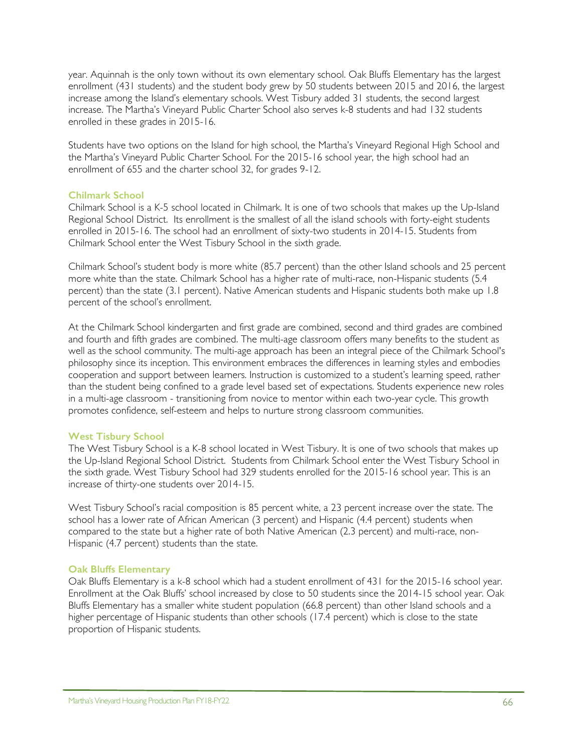year. Aquinnah is the only town without its own elementary school. Oak Bluffs Elementary has the largest enrollment (431 students) and the student body grew by 50 students between 2015 and 2016, the largest increase among the Island's elementary schools. West Tisbury added 31 students, the second largest increase. The Martha's Vineyard Public Charter School also serves k-8 students and had 132 students enrolled in these grades in 2015-16.

Students have two options on the Island for high school, the Martha's Vineyard Regional High School and the Martha's Vineyard Public Charter School. For the 2015-16 school year, the high school had an enrollment of 655 and the charter school 32, for grades 9-12.

### **Chilmark School**

Chilmark School is a K-5 school located in Chilmark. It is one of two schools that makes up the Up-Island Regional School District. Its enrollment is the smallest of all the island schools with forty-eight students enrolled in 2015-16. The school had an enrollment of sixty-two students in 2014-15. Students from Chilmark School enter the West Tisbury School in the sixth grade.

Chilmark School's student body is more white (85.7 percent) than the other Island schools and 25 percent more white than the state. Chilmark School has a higher rate of multi-race, non-Hispanic students (5.4 percent) than the state (3.1 percent). Native American students and Hispanic students both make up 1.8 percent of the school's enrollment.

At the Chilmark School kindergarten and first grade are combined, second and third grades are combined and fourth and fifth grades are combined. The multi-age classroom offers many benefits to the student as well as the school community. The multi-age approach has been an integral piece of the Chilmark School's philosophy since its inception. This environment embraces the differences in learning styles and embodies cooperation and support between learners. Instruction is customized to a student's learning speed, rather than the student being confined to a grade level based set of expectations. Students experience new roles in a multi-age classroom - transitioning from novice to mentor within each two-year cycle. This growth promotes confidence, self-esteem and helps to nurture strong classroom communities.

#### **West Tisbury School**

The West Tisbury School is a K-8 school located in West Tisbury. It is one of two schools that makes up the Up-Island Regional School District. Students from Chilmark School enter the West Tisbury School in the sixth grade. West Tisbury School had 329 students enrolled for the 2015-16 school year. This is an increase of thirty-one students over 2014-15.

West Tisbury School's racial composition is 85 percent white, a 23 percent increase over the state. The school has a lower rate of African American (3 percent) and Hispanic (4.4 percent) students when compared to the state but a higher rate of both Native American (2.3 percent) and multi-race, non-Hispanic (4.7 percent) students than the state.

#### **Oak Bluffs Elementary**

Oak Bluffs Elementary is a k-8 school which had a student enrollment of 431 for the 2015-16 school year. Enrollment at the Oak Bluffs' school increased by close to 50 students since the 2014-15 school year. Oak Bluffs Elementary has a smaller white student population (66.8 percent) than other Island schools and a higher percentage of Hispanic students than other schools (17.4 percent) which is close to the state proportion of Hispanic students.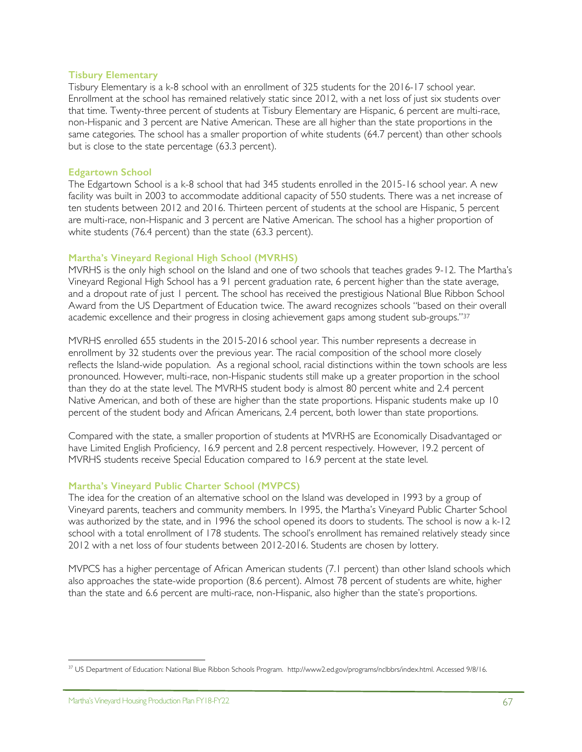#### **Tisbury Elementary**

Tisbury Elementary is a k-8 school with an enrollment of 325 students for the 2016-17 school year. Enrollment at the school has remained relatively static since 2012, with a net loss of just six students over that time. Twenty-three percent of students at Tisbury Elementary are Hispanic, 6 percent are multi-race, non-Hispanic and 3 percent are Native American. These are all higher than the state proportions in the same categories. The school has a smaller proportion of white students (64.7 percent) than other schools but is close to the state percentage (63.3 percent).

#### **Edgartown School**

The Edgartown School is a k-8 school that had 345 students enrolled in the 2015-16 school year. A new facility was built in 2003 to accommodate additional capacity of 550 students. There was a net increase of ten students between 2012 and 2016. Thirteen percent of students at the school are Hispanic, 5 percent are multi-race, non-Hispanic and 3 percent are Native American. The school has a higher proportion of white students (76.4 percent) than the state (63.3 percent).

### **Martha's Vineyard Regional High School (MVRHS)**

MVRHS is the only high school on the Island and one of two schools that teaches grades 9-12. The Martha's Vineyard Regional High School has a 91 percent graduation rate, 6 percent higher than the state average, and a dropout rate of just 1 percent. The school has received the prestigious National Blue Ribbon School Award from the US Department of Education twice. The award recognizes schools "based on their overall academic excellence and their progress in closing achievement gaps among student sub-groups."37

MVRHS enrolled 655 students in the 2015-2016 school year. This number represents a decrease in enrollment by 32 students over the previous year. The racial composition of the school more closely reflects the Island-wide population. As a regional school, racial distinctions within the town schools are less pronounced. However, multi-race, non-Hispanic students still make up a greater proportion in the school than they do at the state level. The MVRHS student body is almost 80 percent white and 2.4 percent Native American, and both of these are higher than the state proportions. Hispanic students make up 10 percent of the student body and African Americans, 2.4 percent, both lower than state proportions.

Compared with the state, a smaller proportion of students at MVRHS are Economically Disadvantaged or have Limited English Proficiency, 16.9 percent and 2.8 percent respectively. However, 19.2 percent of MVRHS students receive Special Education compared to 16.9 percent at the state level.

## **Martha's Vineyard Public Charter School (MVPCS)**

The idea for the creation of an alternative school on the Island was developed in 1993 by a group of Vineyard parents, teachers and community members. In 1995, the Martha's Vineyard Public Charter School was authorized by the state, and in 1996 the school opened its doors to students. The school is now a k-12 school with a total enrollment of 178 students. The school's enrollment has remained relatively steady since 2012 with a net loss of four students between 2012-2016. Students are chosen by lottery.

MVPCS has a higher percentage of African American students (7.1 percent) than other Island schools which also approaches the state-wide proportion (8.6 percent). Almost 78 percent of students are white, higher than the state and 6.6 percent are multi-race, non-Hispanic, also higher than the state's proportions.

 $\overline{a}$ <sup>37</sup> US Department of Education: National Blue Ribbon Schools Program. http://www2.ed.gov/programs/nclbbrs/index.html. Accessed 9/8/16.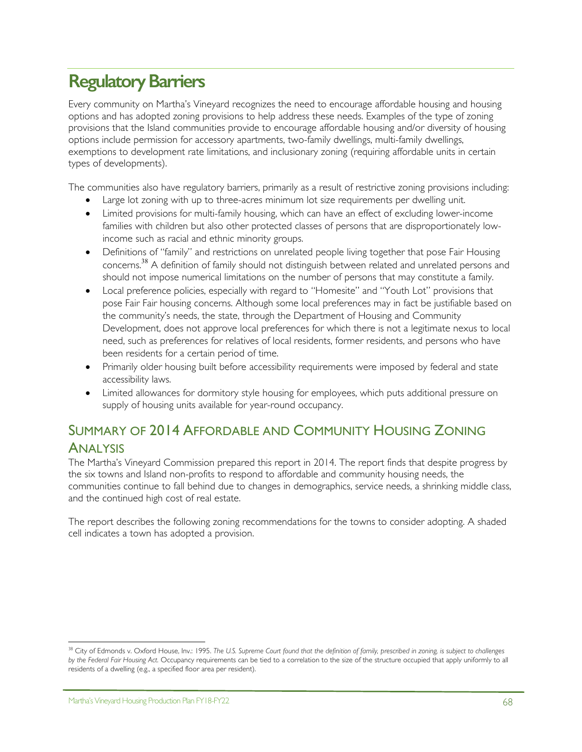# **Regulatory Barriers**

Every community on Martha's Vineyard recognizes the need to encourage affordable housing and housing options and has adopted zoning provisions to help address these needs. Examples of the type of zoning provisions that the Island communities provide to encourage affordable housing and/or diversity of housing options include permission for accessory apartments, two-family dwellings, multi-family dwellings, exemptions to development rate limitations, and inclusionary zoning (requiring affordable units in certain types of developments).

The communities also have regulatory barriers, primarily as a result of restrictive zoning provisions including:

- Large lot zoning with up to three-acres minimum lot size requirements per dwelling unit.
- Limited provisions for multi-family housing, which can have an effect of excluding lower-income families with children but also other protected classes of persons that are disproportionately lowincome such as racial and ethnic minority groups.
- Definitions of "family" and restrictions on unrelated people living together that pose Fair Housing concerns.<sup>38</sup> A definition of family should not distinguish between related and unrelated persons and should not impose numerical limitations on the number of persons that may constitute a family.
- Local preference policies, especially with regard to "Homesite" and "Youth Lot" provisions that pose Fair Fair housing concerns. Although some local preferences may in fact be justifiable based on the community's needs, the state, through the Department of Housing and Community Development, does not approve local preferences for which there is not a legitimate nexus to local need, such as preferences for relatives of local residents, former residents, and persons who have been residents for a certain period of time.
- Primarily older housing built before accessibility requirements were imposed by federal and state accessibility laws.
- Limited allowances for dormitory style housing for employees, which puts additional pressure on supply of housing units available for year-round occupancy.

## SUMMARY OF 2014 AFFORDABLE AND COMMUNITY HOUSING ZONING ANALYSIS

The Martha's Vineyard Commission prepared this report in 2014. The report finds that despite progress by the six towns and Island non-profits to respond to affordable and community housing needs, the communities continue to fall behind due to changes in demographics, service needs, a shrinking middle class, and the continued high cost of real estate.

The report describes the following zoning recommendations for the towns to consider adopting. A shaded cell indicates a town has adopted a provision.

 $\overline{a}$ 

<sup>&</sup>lt;sup>38</sup> City of Edmonds v. Oxford House, Inv.: 1995. The U.S. Supreme Court found that the definition of family, prescribed in zoning, is subject to challenges *by the Federal Fair Housing Act.* Occupancy requirements can be tied to a correlation to the size of the structure occupied that apply uniformly to all residents of a dwelling (e.g., a specified floor area per resident).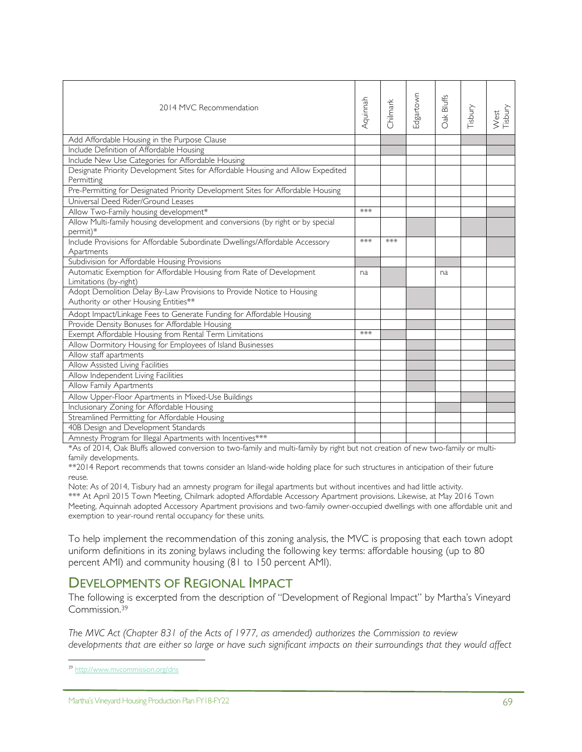| 2014 MVC Recommendation                                                                                        | Aquinnah | Chilmark | Edgartown | Oak Bluffs | Tisbury | West<br>Tisbury |
|----------------------------------------------------------------------------------------------------------------|----------|----------|-----------|------------|---------|-----------------|
| Add Affordable Housing in the Purpose Clause                                                                   |          |          |           |            |         |                 |
| Include Definition of Affordable Housing                                                                       |          |          |           |            |         |                 |
| Include New Use Categories for Affordable Housing                                                              |          |          |           |            |         |                 |
| Designate Priority Development Sites for Affordable Housing and Allow Expedited<br>Permitting                  |          |          |           |            |         |                 |
| Pre-Permitting for Designated Priority Development Sites for Affordable Housing                                |          |          |           |            |         |                 |
| Universal Deed Rider/Ground Leases                                                                             |          |          |           |            |         |                 |
| Allow Two-Family housing development*                                                                          | ***      |          |           |            |         |                 |
| Allow Multi-family housing development and conversions (by right or by special<br>permit)*                     |          |          |           |            |         |                 |
| Include Provisions for Affordable Subordinate Dwellings/Affordable Accessory                                   | ***      | ***      |           |            |         |                 |
| Apartments                                                                                                     |          |          |           |            |         |                 |
| Subdivision for Affordable Housing Provisions                                                                  |          |          |           |            |         |                 |
| Automatic Exemption for Affordable Housing from Rate of Development                                            | na       |          |           | na         |         |                 |
| Limitations (by-right)                                                                                         |          |          |           |            |         |                 |
| Adopt Demolition Delay By-Law Provisions to Provide Notice to Housing<br>Authority or other Housing Entities** |          |          |           |            |         |                 |
| Adopt Impact/Linkage Fees to Generate Funding for Affordable Housing                                           |          |          |           |            |         |                 |
| Provide Density Bonuses for Affordable Housing                                                                 |          |          |           |            |         |                 |
| Exempt Affordable Housing from Rental Term Limitations                                                         | ***      |          |           |            |         |                 |
| Allow Dormitory Housing for Employees of Island Businesses                                                     |          |          |           |            |         |                 |
| Allow staff apartments                                                                                         |          |          |           |            |         |                 |
| Allow Assisted Living Facilities                                                                               |          |          |           |            |         |                 |
| Allow Independent Living Facilities                                                                            |          |          |           |            |         |                 |
| Allow Family Apartments                                                                                        |          |          |           |            |         |                 |
| Allow Upper-Floor Apartments in Mixed-Use Buildings                                                            |          |          |           |            |         |                 |
| Inclusionary Zoning for Affordable Housing                                                                     |          |          |           |            |         |                 |
| Streamlined Permitting for Affordable Housing                                                                  |          |          |           |            |         |                 |
| 40B Design and Development Standards                                                                           |          |          |           |            |         |                 |
| Amnesty Program for Illegal Apartments with Incentives***                                                      |          |          |           |            |         |                 |

\*As of 2014, Oak Bluffs allowed conversion to two-family and multi-family by right but not creation of new two-family or multifamily developments.

\*\*2014 Report recommends that towns consider an Island-wide holding place for such structures in anticipation of their future reuse.

Note: As of 2014, Tisbury had an amnesty program for illegal apartments but without incentives and had little activity. \*\*\* At April 2015 Town Meeting, Chilmark adopted Affordable Accessory Apartment provisions. Likewise, at May 2016 Town Meeting, Aquinnah adopted Accessory Apartment provisions and two-family owner-occupied dwellings with one affordable unit and exemption to year-round rental occupancy for these units.

To help implement the recommendation of this zoning analysis, the MVC is proposing that each town adopt uniform definitions in its zoning bylaws including the following key terms: affordable housing (up to 80 percent AMI) and community housing (81 to 150 percent AMI).

## DEVELOPMENTS OF REGIONAL IMPACT

The following is excerpted from the description of "Development of Regional Impact" by Martha's Vineyard Commission.39

*The MVC Act (Chapter 831 of the Acts of 1977, as amended) authorizes the Commission to review developments that are either so large or have such significant impacts on their surroundings that they would affect* 

 $\overline{a}$ 

<sup>&</sup>lt;sup>39</sup> http://www.mvcommission.org/dris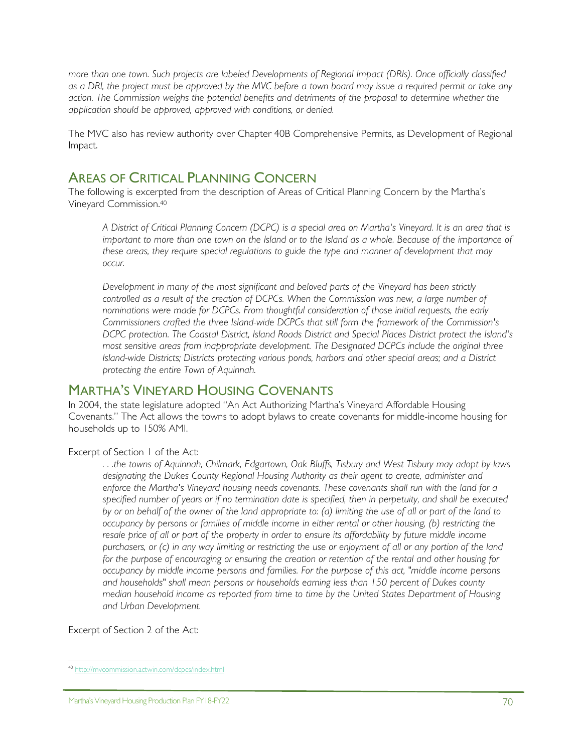*more than one town. Such projects are labeled Developments of Regional Impact (DRIs). Once officially classified as a DRI, the project must be approved by the MVC before a town board may issue a required permit or take any action. The Commission weighs the potential benefits and detriments of the proposal to determine whether the application should be approved, approved with conditions, or denied.*

The MVC also has review authority over Chapter 40B Comprehensive Permits, as Development of Regional Impact.

## AREAS OF CRITICAL PLANNING CONCERN

The following is excerpted from the description of Areas of Critical Planning Concern by the Martha's Vineyard Commission.40

*A District of Critical Planning Concern (DCPC) is a special area on Martha's Vineyard. It is an area that is important to more than one town on the Island or to the Island as a whole. Because of the importance of these areas, they require special regulations to guide the type and manner of development that may occur.*

*Development in many of the most significant and beloved parts of the Vineyard has been strictly controlled as a result of the creation of DCPCs. When the Commission was new, a large number of nominations were made for DCPCs. From thoughtful consideration of those initial requests, the early Commissioners crafted the three Island-wide DCPCs that still form the framework of the Commission's DCPC protection. The Coastal District, Island Roads District and Special Places District protect the Island's most sensitive areas from inappropriate development. The Designated DCPCs include the original three Island-wide Districts; Districts protecting various ponds, harbors and other special areas; and a District protecting the entire Town of Aquinnah.* 

## MARTHA'S VINEYARD HOUSING COVENANTS

In 2004, the state legislature adopted "An Act Authorizing Martha's Vineyard Affordable Housing Covenants." The Act allows the towns to adopt bylaws to create covenants for middle-income housing for households up to 150% AMI.

Excerpt of Section 1 of the Act:

*. . .the towns of Aquinnah, Chilmark, Edgartown, Oak Bluffs, Tisbury and West Tisbury may adopt by-laws designating the Dukes County Regional Housing Authority as their agent to create, administer and enforce the Martha's Vineyard housing needs covenants. These covenants shall run with the land for a specified number of years or if no termination date is specified, then in perpetuity, and shall be executed by or on behalf of the owner of the land appropriate to: (a) limiting the use of all or part of the land to occupancy by persons or families of middle income in either rental or other housing, (b) restricting the*  resale price of all or part of the property in order to ensure its affordability by future middle income *purchasers, or (c) in any way limiting or restricting the use or enjoyment of all or any portion of the land for the purpose of encouraging or ensuring the creation or retention of the rental and other housing for occupancy by middle income persons and families. For the purpose of this act, "middle income persons and households" shall mean persons or households earning less than 150 percent of Dukes county median household income as reported from time to time by the United States Department of Housing and Urban Development.* 

Excerpt of Section 2 of the Act:

 $\overline{a}$ <sup>40</sup> http://mvcommission.actwin.com/dcpcs/index.html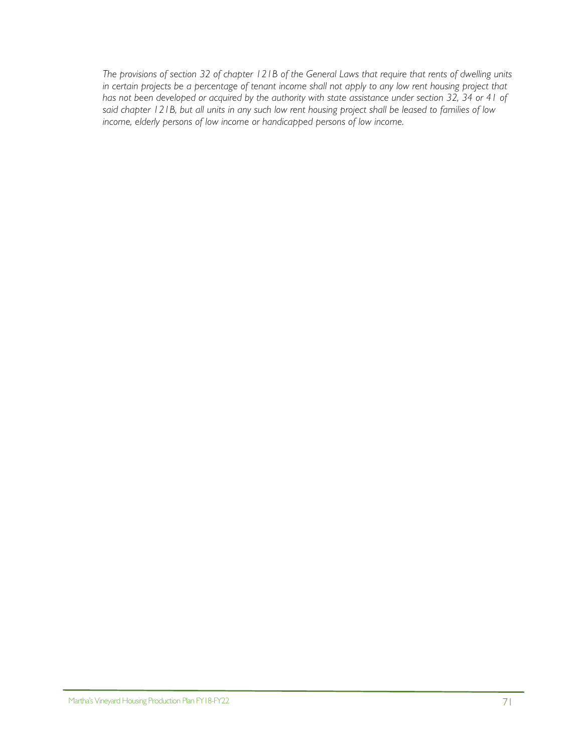*The provisions of section 32 of chapter 121B of the General Laws that require that rents of dwelling units in certain projects be a percentage of tenant income shall not apply to any low rent housing project that*  has not been developed or acquired by the authority with state assistance under section 32, 34 or 41 of *said chapter 121B, but all units in any such low rent housing project shall be leased to families of low income, elderly persons of low income or handicapped persons of low income.*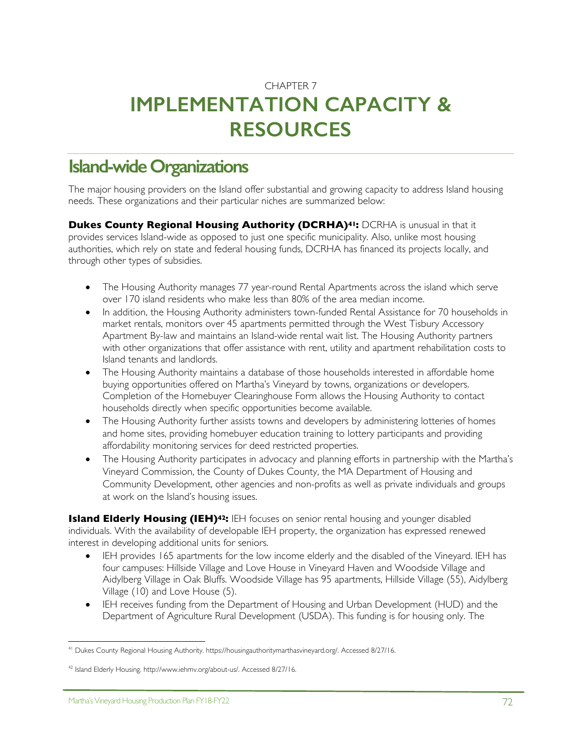# CHAPTER 7 **IMPLEMENTATION CAPACITY & RESOURCES**

# **Island-wide Organizations**

The major housing providers on the Island offer substantial and growing capacity to address Island housing needs. These organizations and their particular niches are summarized below:

**Dukes County Regional Housing Authority (DCRHA)<sup>41</sup>: DCRHA is unusual in that it** provides services Island-wide as opposed to just one specific municipality. Also, unlike most housing authorities, which rely on state and federal housing funds, DCRHA has financed its projects locally, and through other types of subsidies.

- The Housing Authority manages 77 year-round Rental Apartments across the island which serve over 170 island residents who make less than 80% of the area median income.
- In addition, the Housing Authority administers town-funded Rental Assistance for 70 households in market rentals, monitors over 45 apartments permitted through the West Tisbury Accessory Apartment By-law and maintains an Island-wide rental wait list. The Housing Authority partners with other organizations that offer assistance with rent, utility and apartment rehabilitation costs to Island tenants and landlords.
- The Housing Authority maintains a database of those households interested in affordable home buying opportunities offered on Martha's Vineyard by towns, organizations or developers. Completion of the Homebuyer Clearinghouse Form allows the Housing Authority to contact households directly when specific opportunities become available.
- The Housing Authority further assists towns and developers by administering lotteries of homes and home sites, providing homebuyer education training to lottery participants and providing affordability monitoring services for deed restricted properties.
- The Housing Authority participates in advocacy and planning efforts in partnership with the Martha's Vineyard Commission, the County of Dukes County, the MA Department of Housing and Community Development, other agencies and non-profits as well as private individuals and groups at work on the Island's housing issues.

**Island Elderly Housing (IEH)<sup>42</sup>:** IEH focuses on senior rental housing and younger disabled individuals. With the availability of developable IEH property, the organization has expressed renewed interest in developing additional units for seniors.

- IEH provides 165 apartments for the low income elderly and the disabled of the Vineyard. IEH has four campuses: Hillside Village and Love House in Vineyard Haven and Woodside Village and Aidylberg Village in Oak Bluffs. Woodside Village has 95 apartments, Hillside Village (55), Aidylberg Village (10) and Love House (5).
- IEH receives funding from the Department of Housing and Urban Development (HUD) and the Department of Agriculture Rural Development (USDA). This funding is for housing only. The

<sup>1</sup> <sup>41</sup> Dukes County Regional Housing Authority. https://housingauthoritymarthasvineyard.org/. Accessed 8/27/16.

<sup>&</sup>lt;sup>42</sup> Island Elderly Housing. http://www.iehmv.org/about-us/. Accessed 8/27/16.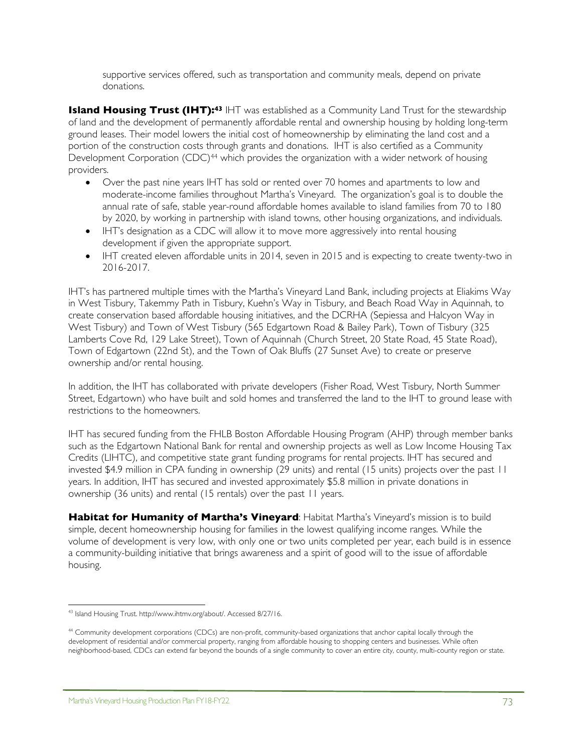supportive services offered, such as transportation and community meals, depend on private donations.

**Island Housing Trust (IHT):<sup>43</sup> IHT was established as a Community Land Trust for the stewardship** of land and the development of permanently affordable rental and ownership housing by holding long-term ground leases. Their model lowers the initial cost of homeownership by eliminating the land cost and a portion of the construction costs through grants and donations. IHT is also certified as a Community Development Corporation (CDC)<sup>44</sup> which provides the organization with a wider network of housing providers.

- Over the past nine years IHT has sold or rented over 70 homes and apartments to low and moderate-income families throughout Martha's Vineyard. The organization's goal is to double the annual rate of safe, stable year-round affordable homes available to island families from 70 to 180 by 2020, by working in partnership with island towns, other housing organizations, and individuals.
- IHT's designation as a CDC will allow it to move more aggressively into rental housing development if given the appropriate support.
- IHT created eleven affordable units in 2014, seven in 2015 and is expecting to create twenty-two in 2016-2017.

IHT's has partnered multiple times with the Martha's Vineyard Land Bank, including projects at Eliakims Way in West Tisbury, Takemmy Path in Tisbury, Kuehn's Way in Tisbury, and Beach Road Way in Aquinnah, to create conservation based affordable housing initiatives, and the DCRHA (Sepiessa and Halcyon Way in West Tisbury) and Town of West Tisbury (565 Edgartown Road & Bailey Park), Town of Tisbury (325 Lamberts Cove Rd, 129 Lake Street), Town of Aquinnah (Church Street, 20 State Road, 45 State Road), Town of Edgartown (22nd St), and the Town of Oak Bluffs (27 Sunset Ave) to create or preserve ownership and/or rental housing.

In addition, the IHT has collaborated with private developers (Fisher Road, West Tisbury, North Summer Street, Edgartown) who have built and sold homes and transferred the land to the IHT to ground lease with restrictions to the homeowners.

IHT has secured funding from the FHLB Boston Affordable Housing Program (AHP) through member banks such as the Edgartown National Bank for rental and ownership projects as well as Low Income Housing Tax Credits (LIHTC), and competitive state grant funding programs for rental projects. IHT has secured and invested \$4.9 million in CPA funding in ownership (29 units) and rental (15 units) projects over the past 11 years. In addition, IHT has secured and invested approximately \$5.8 million in private donations in ownership (36 units) and rental (15 rentals) over the past 11 years.

**Habitat for Humanity of Martha's Vineyard**: Habitat Martha's Vineyard's mission is to build simple, decent homeownership housing for families in the lowest qualifying income ranges. While the volume of development is very low, with only one or two units completed per year, each build is in essence a community-building initiative that brings awareness and a spirit of good will to the issue of affordable housing.

<sup>&</sup>lt;u>.</u> <sup>43</sup> Island Housing Trust. http://www.ihtmv.org/about/. Accessed 8/27/16.

<sup>44</sup> Community development corporations (CDCs) are non-profit, community-based organizations that anchor capital locally through the development of residential and/or commercial property, ranging from affordable housing to shopping centers and businesses. While often neighborhood-based, CDCs can extend far beyond the bounds of a single community to cover an entire city, county, multi-county region or state.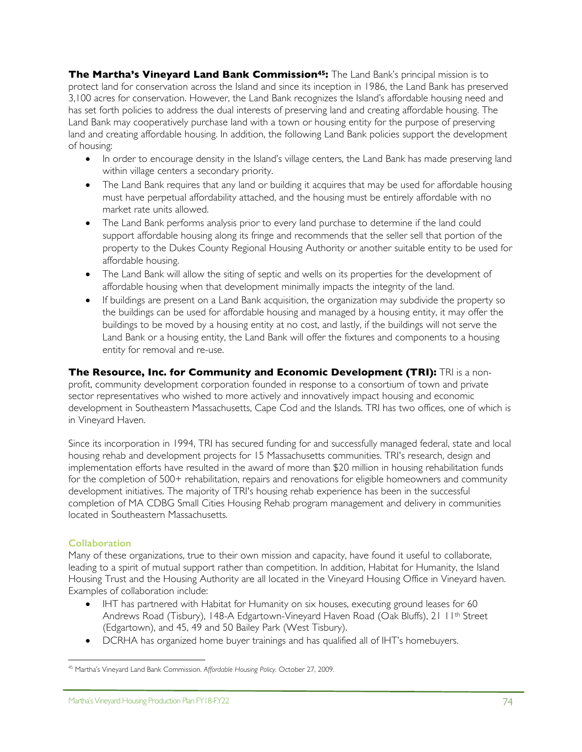**The Martha's Vineyard Land Bank Commission45:** The Land Bank's principal mission is to protect land for conservation across the Island and since its inception in 1986, the Land Bank has preserved 3,100 acres for conservation. However, the Land Bank recognizes the Island's affordable housing need and has set forth policies to address the dual interests of preserving land and creating affordable housing. The Land Bank may cooperatively purchase land with a town or housing entity for the purpose of preserving land and creating affordable housing. In addition, the following Land Bank policies support the development of housing:

- In order to encourage density in the Island's village centers, the Land Bank has made preserving land within village centers a secondary priority.
- The Land Bank requires that any land or building it acquires that may be used for affordable housing must have perpetual affordability attached, and the housing must be entirely affordable with no market rate units allowed.
- The Land Bank performs analysis prior to every land purchase to determine if the land could support affordable housing along its fringe and recommends that the seller sell that portion of the property to the Dukes County Regional Housing Authority or another suitable entity to be used for affordable housing.
- The Land Bank will allow the siting of septic and wells on its properties for the development of affordable housing when that development minimally impacts the integrity of the land.
- If buildings are present on a Land Bank acquisition, the organization may subdivide the property so the buildings can be used for affordable housing and managed by a housing entity, it may offer the buildings to be moved by a housing entity at no cost, and lastly, if the buildings will not serve the Land Bank or a housing entity, the Land Bank will offer the fixtures and components to a housing entity for removal and re-use.

## **The Resource, Inc. for Community and Economic Development (TRI):** TRI is a non-

profit, community development corporation founded in response to a consortium of town and private sector representatives who wished to more actively and innovatively impact housing and economic development in Southeastern Massachusetts, Cape Cod and the Islands. TRI has two offices, one of which is in Vineyard Haven.

Since its incorporation in 1994, TRI has secured funding for and successfully managed federal, state and local housing rehab and development projects for 15 Massachusetts communities. TRI's research, design and implementation efforts have resulted in the award of more than \$20 million in housing rehabilitation funds for the completion of 500+ rehabilitation, repairs and renovations for eligible homeowners and community development initiatives. The majority of TRI's housing rehab experience has been in the successful completion of MA CDBG Small Cities Housing Rehab program management and delivery in communities located in Southeastern Massachusetts.

## **Collaboration**

Many of these organizations, true to their own mission and capacity, have found it useful to collaborate, leading to a spirit of mutual support rather than competition. In addition, Habitat for Humanity, the Island Housing Trust and the Housing Authority are all located in the Vineyard Housing Office in Vineyard haven. Examples of collaboration include:

- IHT has partnered with Habitat for Humanity on six houses, executing ground leases for 60 Andrews Road (Tisbury), 148-A Edgartown-Vineyard Haven Road (Oak Bluffs), 21 11<sup>th</sup> Street (Edgartown), and 45, 49 and 50 Bailey Park (West Tisbury).
- DCRHA has organized home buyer trainings and has qualified all of IHT's homebuyers.

<sup>&</sup>lt;u>.</u> <sup>45</sup> Martha's Vineyard Land Bank Commission. *Affordable Housing Policy.* October 27, 2009.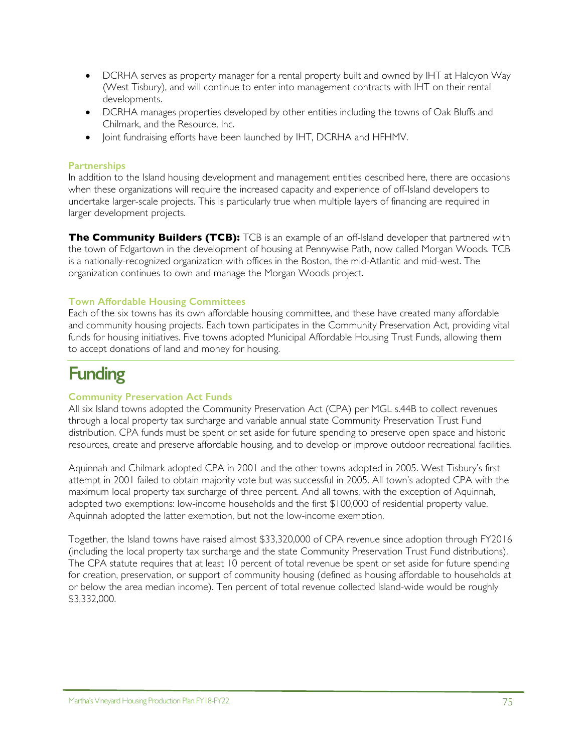- DCRHA serves as property manager for a rental property built and owned by IHT at Halcyon Way (West Tisbury), and will continue to enter into management contracts with IHT on their rental developments.
- DCRHA manages properties developed by other entities including the towns of Oak Bluffs and Chilmark, and the Resource, Inc.
- Joint fundraising efforts have been launched by IHT, DCRHA and HFHMV.

## **Partnerships**

In addition to the Island housing development and management entities described here, there are occasions when these organizations will require the increased capacity and experience of off-Island developers to undertake larger-scale projects. This is particularly true when multiple layers of financing are required in larger development projects.

**The Community Builders (TCB):** TCB is an example of an off-Island developer that partnered with the town of Edgartown in the development of housing at Pennywise Path, now called Morgan Woods. TCB is a nationally-recognized organization with offices in the Boston, the mid-Atlantic and mid-west. The organization continues to own and manage the Morgan Woods project.

### **Town Affordable Housing Committees**

Each of the six towns has its own affordable housing committee, and these have created many affordable and community housing projects. Each town participates in the Community Preservation Act, providing vital funds for housing initiatives. Five towns adopted Municipal Affordable Housing Trust Funds, allowing them to accept donations of land and money for housing.

# **Funding**

### **Community Preservation Act Funds**

All six Island towns adopted the Community Preservation Act (CPA) per MGL s.44B to collect revenues through a local property tax surcharge and variable annual state Community Preservation Trust Fund distribution. CPA funds must be spent or set aside for future spending to preserve open space and historic resources, create and preserve affordable housing, and to develop or improve outdoor recreational facilities.

Aquinnah and Chilmark adopted CPA in 2001 and the other towns adopted in 2005. West Tisbury's first attempt in 2001 failed to obtain majority vote but was successful in 2005. All town's adopted CPA with the maximum local property tax surcharge of three percent. And all towns, with the exception of Aquinnah, adopted two exemptions: low-income households and the first \$100,000 of residential property value. Aquinnah adopted the latter exemption, but not the low-income exemption.

Together, the Island towns have raised almost \$33,320,000 of CPA revenue since adoption through FY2016 (including the local property tax surcharge and the state Community Preservation Trust Fund distributions). The CPA statute requires that at least 10 percent of total revenue be spent or set aside for future spending for creation, preservation, or support of community housing (defined as housing affordable to households at or below the area median income). Ten percent of total revenue collected Island-wide would be roughly \$3,332,000.